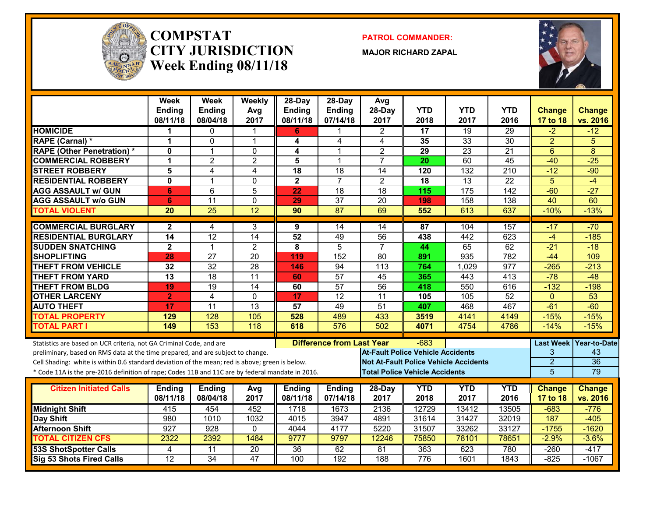

#### **COMPSTATCITY JURISDICTIONWeek Ending 08/11/18**

**PATROL COMMANDER:**

**MAJOR RICHARD ZAPAL**



|                                                                                                  | <b>Week</b><br><b>Ending</b><br>08/11/18 | Week<br><b>Ending</b><br>08/04/18 | Weekly<br>Avg<br>2017 | 28-Day<br><b>Ending</b><br>08/11/18 | 28-Day<br><b>Ending</b><br>07/14/18 | Avg<br>28-Day<br>2017                    | <b>YTD</b><br>2018                    | <b>YTD</b><br>2017                           | <b>YTD</b><br>2016 | <b>Change</b><br>17 to 18 | <b>Change</b><br>vs. 2016 |
|--------------------------------------------------------------------------------------------------|------------------------------------------|-----------------------------------|-----------------------|-------------------------------------|-------------------------------------|------------------------------------------|---------------------------------------|----------------------------------------------|--------------------|---------------------------|---------------------------|
| <b>HOMICIDE</b>                                                                                  | 1                                        | $\mathbf{0}$                      | 1                     | 6                                   |                                     | $\mathbf{2}$                             | $\overline{17}$                       | 19                                           | 29                 | $-2$                      | $-12$                     |
| RAPE (Carnal) *                                                                                  | 1                                        | 0                                 | $\overline{1}$        | 4                                   | 4                                   | 4                                        | 35                                    | $\overline{33}$                              | $\overline{30}$    | $\overline{2}$            | 5                         |
| <b>RAPE (Other Penetration)*</b>                                                                 | $\mathbf{0}$                             | $\overline{1}$                    | $\mathbf 0$           | 4                                   | 1                                   | $\overline{2}$                           | 29                                    | $\overline{23}$                              | $\overline{21}$    | $6\phantom{1}$            | 8                         |
| <b>COMMERCIAL ROBBERY</b>                                                                        | 1                                        | $\overline{2}$                    | $\overline{2}$        | 5                                   | $\overline{1}$                      | $\overline{7}$                           | 20                                    | 60                                           | $\overline{45}$    | $-40$                     | $-25$                     |
| <b>STREET ROBBERY</b>                                                                            | 5                                        | 4                                 | $\overline{4}$        | $\overline{18}$                     | $\overline{18}$                     | $\overline{14}$                          | 120                                   | 132                                          | $\overline{210}$   | $-12$                     | $-90$                     |
| <b>RESIDENTIAL ROBBERY</b>                                                                       | $\Omega$                                 | $\overline{1}$                    | $\mathbf 0$           | $\overline{\mathbf{2}}$             | $\overline{7}$                      | $\overline{2}$                           | $\overline{18}$                       | $\overline{13}$                              | $\overline{22}$    | $\overline{5}$            | $-4$                      |
| <b>AGG ASSAULT w/ GUN</b>                                                                        | 6                                        | 6                                 | 5                     | 22                                  | 18                                  | 18                                       | 115                                   | 175                                          | $\overline{142}$   | $-60$                     | $-27$                     |
| <b>AGG ASSAULT w/o GUN</b>                                                                       | 6                                        | $\overline{11}$                   | $\Omega$              | 29                                  | $\overline{37}$                     | 20                                       | 198                                   | 158                                          | 138                | 40                        | 60                        |
| <b>TOTAL VIOLENT</b>                                                                             | 20                                       | $\overline{25}$                   | 12                    | 90                                  | $\overline{87}$                     | 69                                       | 552                                   | 613                                          | 637                | $-10%$                    | $-13%$                    |
| <b>COMMERCIAL BURGLARY</b>                                                                       | $\mathbf{2}$                             | 4                                 | 3                     | 9                                   | 14                                  | 14                                       | 87                                    | 104                                          | 157                | $-17$                     | $-70$                     |
| <b>RESIDENTIAL BURGLARY</b>                                                                      | $\overline{14}$                          | $\overline{12}$                   | $\overline{14}$       | 52                                  | 49                                  | $\overline{56}$                          | 438                                   | 442                                          | 623                | $-4$                      | $-185$                    |
| <b>SUDDEN SNATCHING</b>                                                                          | $\mathbf 2$                              | $\mathbf{1}$                      | $\overline{2}$        | 8                                   | $\overline{5}$                      | $\overline{7}$                           | 44                                    | 65                                           | 62                 | $-21$                     | $-18$                     |
| <b>SHOPLIFTING</b>                                                                               | 28                                       | $\overline{27}$                   | $\overline{20}$       | 119                                 | 152                                 | $\overline{80}$                          | 891                                   | 935                                          | 782                | $-44$                     | 109                       |
| <b>THEFT FROM VEHICLE</b>                                                                        | $\overline{32}$                          | $\overline{32}$                   | 28                    | 146                                 | $\overline{94}$                     | $\overline{113}$                         | 764                                   | 1,029                                        | $\overline{977}$   | $-265$                    | $-213$                    |
| <b>THEFT FROM YARD</b>                                                                           | $\overline{13}$                          | 18                                | $\overline{11}$       | 60                                  | 57                                  | 45                                       | 365                                   | 443                                          | 413                | $-78$                     | $-48$                     |
| <b>THEFT FROM BLDG</b>                                                                           | 19                                       | 19                                | 14                    | 60                                  | $\overline{57}$                     | $\overline{56}$                          | 418                                   | 550                                          | 616                | $-132$                    | $-198$                    |
| <b>OTHER LARCENY</b>                                                                             | $\overline{2}$                           | 4                                 | $\mathbf{0}$          | 17                                  | $\overline{12}$                     | $\overline{11}$                          | 105                                   | 105                                          | 52                 | $\mathbf{0}$              | 53                        |
| <b>AUTO THEFT</b>                                                                                | 17                                       | $\overline{11}$                   | $\overline{13}$       | 57                                  | 49                                  | 51                                       | 407                                   | 468                                          | 467                | $-61$                     | $-60$                     |
| <b>TOTAL PROPERTY</b>                                                                            | 129                                      | 128                               | 105                   | 528                                 | 489                                 | 433                                      | 3519                                  | 4141                                         | 4149               | $-15%$                    | $-15%$                    |
| <b>TOTAL PART I</b>                                                                              | 149                                      | 153                               | 118                   | 618                                 | 576                                 | 502                                      | 4071                                  | 4754                                         | 4786               | $-14%$                    | $-15%$                    |
| Statistics are based on UCR criteria, not GA Criminal Code, and are                              |                                          |                                   |                       |                                     | <b>Difference from Last Year</b>    |                                          | $-683$                                |                                              |                    |                           | Last Week   Year-to-Date  |
| preliminary, based on RMS data at the time prepared, and are subject to change.                  |                                          |                                   |                       |                                     |                                     | <b>At-Fault Police Vehicle Accidents</b> |                                       |                                              |                    | 3                         | 43                        |
| Cell Shading: white is within 0.6 standard deviation of the mean; red is above; green is below.  |                                          |                                   |                       |                                     |                                     |                                          |                                       | <b>Not At-Fault Police Vehicle Accidents</b> |                    | $\overline{2}$            | $\overline{36}$           |
| * Code 11A is the pre-2016 definition of rape; Codes 11B and 11C are by federal mandate in 2016. |                                          |                                   |                       |                                     |                                     |                                          | <b>Total Police Vehicle Accidents</b> |                                              |                    | $\overline{5}$            | 79                        |
|                                                                                                  |                                          |                                   |                       |                                     |                                     |                                          |                                       |                                              | <b>YTD</b>         |                           |                           |
| <b>Citizen Initiated Calls</b>                                                                   | <b>Ending</b><br>08/11/18                | <b>Ending</b><br>08/04/18         | Avg<br>2017           | <b>Ending</b><br>08/11/18           | <b>Ending</b><br>07/14/18           | 28-Day<br>2017                           | <b>YTD</b><br>2018                    | <b>YTD</b><br>2017                           | 2016               | <b>Change</b><br>17 to 18 | <b>Change</b><br>vs. 2016 |
| <b>Midnight Shift</b>                                                                            | 415                                      | 454                               | 452                   | 1718                                | 1673                                | 2136                                     | 12729                                 | 13412                                        | 13505              | $-683$                    | $-776$                    |
| <b>Day Shift</b>                                                                                 | 980                                      | 1010                              | 1032                  | 4015                                | 3947                                | 4891                                     | 31614                                 | 31427                                        | 32019              | 187                       | $-405$                    |
| <b>Afternoon Shift</b>                                                                           | 927                                      | 928                               | $\mathbf{0}$          | 4044                                | 4177                                | 5220                                     | 31507                                 | 33262                                        | 33127              | $-1755$                   | $-1620$                   |
| <b>TOTAL CITIZEN CFS</b>                                                                         | 2322                                     | 2392                              | 1484                  | 9777                                | 9797                                | 12246                                    | 75850                                 | 78101                                        | 78651              | $-2.9%$                   | $-3.6%$                   |
| <b>53S ShotSpotter Calls</b>                                                                     | 4                                        | 11                                | 20                    | 36                                  | 62                                  | 81                                       | 363                                   | 623                                          | 780                | $-260$                    | $-417$                    |
| <b>Sig 53 Shots Fired Calls</b>                                                                  | $\overline{12}$                          | $\overline{34}$                   | 47                    | 100                                 | 192                                 | 188                                      | 776                                   | 1601                                         | 1843               | $-825$                    | $-1067$                   |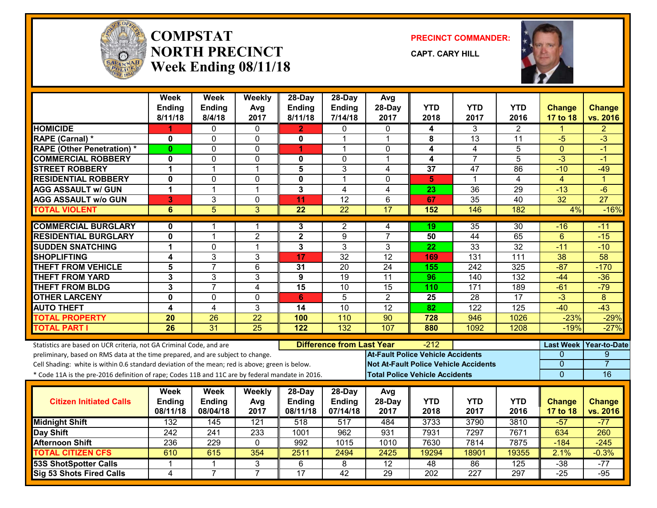

#### **COMPSTATNORTH PRECINCTWeek Ending 08/11/18**

**PRECINCT COMMANDER:**

**CAPT. CARY HILL**



|                                                                                                  | Week<br>Ending             | Week<br>Ending      | Weekly<br>Avg                 | $28-Dav$<br>Ending      | $28-Dav$<br>Ending               | Avg<br>28-Day                            | <b>YTD</b>       | <b>YTD</b>                                   | YTD                               | <b>Change</b>           | <b>Change</b>   |
|--------------------------------------------------------------------------------------------------|----------------------------|---------------------|-------------------------------|-------------------------|----------------------------------|------------------------------------------|------------------|----------------------------------------------|-----------------------------------|-------------------------|-----------------|
|                                                                                                  | 8/11/18                    | 8/4/18              | 2017                          | 8/11/18                 | 7/14/18                          | 2017                                     | 2018             | 2017                                         | 2016                              | 17 to 18                | vs. 2016        |
| <b>HOMICIDE</b>                                                                                  | 1                          | 0                   | $\mathbf{0}$                  | $\overline{2}$          | 0                                | $\Omega$                                 | 4                | 3                                            | $\overline{2}$                    | 1                       | 2               |
| RAPE (Carnal) *                                                                                  | 0                          | $\Omega$            | $\mathbf{0}$                  | 0                       | 1                                | 1                                        | 8                | $\overline{13}$                              | 11                                | $-5$                    | $-3$            |
| <b>RAPE (Other Penetration) *</b>                                                                | $\bf{0}$                   | 0                   | $\mathbf{0}$                  | 1                       | 1                                | $\mathbf{0}$<br>1                        | 4                | 4                                            | 5<br>$\overline{5}$               | $\mathbf{0}$<br>$-3$    | $-1$            |
| <b>COMMERCIAL ROBBERY</b>                                                                        | $\overline{\mathbf{0}}$    | $\overline{0}$      | $\mathbf 0$                   | 0                       | $\mathbf 0$                      |                                          | 4                | $\overline{7}$                               |                                   |                         | $-1$            |
| <b>STREET ROBBERY</b>                                                                            | $\blacktriangleleft$       | $\mathbf{1}$        | $\mathbf{1}$                  | $\overline{\mathbf{5}}$ | 3                                | 4                                        | $\overline{37}$  | 47<br>1                                      | 86                                | $-10$                   | $-49$           |
| <b>RESIDENTIAL ROBBERY</b><br><b>AGG ASSAULT w/ GUN</b>                                          | $\mathbf 0$<br>$\mathbf 1$ | 0<br>$\mathbf{1}$   | 0<br>$\mathbf 1$              | 0<br>$\overline{3}$     | $\mathbf{1}$<br>$\overline{4}$   | 0<br>4                                   | 5                | $\overline{36}$                              | $\overline{4}$<br>$\overline{29}$ | $\overline{4}$<br>$-13$ | 1<br>$-6$       |
|                                                                                                  |                            |                     |                               |                         |                                  |                                          | $\overline{23}$  |                                              |                                   |                         |                 |
| <b>AGG ASSAULT w/o GUN</b>                                                                       | 3                          | 3<br>$\overline{5}$ | $\mathbf 0$<br>$\overline{3}$ | 11<br>$\overline{22}$   | 12<br>$\overline{22}$            | 6<br>17                                  | 67<br>152        | $\overline{35}$                              | 40<br>182                         | 32                      | $\overline{27}$ |
| <b>TOTAL VIOLENT</b>                                                                             | $\overline{6}$             |                     |                               |                         |                                  |                                          |                  | 146                                          |                                   | 4%                      | $-16%$          |
| <b>COMMERCIAL BURGLARY</b>                                                                       | $\mathbf{0}$               | 1                   | 1                             | 3                       | 2                                | 4                                        | 19               | 35                                           | 30                                | -16                     | -11             |
| <b>RESIDENTIAL BURGLARY</b>                                                                      | $\mathbf 0$                | $\mathbf{1}$        | $\overline{2}$                | $\overline{2}$          | 9                                | $\overline{7}$                           | 50               | 44                                           | 65                                | $6\phantom{1}$          | $-15$           |
| <b>SUDDEN SNATCHING</b>                                                                          | $\mathbf{1}$               | 0                   | $\mathbf{1}$                  | 3                       | 3                                | 3                                        | 22               | 33                                           | $\overline{32}$                   | $-11$                   | $-10$           |
| <b>SHOPLIFTING</b>                                                                               | 4                          | $\overline{3}$      | 3                             | 17                      | $\overline{32}$                  | 12                                       | 169              | 131                                          | $\overline{111}$                  | $\overline{38}$         | 58              |
| <b>THEFT FROM VEHICLE</b>                                                                        | 5                          | $\overline{7}$      | $6\phantom{1}$                | 31                      | 20                               | 24                                       | 155              | 242                                          | 325                               | $-87$                   | $-170$          |
| <b>THEFT FROM YARD</b>                                                                           | 3                          | 3                   | 3                             | 9                       | $\overline{19}$                  | $\overline{11}$                          | 96               | 140                                          | $\overline{132}$                  | $-44$                   | $-36$           |
| <b>THEFT FROM BLDG</b>                                                                           | 3                          | $\overline{7}$      | 4                             | $\overline{15}$         | 10                               | $\overline{15}$                          | 110              | 171                                          | 189                               | $-61$                   | $-79$           |
| <b>OTHER LARCENY</b>                                                                             | $\mathbf 0$                | 0                   | $\mathbf{0}$                  | 6                       | 5                                | $\overline{2}$                           | 25               | 28                                           | 17                                | $-3$                    | 8               |
| <b>AUTO THEFT</b>                                                                                | $\overline{\mathbf{4}}$    | 4                   | 3                             | $\overline{14}$         | $\overline{10}$                  | $\overline{12}$                          | $\overline{82}$  | 122                                          | 125                               | $-40$                   | $-43$           |
| <b>TOTAL PROPERTY</b>                                                                            | 20                         | $\overline{26}$     | $\overline{22}$               | 100                     | 110                              | $\overline{90}$                          | 728              | 946                                          | 1026                              | $-23%$                  | $-29%$          |
| <b>TOTAL PART I</b>                                                                              | $\overline{26}$            | $\overline{31}$     | 25                            | 122                     | 132                              | 107                                      | 880              | 1092                                         | 1208                              | $-19%$                  | $-27%$          |
| Statistics are based on UCR criteria, not GA Criminal Code, and are                              |                            |                     |                               |                         | <b>Difference from Last Year</b> |                                          | -212             |                                              |                                   | <b>Last Week</b>        | Year-to-Date    |
| preliminary, based on RMS data at the time prepared, and are subject to change.                  |                            |                     |                               |                         |                                  | <b>At-Fault Police Vehicle Accidents</b> |                  |                                              |                                   | 0                       | 9               |
| Cell Shading: white is within 0.6 standard deviation of the mean; red is above; green is below.  |                            |                     |                               |                         |                                  |                                          |                  | <b>Not At-Fault Police Vehicle Accidents</b> |                                   | $\mathbf{0}$            | $\overline{7}$  |
| * Code 11A is the pre-2016 definition of rape; Codes 11B and 11C are by federal mandate in 2016. |                            |                     |                               |                         |                                  | <b>Total Police Vehicle Accidents</b>    |                  |                                              |                                   | $\overline{0}$          | 16              |
|                                                                                                  |                            |                     |                               |                         |                                  |                                          |                  |                                              |                                   |                         |                 |
|                                                                                                  | Week                       | <b>Week</b>         | <b>Weekly</b>                 | 28-Day                  | 28-Day                           | Avg                                      |                  |                                              |                                   |                         |                 |
| <b>Citizen Initiated Calls</b>                                                                   | Ending                     | Ending              | Avg                           | <b>Ending</b>           | <b>Ending</b>                    | 28-Day                                   | <b>YTD</b>       | <b>YTD</b>                                   | YTD                               | <b>Change</b>           | <b>Change</b>   |
|                                                                                                  | 08/11/18                   | 08/04/18            | 2017                          | 08/11/18                | 07/14/18                         | 2017                                     | 2018             | 2017                                         | 2016                              | 17 to 18                | vs. 2016        |
| <b>Midnight Shift</b>                                                                            | 132                        | 145                 | 121                           | 518                     | 517                              | 484                                      | 3733             | 3790                                         | 3810                              | $-57$                   | $-77$           |
| <b>Day Shift</b>                                                                                 | 242                        | 241                 | 233                           | 1001                    | 962                              | 931                                      | 7931             | 7297                                         | 7671                              | 634                     | 260             |
| <b>Afternoon Shift</b>                                                                           | 236                        | $\overline{229}$    | $\mathbf{0}$                  | 992                     | 1015                             | 1010                                     | 7630             | 7814                                         | 7875                              | $-184$                  | $-245$          |
| <b>TOTAL CITIZEN CFS</b>                                                                         | 610                        | 615                 | 354                           | 2511                    | 2494                             | 2425                                     | 19294            | 18901                                        | 19355                             | 2.1%                    | $-0.3%$         |
| <b>53S ShotSpotter Calls</b>                                                                     | $\mathbf 1$                | 1                   | 3                             | 6                       | 8                                | $\overline{12}$                          | 48               | 86                                           | $\overline{125}$                  | $-38$                   | $-77$           |
| <b>Sig 53 Shots Fired Calls</b>                                                                  | 4                          | $\overline{7}$      | $\overline{7}$                | 17                      | 42                               | 29                                       | $\overline{202}$ | 227                                          | 297                               | $-25$                   | $-95$           |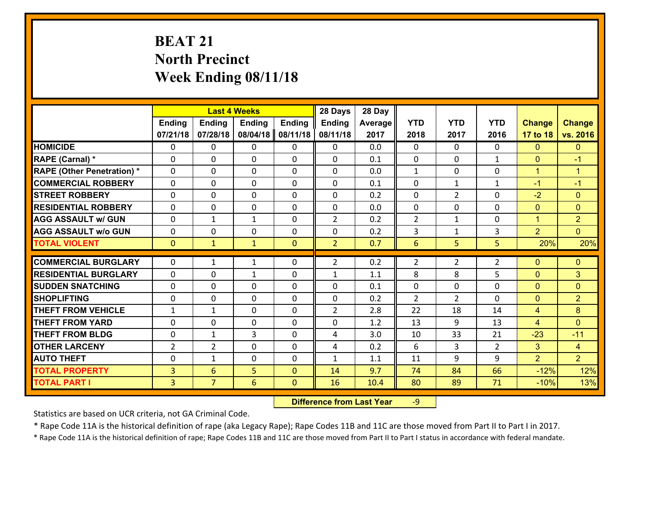# **BEAT 21 North Precinct Week Ending 08/11/18**

| <b>Ending</b><br>07/21/18<br><b>HOMICIDE</b><br>$\Omega$ | <b>Ending</b><br>07/28/18 | <b>Last 4 Weeks</b><br><b>Ending</b><br><b>Ending</b> |              |                |         |                |                |                |                |                      |
|----------------------------------------------------------|---------------------------|-------------------------------------------------------|--------------|----------------|---------|----------------|----------------|----------------|----------------|----------------------|
|                                                          |                           |                                                       |              | Ending         | Average | <b>YTD</b>     | <b>YTD</b>     | <b>YTD</b>     | <b>Change</b>  | <b>Change</b>        |
|                                                          |                           | 08/04/18                                              | 08/11/18     | 08/11/18       | 2017    | 2018           | 2017           | 2016           | 17 to 18       | vs. 2016             |
|                                                          | 0                         | $\mathbf{0}$                                          | 0            | $\mathbf{0}$   | 0.0     | $\Omega$       | $\Omega$       | $\Omega$       | $\mathbf{0}$   | $\mathbf{0}$         |
| RAPE (Carnal) *<br>$\Omega$                              | 0                         | $\mathbf{0}$                                          | 0            | $\Omega$       | 0.1     | 0              | $\Omega$       | $\mathbf{1}$   | $\mathbf{0}$   | $-1$                 |
| <b>RAPE (Other Penetration) *</b><br>$\Omega$            | $\Omega$                  | $\mathbf 0$                                           | $\Omega$     | $\Omega$       | 0.0     | $\mathbf{1}$   | $\Omega$       | $\Omega$       | $\mathbf{1}$   | $\blacktriangleleft$ |
| <b>COMMERCIAL ROBBERY</b><br>$\Omega$                    | $\Omega$                  | $\mathbf 0$                                           | $\Omega$     | $\Omega$       | 0.1     | $\Omega$       | $\mathbf{1}$   | $\mathbf{1}$   | $-1$           | $-1$                 |
| 0<br><b>STREET ROBBERY</b>                               | 0                         | $\mathbf 0$                                           | 0            | 0              | 0.2     | $\mathbf 0$    | $\overline{2}$ | 0              | $-2$           | $\mathbf{0}$         |
| <b>RESIDENTIAL ROBBERY</b><br>$\Omega$                   | 0                         | $\mathbf 0$                                           | 0            | 0              | 0.0     | $\mathbf 0$    | $\mathbf 0$    | 0              | $\overline{0}$ | $\mathbf{0}$         |
| <b>AGG ASSAULT w/ GUN</b><br>0                           | 1                         | $\mathbf{1}$                                          | 0            | $\overline{2}$ | 0.2     | $\overline{2}$ | $\mathbf{1}$   | 0              | $\mathbf{1}$   | $\overline{2}$       |
| <b>AGG ASSAULT w/o GUN</b><br>$\Omega$                   | 0                         | $\mathbf 0$                                           | $\Omega$     | 0              | 0.2     | 3              | $\mathbf{1}$   | 3              | $\overline{2}$ | $\overline{0}$       |
| <b>TOTAL VIOLENT</b><br>$\mathbf{0}$                     | $\mathbf{1}$              | $\mathbf{1}$                                          | $\mathbf{0}$ | $\overline{2}$ | 0.7     | $6\phantom{1}$ | 5              | 5              | 20%            | 20%                  |
| <b>COMMERCIAL BURGLARY</b><br>0                          | 1                         | $\mathbf{1}$                                          | 0            | $\overline{2}$ | 0.2     | $\overline{2}$ | $\overline{2}$ | $\overline{2}$ | $\mathbf{0}$   | $\mathbf{0}$         |
| <b>RESIDENTIAL BURGLARY</b><br>$\Omega$                  | 0                         | 1                                                     | $\Omega$     | $\mathbf{1}$   | 1.1     | 8              | 8              | 5              | $\mathbf{0}$   | 3                    |
| <b>SUDDEN SNATCHING</b><br>0                             | 0                         | 0                                                     | $\Omega$     | 0              | 0.1     | $\mathbf{0}$   | 0              | $\Omega$       | $\mathbf{0}$   | $\mathbf{0}$         |
| <b>SHOPLIFTING</b><br>$\Omega$                           | $\Omega$                  | $\mathbf 0$                                           | $\Omega$     | 0              | 0.2     | $\overline{2}$ | $\overline{2}$ | $\Omega$       | $\overline{0}$ | $\overline{2}$       |
| <b>THEFT FROM VEHICLE</b><br>$\mathbf{1}$                | 1                         | $\mathbf 0$                                           | 0            | $\overline{2}$ | 2.8     | 22             | 18             | 14             | $\overline{4}$ | 8                    |
| <b>THEFT FROM YARD</b><br>0                              | 0                         | $\mathbf 0$                                           | 0            | 0              | 1.2     | 13             | 9              | 13             | $\overline{4}$ | $\mathbf{0}$         |
| <b>THEFT FROM BLDG</b><br>0                              | 1                         | 3                                                     | $\Omega$     | 4              | 3.0     | 10             | 33             | 21             | $-23$          | $-11$                |
| <b>OTHER LARCENY</b><br>$\overline{2}$                   | $\overline{2}$            | $\mathbf 0$                                           | $\Omega$     | 4              | 0.2     | 6              | $\overline{3}$ | $\overline{2}$ | $\overline{3}$ | $\overline{4}$       |
| <b>AUTO THEFT</b><br>0                                   | 1                         | $\mathbf 0$                                           | 0            | $\mathbf{1}$   | 1.1     | 11             | 9              | 9              | $\overline{2}$ | 2 <sup>1</sup>       |
| <b>TOTAL PROPERTY</b><br>3                               | 6                         | 5                                                     | $\Omega$     | 14             | 9.7     | 74             | 84             | 66             | $-12%$         | 12%                  |
| <b>TOTAL PART I</b><br>$\overline{3}$                    | $\overline{7}$            | 6                                                     | $\mathbf{0}$ | 16             | 10.4    | 80             | 89             | 71             | $-10%$         | 13%                  |

 **Difference from Last Year**r -9

Statistics are based on UCR criteria, not GA Criminal Code.

\* Rape Code 11A is the historical definition of rape (aka Legacy Rape); Rape Codes 11B and 11C are those moved from Part II to Part I in 2017.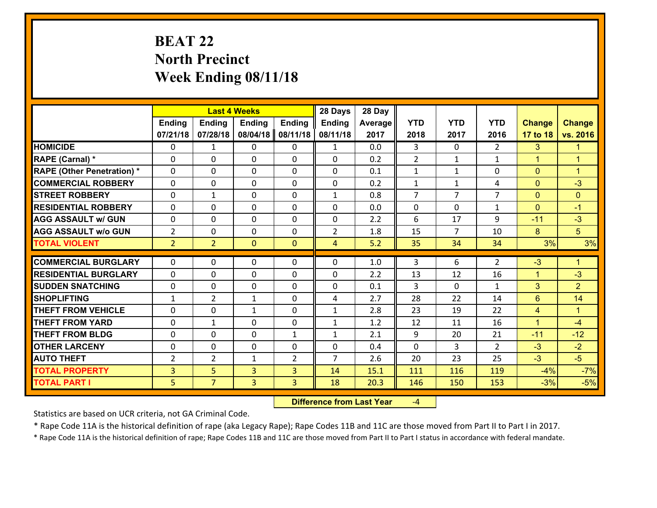## **BEAT 22 North Precinct Week Ending 08/11/18**

|                                   |                |                | <b>Last 4 Weeks</b> |                | 28 Days        | 28 Day  |                |                |                |                |                      |
|-----------------------------------|----------------|----------------|---------------------|----------------|----------------|---------|----------------|----------------|----------------|----------------|----------------------|
|                                   | <b>Ending</b>  | <b>Ending</b>  | <b>Ending</b>       | <b>Ending</b>  | <b>Ending</b>  | Average | <b>YTD</b>     | <b>YTD</b>     | <b>YTD</b>     | <b>Change</b>  | <b>Change</b>        |
|                                   | 07/21/18       | 07/28/18       | 08/04/18            | 08/11/18       | 08/11/18       | 2017    | 2018           | 2017           | 2016           | 17 to 18       | vs. 2016             |
| <b>HOMICIDE</b>                   | 0              | $\mathbf{1}$   | 0                   | 0              | $\mathbf{1}$   | 0.0     | 3              | $\Omega$       | $\overline{2}$ | 3              | $\blacktriangleleft$ |
| RAPE (Carnal) *                   | $\Omega$       | 0              | $\mathbf{0}$        | 0              | $\Omega$       | 0.2     | 2              | $\mathbf{1}$   | $\mathbf{1}$   | $\mathbf{1}$   | $\blacktriangleleft$ |
| <b>RAPE (Other Penetration) *</b> | $\Omega$       | 0              | $\Omega$            | $\Omega$       | $\Omega$       | 0.1     | $\mathbf{1}$   | $\mathbf{1}$   | $\Omega$       | $\mathbf{0}$   | $\blacktriangleleft$ |
| <b>COMMERCIAL ROBBERY</b>         | $\Omega$       | $\Omega$       | $\mathbf 0$         | $\Omega$       | 0              | 0.2     | $\mathbf{1}$   | $\mathbf{1}$   | 4              | $\mathbf{0}$   | $-3$                 |
| <b>STREET ROBBERY</b>             | 0              | $\mathbf 1$    | $\mathbf 0$         | 0              | $\mathbf{1}$   | 0.8     | $\overline{7}$ | $\overline{7}$ | $\overline{7}$ | $\mathbf{0}$   | $\mathbf{0}$         |
| <b>RESIDENTIAL ROBBERY</b>        | $\Omega$       | 0              | $\mathbf 0$         | 0              | 0              | 0.0     | $\mathbf 0$    | $\mathbf{0}$   | $\mathbf{1}$   | $\mathbf{0}$   | $-1$                 |
| <b>AGG ASSAULT w/ GUN</b>         | 0              | 0              | $\mathbf 0$         | 0              | $\mathbf 0$    | 2.2     | 6              | 17             | 9              | $-11$          | $-3$                 |
| <b>AGG ASSAULT w/o GUN</b>        | $\overline{2}$ | 0              | $\mathbf 0$         | 0              | $\overline{2}$ | 1.8     | 15             | $\overline{7}$ | 10             | 8              | 5 <sup>5</sup>       |
| <b>TOTAL VIOLENT</b>              | 2 <sup>1</sup> | $\overline{2}$ | $\mathbf{0}$        | $\overline{0}$ | $\overline{4}$ | 5.2     | 35             | 34             | 34             | 3%             | 3%                   |
|                                   |                |                |                     |                |                |         |                |                |                |                |                      |
| <b>COMMERCIAL BURGLARY</b>        | $\Omega$       | 0              | 0                   | 0              | $\Omega$       | 1.0     | 3              | 6              | $\overline{2}$ | $-3$           | $\blacktriangleleft$ |
| <b>RESIDENTIAL BURGLARY</b>       | $\Omega$       | 0              | $\mathbf 0$         | $\Omega$       | $\Omega$       | 2.2     | 13             | 12             | 16             | $\mathbf{1}$   | $-3$                 |
| <b>SUDDEN SNATCHING</b>           | $\Omega$       | 0              | $\mathbf 0$         | $\Omega$       | $\Omega$       | 0.1     | 3              | $\Omega$       | $\mathbf{1}$   | 3              | 2 <sup>1</sup>       |
| <b>SHOPLIFTING</b>                | $\mathbf{1}$   | $\overline{2}$ | 1                   | $\Omega$       | 4              | 2.7     | 28             | 22             | 14             | $6\phantom{1}$ | 14                   |
| <b>THEFT FROM VEHICLE</b>         | $\Omega$       | 0              | 1                   | 0              | $\mathbf{1}$   | 2.8     | 23             | 19             | 22             | 4              | $\blacktriangleleft$ |
| <b>THEFT FROM YARD</b>            | 0              | $\mathbf{1}$   | $\mathbf 0$         | 0              | $\mathbf{1}$   | 1.2     | 12             | 11             | 16             | $\mathbf{1}$   | $-4$                 |
| <b>THEFT FROM BLDG</b>            | 0              | 0              | $\mathbf 0$         | $\mathbf{1}$   | $\mathbf{1}$   | 2.1     | 9              | 20             | 21             | $-11$          | $-12$                |
| <b>OTHER LARCENY</b>              | 0              | 0              | $\mathbf 0$         | 0              | 0              | 0.4     | $\mathbf 0$    | 3              | $\mathcal{L}$  | $-3$           | $-2$                 |
| <b>AUTO THEFT</b>                 | $\overline{2}$ | $\overline{2}$ | 1                   | $\overline{2}$ | $\overline{7}$ | 2.6     | 20             | 23             | 25             | $-3$           | $-5$                 |
| <b>TOTAL PROPERTY</b>             | $\overline{3}$ | 5              | $\overline{3}$      | 3              | 14             | 15.1    | 111            | 116            | 119            | $-4%$          | $-7%$                |
| <b>TOTAL PART I</b>               | 5              | $\overline{7}$ | $\overline{3}$      | 3              | 18             | 20.3    | 146            | 150            | 153            | $-3%$          | $-5%$                |

 **Difference from Last Year**‐4

Statistics are based on UCR criteria, not GA Criminal Code.

\* Rape Code 11A is the historical definition of rape (aka Legacy Rape); Rape Codes 11B and 11C are those moved from Part II to Part I in 2017.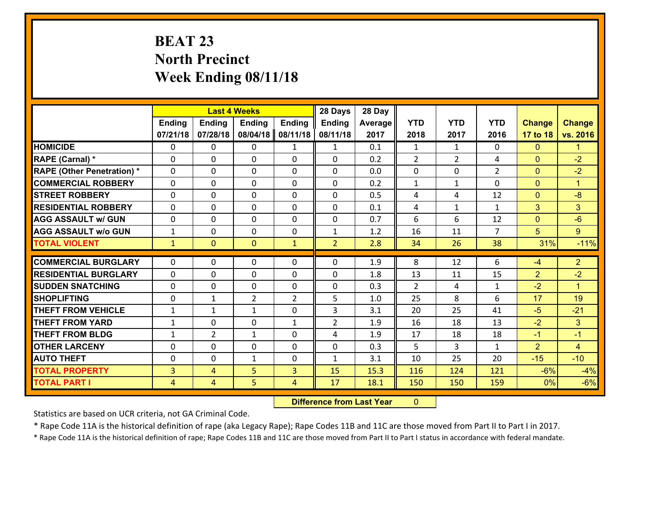## **BEAT 23 North Precinct Week Ending 08/11/18**

|                                   |                |                | <b>Last 4 Weeks</b> |                | 28 Days        | 28 Day  |                |                |                |                |                      |
|-----------------------------------|----------------|----------------|---------------------|----------------|----------------|---------|----------------|----------------|----------------|----------------|----------------------|
|                                   | Ending         | Ending         | <b>Ending</b>       | <b>Ending</b>  | <b>Ending</b>  | Average | <b>YTD</b>     | <b>YTD</b>     | <b>YTD</b>     | <b>Change</b>  | <b>Change</b>        |
|                                   | 07/21/18       | 07/28/18       | 08/04/18            | 08/11/18       | 08/11/18       | 2017    | 2018           | 2017           | 2016           | 17 to 18       | vs. 2016             |
| <b>HOMICIDE</b>                   | 0              | 0              | 0                   | $\mathbf{1}$   | $\mathbf{1}$   | 0.1     | $\mathbf{1}$   | $\mathbf{1}$   | 0              | $\mathbf{0}$   | 1.                   |
| RAPE (Carnal) *                   | $\mathbf{0}$   | 0              | $\mathbf 0$         | 0              | 0              | 0.2     | $\overline{2}$ | $\overline{2}$ | 4              | $\mathbf{0}$   | $-2$                 |
| <b>RAPE (Other Penetration) *</b> | $\Omega$       | 0              | $\mathbf{0}$        | 0              | $\Omega$       | 0.0     | $\mathbf{0}$   | 0              | $\overline{2}$ | $\mathbf{0}$   | $-2$                 |
| <b>COMMERCIAL ROBBERY</b>         | $\Omega$       | 0              | $\mathbf{0}$        | $\Omega$       | $\Omega$       | 0.2     | $\mathbf{1}$   | $\mathbf{1}$   | 0              | $\mathbf{0}$   | $\mathbf{1}$         |
| <b>STREET ROBBERY</b>             | $\Omega$       | 0              | $\mathbf{0}$        | $\Omega$       | $\Omega$       | 0.5     | 4              | 4              | 12             | $\mathbf{0}$   | $-8$                 |
| <b>RESIDENTIAL ROBBERY</b>        | $\Omega$       | 0              | $\mathbf{0}$        | $\Omega$       | $\Omega$       | 0.1     | 4              | $\mathbf{1}$   | $\mathbf{1}$   | 3              | 3                    |
| <b>AGG ASSAULT w/ GUN</b>         | 0              | 0              | $\mathbf 0$         | $\Omega$       | 0              | 0.7     | 6              | 6              | 12             | $\mathbf{0}$   | $-6$                 |
| <b>AGG ASSAULT w/o GUN</b>        | $\mathbf{1}$   | 0              | 0                   | 0              | $\mathbf{1}$   | 1.2     | 16             | 11             | $\overline{7}$ | 5              | $9^{\circ}$          |
| <b>TOTAL VIOLENT</b>              | $\mathbf{1}$   | $\mathbf{0}$   | $\mathbf{0}$        | $\mathbf{1}$   | $\overline{2}$ | 2.8     | 34             | 26             | 38             | 31%            | $-11%$               |
| <b>COMMERCIAL BURGLARY</b>        | $\mathbf{0}$   | 0              |                     | 0              | $\Omega$       | 1.9     |                |                | 6              |                | 2 <sup>1</sup>       |
| <b>RESIDENTIAL BURGLARY</b>       |                |                | 0                   |                |                |         | 8              | 12             |                | $-4$           |                      |
|                                   | $\Omega$       | 0              | $\mathbf 0$         | $\Omega$       | 0              | 1.8     | 13             | 11             | 15             | $\overline{2}$ | $-2$                 |
|                                   |                |                |                     |                |                |         |                |                |                |                |                      |
| <b>ISUDDEN SNATCHING</b>          | $\mathbf{0}$   | 0              | 0                   | 0              | $\Omega$       | 0.3     | 2              | 4              | $\mathbf{1}$   | $-2$           | $\blacktriangleleft$ |
| <b>SHOPLIFTING</b>                | $\mathbf{0}$   | $\mathbf{1}$   | $\overline{2}$      | $\overline{2}$ | 5              | 1.0     | 25             | 8              | 6              | 17             | 19                   |
| <b>THEFT FROM VEHICLE</b>         | $\mathbf{1}$   | $\mathbf{1}$   | $\mathbf{1}$        | 0              | 3              | 3.1     | 20             | 25             | 41             | $-5$           | $-21$                |
| <b>THEFT FROM YARD</b>            | $\mathbf{1}$   | 0              | $\mathbf{0}$        | $\mathbf{1}$   | $\overline{2}$ | 1.9     | 16             | 18             | 13             | $-2$           | 3                    |
| <b>THEFT FROM BLDG</b>            | 1              | $\overline{2}$ | $\mathbf{1}$        | $\Omega$       | 4              | 1.9     | 17             | 18             | 18             | $-1$           | $-1$                 |
| <b>OTHER LARCENY</b>              | $\mathbf{0}$   | 0              | $\mathbf{0}$        | $\Omega$       | $\Omega$       | 0.3     | 5              | 3              | $\mathbf{1}$   | $\overline{2}$ | $\overline{4}$       |
| <b>AUTO THEFT</b>                 | $\mathbf{0}$   | 0              | 1                   | 0              | $\mathbf{1}$   | 3.1     | 10             | 25             | 20             | $-15$          | $-10$                |
| <b>TOTAL PROPERTY</b>             | $\overline{3}$ | 4              | 5                   | 3              | 15             | 15.3    | 116            | 124            | 121            | $-6%$          | $-4%$                |
| <b>TOTAL PART I</b>               | 4              | $\overline{4}$ | 5                   | 4              | 17             | 18.1    | 150            | 150            | 159            | 0%             | $-6%$                |

 **Difference from Last Year**r 0

Statistics are based on UCR criteria, not GA Criminal Code.

\* Rape Code 11A is the historical definition of rape (aka Legacy Rape); Rape Codes 11B and 11C are those moved from Part II to Part I in 2017.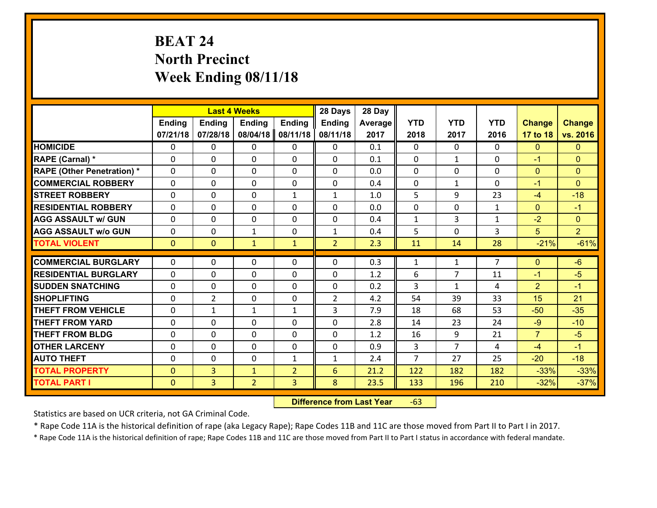# **BEAT 24 North Precinct Week Ending 08/11/18**

|                                   |              | <b>Last 4 Weeks</b><br><b>Ending</b><br><b>Ending</b><br><b>Ending</b><br><b>Ending</b> |                |                |                | 28 Day  |                |                |                |                |                |
|-----------------------------------|--------------|-----------------------------------------------------------------------------------------|----------------|----------------|----------------|---------|----------------|----------------|----------------|----------------|----------------|
|                                   |              |                                                                                         |                |                | <b>Ending</b>  | Average | <b>YTD</b>     | <b>YTD</b>     | <b>YTD</b>     | <b>Change</b>  | <b>Change</b>  |
|                                   | 07/21/18     | 07/28/18                                                                                | 08/04/18       | 08/11/18       | 08/11/18       | 2017    | 2018           | 2017           | 2016           | 17 to 18       | vs. 2016       |
| <b>HOMICIDE</b>                   | $\Omega$     | 0                                                                                       | $\Omega$       | $\Omega$       | 0              | 0.1     | $\Omega$       | $\Omega$       | 0              | $\mathbf{0}$   | $\mathbf{0}$   |
| RAPE (Carnal) *                   | 0            | 0                                                                                       | $\mathbf{0}$   | 0              | $\Omega$       | 0.1     | $\mathbf{0}$   | $\mathbf{1}$   | $\Omega$       | $-1$           | $\mathbf{0}$   |
| <b>RAPE (Other Penetration) *</b> | $\Omega$     | 0                                                                                       | $\mathbf{0}$   | $\Omega$       | $\Omega$       | 0.0     | $\Omega$       | $\Omega$       | $\Omega$       | $\mathbf{0}$   | $\mathbf{0}$   |
| <b>COMMERCIAL ROBBERY</b>         | 0            | 0                                                                                       | 0              | 0              | 0              | 0.4     | $\mathbf{0}$   | $\mathbf{1}$   | $\Omega$       | $-1$           | $\mathbf{0}$   |
| <b>STREET ROBBERY</b>             | $\Omega$     | 0                                                                                       | $\mathbf 0$    | $\mathbf{1}$   | $\mathbf{1}$   | 1.0     | 5              | 9              | 23             | $-4$           | $-18$          |
| <b>RESIDENTIAL ROBBERY</b>        | $\Omega$     | $\Omega$                                                                                | $\mathbf 0$    | $\Omega$       | 0              | 0.0     | $\mathbf 0$    | $\Omega$       | $\mathbf{1}$   | $\overline{0}$ | $-1$           |
| <b>AGG ASSAULT w/ GUN</b>         | $\Omega$     | 0                                                                                       | $\mathbf 0$    | $\Omega$       | 0              | 0.4     | $\mathbf 1$    | 3              | $\mathbf{1}$   | $-2$           | $\overline{0}$ |
| <b>AGG ASSAULT w/o GUN</b>        | 0            | 0                                                                                       | $\mathbf{1}$   | 0              | $\mathbf{1}$   | 0.4     | 5              | $\mathbf 0$    | 3              | 5              | 2 <sup>1</sup> |
| <b>TOTAL VIOLENT</b>              | $\mathbf{0}$ | $\overline{0}$                                                                          | $\mathbf{1}$   | $\mathbf{1}$   | $\overline{2}$ | 2.3     | 11             | 14             | 28             | $-21%$         | $-61%$         |
| <b>COMMERCIAL BURGLARY</b>        | $\Omega$     | 0                                                                                       | $\mathbf{0}$   | $\Omega$       | $\Omega$       | 0.3     | $\mathbf{1}$   | $\mathbf{1}$   | $\overline{7}$ | $\mathbf{0}$   | $-6$           |
|                                   |              |                                                                                         |                |                |                |         |                |                |                |                |                |
| <b>RESIDENTIAL BURGLARY</b>       | 0            | 0                                                                                       | $\mathbf 0$    | 0              | 0              | 1.2     | 6              | 7              | 11             | $-1$           | $-5$           |
| <b>SUDDEN SNATCHING</b>           | 0            | 0                                                                                       | $\mathbf 0$    | 0              | 0              | 0.2     | 3              | $\mathbf{1}$   | 4              | $\overline{2}$ | $-1$           |
| <b>SHOPLIFTING</b>                | 0            | $\overline{2}$                                                                          | $\mathbf 0$    | 0              | $\overline{2}$ | 4.2     | 54             | 39             | 33             | 15             | 21             |
| <b>THEFT FROM VEHICLE</b>         | $\Omega$     | $\mathbf{1}$                                                                            | 1              | $\mathbf{1}$   | 3              | 7.9     | 18             | 68             | 53             | $-50$          | $-35$          |
| <b>THEFT FROM YARD</b>            | 0            | 0                                                                                       | $\mathbf 0$    | 0              | 0              | 2.8     | 14             | 23             | 24             | $-9$           | $-10$          |
| <b>THEFT FROM BLDG</b>            | 0            | 0                                                                                       | $\mathbf 0$    | 0              | 0              | 1.2     | 16             | 9              | 21             | $\overline{7}$ | $-5$           |
| <b>OTHER LARCENY</b>              | 0            | 0                                                                                       | $\mathbf 0$    | 0              | 0              | 0.9     | 3              | $\overline{7}$ | 4              | $-4$           | $-1$           |
| <b>AUTO THEFT</b>                 | $\mathbf{0}$ | 0                                                                                       | $\mathbf{0}$   | $\mathbf{1}$   | $\mathbf{1}$   | 2.4     | $\overline{7}$ | 27             | 25             | $-20$          | $-18$          |
| <b>TOTAL PROPERTY</b>             | $\mathbf{0}$ | 3                                                                                       | $\mathbf{1}$   | $\overline{2}$ | 6              | 21.2    | 122            | 182            | 182            | $-33%$         | $-33%$         |
| <b>TOTAL PART I</b>               | $\mathbf{0}$ | $\overline{3}$                                                                          | $\overline{2}$ | 3              | 8              | 23.5    | 133            | 196            | 210            | $-32%$         | $-37%$         |

 **Difference from Last Year**r -63

Statistics are based on UCR criteria, not GA Criminal Code.

\* Rape Code 11A is the historical definition of rape (aka Legacy Rape); Rape Codes 11B and 11C are those moved from Part II to Part I in 2017.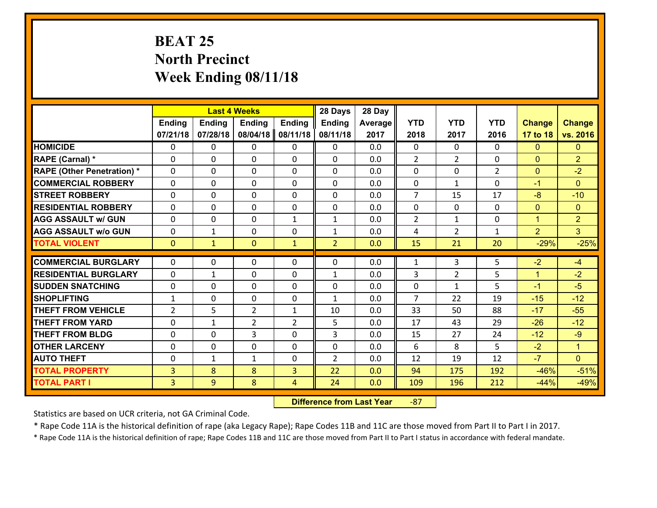## **BEAT 25 North Precinct Week Ending 08/11/18**

|                                   |                | <b>Last 4 Weeks</b> |                |                | 28 Days        | 28 Day  |                |                |                |               |                |
|-----------------------------------|----------------|---------------------|----------------|----------------|----------------|---------|----------------|----------------|----------------|---------------|----------------|
|                                   | Ending         | <b>Ending</b>       | Ending         | <b>Ending</b>  | Ending         | Average | <b>YTD</b>     | <b>YTD</b>     | <b>YTD</b>     | <b>Change</b> | <b>Change</b>  |
|                                   | 07/21/18       | 07/28/18            | 08/04/18       | 08/11/18       | 08/11/18       | 2017    | 2018           | 2017           | 2016           | 17 to 18      | vs. 2016       |
| <b>HOMICIDE</b>                   | 0              | 0                   | 0              | 0              | 0              | 0.0     | $\mathbf{0}$   | $\Omega$       | 0              | $\mathbf{0}$  | $\mathbf{0}$   |
| RAPE (Carnal) *                   | 0              | $\Omega$            | $\mathbf{0}$   | 0              | 0              | 0.0     | 2              | $\overline{2}$ | 0              | $\mathbf{0}$  | $\overline{2}$ |
| <b>RAPE (Other Penetration) *</b> | $\Omega$       | 0                   | $\Omega$       | 0              | 0              | 0.0     | $\Omega$       | $\Omega$       | $\overline{2}$ | $\mathbf{0}$  | $-2$           |
| <b>COMMERCIAL ROBBERY</b>         | 0              | $\Omega$            | $\mathbf 0$    | $\Omega$       | $\Omega$       | 0.0     | $\mathbf 0$    | $\mathbf{1}$   | $\Omega$       | $-1$          | $\Omega$       |
| <b>ISTREET ROBBERY</b>            | 0              | 0                   | $\mathbf 0$    | 0              | 0              | 0.0     | $\overline{7}$ | 15             | 17             | $-8$          | $-10$          |
| <b>RESIDENTIAL ROBBERY</b>        | 0              | 0                   | 0              | $\Omega$       | 0              | 0.0     | $\mathbf 0$    | $\mathbf{0}$   | 0              | $\mathbf{0}$  | $\mathbf{0}$   |
| <b>AGG ASSAULT w/ GUN</b>         | 0              | 0                   | 0              | $\mathbf{1}$   | $\mathbf{1}$   | 0.0     | $\overline{2}$ | $\mathbf{1}$   | 0              | $\mathbf{1}$  | $\overline{2}$ |
| <b>AGG ASSAULT w/o GUN</b>        | 0              | $\mathbf{1}$        | $\mathbf 0$    | $\Omega$       | $\mathbf{1}$   | 0.0     | 4              | $\overline{2}$ | $\mathbf{1}$   | 2             | 3 <sup>1</sup> |
| <b>TOTAL VIOLENT</b>              | $\mathbf{0}$   | $\mathbf{1}$        | $\mathbf{0}$   | $\mathbf{1}$   | $\overline{2}$ | 0.0     | 15             | 21             | 20             | $-29%$        | $-25%$         |
| <b>COMMERCIAL BURGLARY</b>        | $\Omega$       | 0                   | $\mathbf{0}$   | 0              | 0              | 0.0     |                | 3              |                | $-2$          | $-4$           |
|                                   |                |                     |                |                |                |         | 1              |                | 5              |               |                |
| <b>RESIDENTIAL BURGLARY</b>       | $\Omega$       | $\mathbf{1}$        | $\Omega$       | 0              | $\mathbf{1}$   | 0.0     | 3              | $\overline{2}$ | 5              | $\mathbf{1}$  | $-2$           |
| <b>SUDDEN SNATCHING</b>           | 0              | $\Omega$            | $\mathbf{0}$   | $\Omega$       | 0              | 0.0     | $\Omega$       | $\mathbf{1}$   | 5              | $-1$          | $-5$           |
| <b>SHOPLIFTING</b>                | $\mathbf{1}$   | 0                   | $\mathbf{0}$   | $\Omega$       | $\mathbf{1}$   | 0.0     | $\overline{7}$ | 22             | 19             | $-15$         | $-12$          |
| <b>THEFT FROM VEHICLE</b>         | $\overline{2}$ | 5                   | $\overline{2}$ | $\mathbf{1}$   | 10             | 0.0     | 33             | 50             | 88             | $-17$         | $-55$          |
| <b>THEFT FROM YARD</b>            | 0              | $\mathbf{1}$        | $\overline{2}$ | $\overline{2}$ | 5              | 0.0     | 17             | 43             | 29             | $-26$         | $-12$          |
| <b>THEFT FROM BLDG</b>            | 0              | 0                   | 3              | 0              | 3              | 0.0     | 15             | 27             | 24             | $-12$         | $-9$           |
| <b>OTHER LARCENY</b>              | 0              | 0                   | $\mathbf 0$    | 0              | 0              | 0.0     | 6              | 8              | 5              | $-2$          | $\mathbf{1}$   |
| <b>AUTO THEFT</b>                 | 0              | $\mathbf{1}$        | 1              | $\Omega$       | $\overline{2}$ | 0.0     | 12             | 19             | 12             | $-7$          | $\overline{0}$ |
| <b>TOTAL PROPERTY</b>             | 3              | 8                   | 8              | 3              | 22             | 0.0     | 94             | 175            | 192            | $-46%$        | $-51%$         |
| <b>TOTAL PART I</b>               | 3              | 9                   | 8              | 4              | 24             | 0.0     | 109            | 196            | 212            | $-44%$        | $-49%$         |

 **Difference from Last Year**‐87

Statistics are based on UCR criteria, not GA Criminal Code.

\* Rape Code 11A is the historical definition of rape (aka Legacy Rape); Rape Codes 11B and 11C are those moved from Part II to Part I in 2017.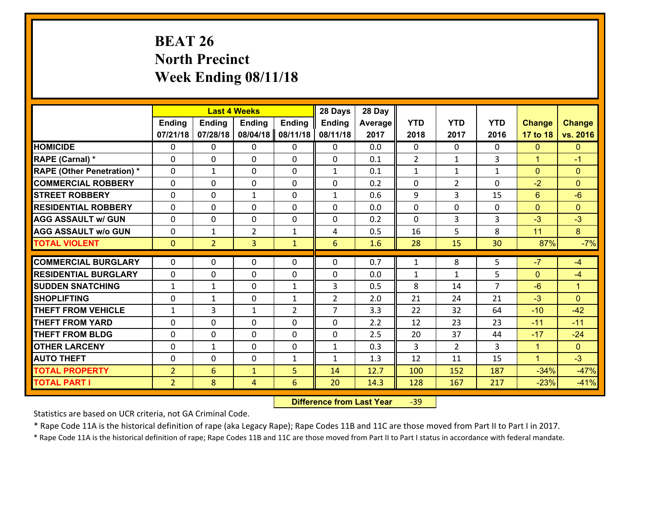# **BEAT 26 North Precinct Week Ending 08/11/18**

|                                   |                | <b>Last 4 Weeks</b><br>Ending<br><b>Ending</b><br><b>Ending</b><br><b>Ending</b> |                |                |                | 28 Day  |              |                |                |                |                      |
|-----------------------------------|----------------|----------------------------------------------------------------------------------|----------------|----------------|----------------|---------|--------------|----------------|----------------|----------------|----------------------|
|                                   |                |                                                                                  |                |                | <b>Ending</b>  | Average | <b>YTD</b>   | <b>YTD</b>     | <b>YTD</b>     | <b>Change</b>  | <b>Change</b>        |
|                                   | 07/21/18       | 07/28/18                                                                         | 08/04/18       | 08/11/18       | 08/11/18       | 2017    | 2018         | 2017           | 2016           | 17 to 18       | vs. 2016             |
| <b>HOMICIDE</b>                   | $\Omega$       | 0                                                                                | 0              | $\Omega$       | $\Omega$       | 0.0     | 0            | $\Omega$       | 0              | $\mathbf{0}$   | $\Omega$             |
| RAPE (Carnal) *                   | $\Omega$       | 0                                                                                | $\Omega$       | 0              | $\Omega$       | 0.1     | 2            | $\mathbf{1}$   | 3              | $\mathbf{1}$   | $-1$                 |
| <b>RAPE (Other Penetration) *</b> | 0              | $\mathbf{1}$                                                                     | $\mathbf 0$    | 0              | $\mathbf{1}$   | 0.1     | $\mathbf{1}$ | $\mathbf{1}$   | $\mathbf{1}$   | $\overline{0}$ | $\overline{0}$       |
| <b>COMMERCIAL ROBBERY</b>         | 0              | 0                                                                                | $\mathbf 0$    | 0              | 0              | 0.2     | 0            | $\overline{2}$ | 0              | $-2$           | $\overline{0}$       |
| <b>STREET ROBBERY</b>             | $\mathbf{0}$   | 0                                                                                | 1              | 0              | $\mathbf{1}$   | 0.6     | 9            | 3              | 15             | $6\phantom{1}$ | $-6$                 |
| <b>RESIDENTIAL ROBBERY</b>        | 0              | 0                                                                                | $\mathbf 0$    | $\mathbf{0}$   | 0              | 0.0     | $\mathbf 0$  | $\mathbf{0}$   | 0              | $\mathbf{0}$   | $\mathbf{0}$         |
| <b>AGG ASSAULT w/ GUN</b>         | 0              | 0                                                                                | $\mathbf 0$    | 0              | 0              | 0.2     | 0            | $\overline{3}$ | 3              | $-3$           | $-3$                 |
| <b>AGG ASSAULT w/o GUN</b>        | 0              | 1                                                                                | $\overline{2}$ | 1              | 4              | 0.5     | 16           | 5              | 8              | 11             | 8                    |
| <b>TOTAL VIOLENT</b>              | $\mathbf{0}$   | $\overline{2}$                                                                   | $\overline{3}$ | $\mathbf{1}$   | 6              | 1.6     | 28           | 15             | 30             | 87%            | $-7%$                |
| <b>COMMERCIAL BURGLARY</b>        | $\Omega$       | 0                                                                                | $\mathbf{0}$   | 0              | $\Omega$       | 0.7     | $\mathbf{1}$ | 8              | 5              | $-7$           | $-4$                 |
| <b>RESIDENTIAL BURGLARY</b>       | $\mathbf{0}$   | 0                                                                                | 0              | 0              | 0              | 0.0     | $\mathbf{1}$ | $\mathbf{1}$   | 5              | $\mathbf{0}$   | $-4$                 |
| <b>SUDDEN SNATCHING</b>           | $\mathbf{1}$   | 1                                                                                | 0              | $\mathbf{1}$   | 3              | 0.5     | 8            | 14             | $\overline{7}$ | $-6$           | $\blacktriangleleft$ |
| <b>SHOPLIFTING</b>                | 0              | $\mathbf{1}$                                                                     | $\mathbf 0$    | $\mathbf{1}$   | $\overline{2}$ | 2.0     | 21           | 24             | 21             | $-3$           | $\Omega$             |
| <b>THEFT FROM VEHICLE</b>         | $\mathbf{1}$   | 3                                                                                | 1              | $\overline{2}$ | $\overline{7}$ | 3.3     | 22           | 32             | 64             | $-10$          | $-42$                |
| <b>THEFT FROM YARD</b>            | 0              | 0                                                                                | $\mathbf 0$    | 0              | 0              | 2.2     | 12           | 23             | 23             | $-11$          | $-11$                |
| <b>THEFT FROM BLDG</b>            | 0              | 0                                                                                | $\mathbf 0$    | $\mathbf{0}$   | 0              | 2.5     | 20           | 37             | 44             | $-17$          | $-24$                |
| <b>OTHER LARCENY</b>              | 0              | $\mathbf{1}$                                                                     | $\mathbf 0$    | $\mathbf 0$    | $\mathbf{1}$   | 0.3     | 3            | $\overline{2}$ | 3              | $\mathbf{1}$   | $\overline{0}$       |
| <b>AUTO THEFT</b>                 | 0              | 0                                                                                | $\mathbf 0$    | $\mathbf{1}$   | $\mathbf{1}$   | 1.3     | 12           | 11             | 15             | $\mathbf{1}$   | $-3$                 |
| <b>TOTAL PROPERTY</b>             | $\overline{2}$ | 6                                                                                | $\mathbf{1}$   | 5              | 14             | 12.7    | 100          | 152            | 187            | $-34%$         | $-47%$               |
| <b>TOTAL PART I</b>               | $\overline{2}$ | 8                                                                                | 4              | 6              | 20             | 14.3    | 128          | 167            | 217            | $-23%$         | $-41%$               |
|                                   |                |                                                                                  |                |                |                |         |              |                |                |                |                      |

 **Difference from Last Year**r -39

Statistics are based on UCR criteria, not GA Criminal Code.

\* Rape Code 11A is the historical definition of rape (aka Legacy Rape); Rape Codes 11B and 11C are those moved from Part II to Part I in 2017.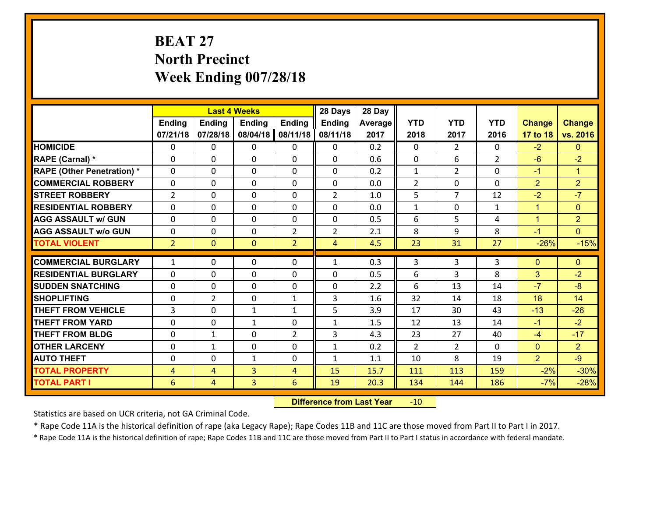# **BEAT 27 North Precinct Week Ending 007/28/18**

|                                   |                | <b>Last 4 Weeks</b><br><b>Ending</b><br><b>Ending</b><br><b>Ending</b><br><b>Ending</b> |                |                |                | 28 Day  |                |                |                |                |                      |
|-----------------------------------|----------------|-----------------------------------------------------------------------------------------|----------------|----------------|----------------|---------|----------------|----------------|----------------|----------------|----------------------|
|                                   |                |                                                                                         |                |                | <b>Ending</b>  | Average | <b>YTD</b>     | <b>YTD</b>     | <b>YTD</b>     | <b>Change</b>  | <b>Change</b>        |
|                                   | 07/21/18       | 07/28/18                                                                                | 08/04/18       | 08/11/18       | 08/11/18       | 2017    | 2018           | 2017           | 2016           | 17 to 18       | vs. 2016             |
| <b>HOMICIDE</b>                   | $\Omega$       | 0                                                                                       | $\Omega$       | $\Omega$       | 0              | 0.2     | $\Omega$       | $\overline{2}$ | 0              | $-2$           | $\mathbf{0}$         |
| RAPE (Carnal) *                   | 0              | 0                                                                                       | $\mathbf{0}$   | 0              | 0              | 0.6     | $\mathbf{0}$   | 6              | $\overline{2}$ | $-6$           | $-2$                 |
| <b>RAPE (Other Penetration) *</b> | $\Omega$       | 0                                                                                       | $\mathbf{0}$   | $\Omega$       | 0              | 0.2     | $\mathbf{1}$   | $\overline{2}$ | $\Omega$       | $-1$           | $\blacktriangleleft$ |
| <b>COMMERCIAL ROBBERY</b>         | 0              | 0                                                                                       | 0              | 0              | 0              | 0.0     | $\overline{2}$ | 0              | $\Omega$       | $\overline{2}$ | $\overline{2}$       |
| <b>STREET ROBBERY</b>             | $\overline{2}$ | 0                                                                                       | $\mathbf 0$    | 0              | $\overline{2}$ | 1.0     | 5 <sup>5</sup> | $\overline{7}$ | 12             | $-2$           | $-7$                 |
| <b>RESIDENTIAL ROBBERY</b>        | $\Omega$       | $\Omega$                                                                                | $\mathbf 0$    | $\Omega$       | 0              | 0.0     | $\mathbf{1}$   | $\mathbf 0$    | $\mathbf{1}$   | $\mathbf{1}$   | $\mathbf{0}$         |
| <b>AGG ASSAULT w/ GUN</b>         | $\Omega$       | 0                                                                                       | $\mathbf 0$    | 0              | 0              | 0.5     | 6              | 5              | 4              | $\mathbf{1}$   | $\overline{2}$       |
| <b>AGG ASSAULT w/o GUN</b>        | 0              | 0                                                                                       | $\mathbf 0$    | $\overline{2}$ | $\overline{2}$ | 2.1     | 8              | 9              | 8              | $-1$           | $\overline{0}$       |
| <b>TOTAL VIOLENT</b>              | 2 <sup>1</sup> | $\overline{0}$                                                                          | $\mathbf{O}$   | $\overline{2}$ | $\overline{4}$ | 4.5     | 23             | 31             | 27             | $-26%$         | $-15%$               |
| <b>COMMERCIAL BURGLARY</b>        | $\mathbf{1}$   | 0                                                                                       | $\mathbf{0}$   | $\Omega$       | $\mathbf{1}$   | 0.3     | 3              | 3              | 3              | $\mathbf{0}$   | $\mathbf{0}$         |
|                                   |                |                                                                                         |                |                |                |         |                |                |                |                |                      |
| <b>RESIDENTIAL BURGLARY</b>       | 0              | 0                                                                                       | $\mathbf 0$    | 0              | 0              | 0.5     | 6              | 3              | 8              | 3              | $-2$                 |
| <b>SUDDEN SNATCHING</b>           | 0              | 0<br>$\overline{2}$                                                                     | $\mathbf 0$    | 0              | 0              | 2.2     | 6              | 13             | 14             | $-7$<br>18     | $-8$<br>14           |
| <b>SHOPLIFTING</b>                | 0              |                                                                                         | $\mathbf 0$    | $\mathbf{1}$   | 3              | 1.6     | 32             | 14             | 18             |                |                      |
| <b>THEFT FROM VEHICLE</b>         | $\overline{3}$ | 0                                                                                       | 1              | $\mathbf{1}$   | 5              | 3.9     | 17             | 30             | 43             | $-13$          | $-26$                |
| <b>THEFT FROM YARD</b>            | 0              | 0                                                                                       | 1              | 0              | $\mathbf{1}$   | 1.5     | 12             | 13             | 14             | $-1$           | $-2$                 |
| <b>THEFT FROM BLDG</b>            | 0              | 1                                                                                       | $\mathbf 0$    | $\overline{2}$ | 3              | 4.3     | 23             | 27             | 40             | $-4$           | $-17$                |
| <b>OTHER LARCENY</b>              | 0              | 1                                                                                       | $\mathbf 0$    | 0              | $\mathbf{1}$   | 0.2     | 2              | $\overline{2}$ | $\Omega$       | $\mathbf{0}$   | $\overline{2}$       |
| <b>AUTO THEFT</b>                 | $\mathbf{0}$   | 0                                                                                       | $\mathbf{1}$   | 0              | $\mathbf{1}$   | 1.1     | 10             | 8              | 19             | $\overline{2}$ | $-9$                 |
| <b>TOTAL PROPERTY</b>             | $\overline{4}$ | 4                                                                                       | $\overline{3}$ | 4              | 15             | 15.7    | 111            | 113            | 159            | $-2%$          | $-30%$               |
| <b>TOTAL PART I</b>               | 6              | $\overline{4}$                                                                          | 3              | 6              | 19             | 20.3    | 134            | 144            | 186            | $-7%$          | $-28%$               |

 **Difference from Last Year**r -10

Statistics are based on UCR criteria, not GA Criminal Code.

\* Rape Code 11A is the historical definition of rape (aka Legacy Rape); Rape Codes 11B and 11C are those moved from Part II to Part I in 2017.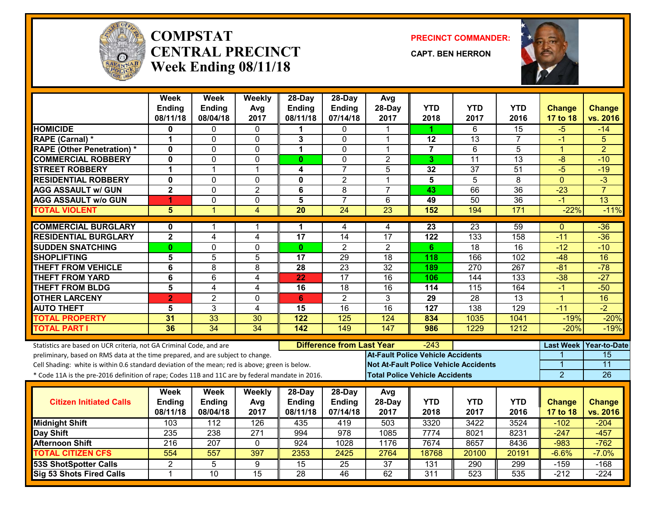

#### **COMPSTATCENTRAL PRECINCTWeek Ending 08/11/18**

**PRECINCT COMMANDER:**

**CAPT. BEN HERRON**



|                                                                                                  | Week<br><b>Ending</b><br>08/11/18 | <b>Week</b><br><b>Ending</b><br>08/04/18 | Weekly<br>Avg<br>2017 | $28$ -Day<br><b>Ending</b><br>08/11/18 | $28$ -Day<br><b>Ending</b><br>07/14/18 | Avg<br>28-Day<br>2017                    | <b>YTD</b><br>2018 | <b>YTD</b><br>2017                           | <b>YTD</b><br>2016 | <b>Change</b><br>17 to 18 | <b>Change</b><br>vs. 2016 |
|--------------------------------------------------------------------------------------------------|-----------------------------------|------------------------------------------|-----------------------|----------------------------------------|----------------------------------------|------------------------------------------|--------------------|----------------------------------------------|--------------------|---------------------------|---------------------------|
| <b>HOMICIDE</b>                                                                                  | 0                                 | 0                                        | $\mathbf{0}$          | 1                                      | $\mathbf{0}$                           | 1                                        | 1.                 | 6                                            | 15                 | $-5$                      | $-14$                     |
| RAPE (Carnal) *                                                                                  | 1                                 | 0                                        | 0                     | 3                                      | $\mathbf{0}$                           | 1                                        | 12                 | 13                                           | 7                  | -1                        | 5                         |
| <b>RAPE (Other Penetration) *</b>                                                                | $\mathbf{0}$                      | $\Omega$                                 | $\mathbf 0$           | $\mathbf 1$                            | $\Omega$                               | $\mathbf{1}$                             | $\overline{7}$     | 6                                            | $\overline{5}$     | 1                         | $\overline{2}$            |
| <b>COMMERCIAL ROBBERY</b>                                                                        | $\mathbf{0}$                      | $\Omega$                                 | $\Omega$              | $\mathbf{0}$                           | $\Omega$                               | $\overline{2}$                           | 3                  | $\overline{11}$                              | 13                 | $-8$                      | $-10$                     |
| <b>STREET ROBBERY</b>                                                                            | 1                                 | $\mathbf{1}$                             | $\overline{1}$        | 4                                      | $\overline{7}$                         | 5                                        | 32                 | 37                                           | 51                 | $-5$                      | $-19$                     |
| <b>RESIDENTIAL ROBBERY</b>                                                                       | $\mathbf 0$                       | 0                                        | $\mathbf{0}$          | $\mathbf{0}$                           | $\overline{2}$                         | 1                                        | 5                  | 5                                            | 8                  | $\mathbf{0}$              | $-3$                      |
| <b>AGG ASSAULT w/ GUN</b>                                                                        | $\overline{\mathbf{2}}$           | $\Omega$                                 | $\overline{2}$        | 6                                      | 8                                      | $\overline{7}$                           | 43                 | 66                                           | $\overline{36}$    | $-23$                     | $\overline{7}$            |
| <b>AGG ASSAULT w/o GUN</b>                                                                       | 4                                 | 0                                        | $\mathbf 0$           | $\overline{5}$                         | $\overline{7}$                         | 6                                        | 49                 | $\overline{50}$                              | $\overline{36}$    | $-1$                      | 13                        |
| <b>TOTAL VIOLENT</b>                                                                             | $\overline{\mathbf{5}}$           | $\overline{1}$                           | 4                     | $\overline{20}$                        | $\overline{24}$                        | $\overline{23}$                          | 152                | 194                                          | 171                | $-22%$                    | $-11%$                    |
| <b>COMMERCIAL BURGLARY</b>                                                                       | $\mathbf{0}$                      | 1                                        | -1                    | 1                                      | 4                                      | 4                                        | 23                 | $\overline{23}$                              | 59                 | $\Omega$                  | $-36$                     |
| <b>RESIDENTIAL BURGLARY</b>                                                                      | $\mathbf 2$                       | 4                                        | 4                     | 17                                     | 14                                     | 17                                       | 122                | 133                                          | 158                | $-11$                     | $-36$                     |
| <b>SUDDEN SNATCHING</b>                                                                          | 0                                 | $\overline{0}$                           | $\overline{0}$        | $\mathbf{0}$                           | $\overline{2}$                         | $\overline{2}$                           | 6                  | 18                                           | 16                 | $-12$                     | $-10$                     |
| <b>SHOPLIFTING</b>                                                                               | 5                                 | $\overline{5}$                           | 5                     | 17                                     | 29                                     | $\overline{18}$                          | 118                | 166                                          | 102                | $-48$                     | 16                        |
| <b>THEFT FROM VEHICLE</b>                                                                        | $\overline{6}$                    | $\overline{8}$                           | 8                     | $\overline{28}$                        | $\overline{23}$                        | $\overline{32}$                          | 189                | 270                                          | 267                | $-81$                     | $-78$                     |
| <b>THEFT FROM YARD</b>                                                                           | 6                                 | 6                                        | 4                     | 22                                     | 17                                     | 16                                       | 106                | 144                                          | 133                | $-38$                     | $-27$                     |
| <b>THEFT FROM BLDG</b>                                                                           | 5                                 | 4                                        | $\overline{4}$        | 16                                     | 18                                     | 16                                       | 114                | 115                                          | 164                | $-1$                      | $-50$                     |
| <b>OTHER LARCENY</b>                                                                             | $\overline{2}$                    | $\overline{2}$                           | $\mathbf 0$           | 6                                      | $\overline{2}$                         | 3                                        | $\overline{29}$    | $\overline{28}$                              | $\overline{13}$    | $\overline{1}$            | $\overline{16}$           |
| <b>AUTO THEFT</b>                                                                                | 5                                 | 3                                        | $\overline{4}$        | 15                                     | $\overline{16}$                        | $\overline{16}$                          | $\overline{127}$   | $\overline{138}$                             | $\overline{129}$   | $-11$                     | $\overline{-2}$           |
| <b>TOTAL PROPERTY</b>                                                                            | 31                                | 33                                       | 30                    | 122                                    | 125                                    | 124                                      | 834                | 1035                                         | 1041               | $-19%$                    | $-20%$                    |
| <b>TOTAL PART I</b>                                                                              | 36                                | $\overline{34}$                          | $\overline{34}$       | 142                                    | 149                                    | 147                                      | 986                | 1229                                         | 1212               | $-20%$                    | $-19%$                    |
| Statistics are based on UCR criteria, not GA Criminal Code, and are                              |                                   |                                          |                       |                                        | <b>Difference from Last Year</b>       |                                          | -243               |                                              |                    | <b>Last Week</b>          | <b>Year-to-Date</b>       |
| preliminary, based on RMS data at the time prepared, and are subject to change.                  |                                   |                                          |                       |                                        |                                        | <b>At-Fault Police Vehicle Accidents</b> |                    |                                              |                    |                           | $\overline{15}$           |
| Cell Shading: white is within 0.6 standard deviation of the mean; red is above; green is below.  |                                   |                                          |                       |                                        |                                        |                                          |                    | <b>Not At-Fault Police Vehicle Accidents</b> |                    | 1                         | $\overline{11}$           |
| * Code 11A is the pre-2016 definition of rape; Codes 11B and 11C are by federal mandate in 2016. |                                   |                                          |                       |                                        |                                        | <b>Total Police Vehicle Accidents</b>    |                    |                                              |                    | $\overline{2}$            | 26                        |
| <b>Citizen Initiated Calls</b>                                                                   | Week<br><b>Ending</b>             | <b>Week</b><br><b>Ending</b>             | Weekly<br>Avg         | 28-Day<br>Ending                       | 28-Day<br>Ending                       | Avg<br>28-Day                            | <b>YTD</b>         | <b>YTD</b>                                   | <b>YTD</b>         | <b>Change</b>             | <b>Change</b>             |
|                                                                                                  | 08/11/18                          | 08/04/18                                 | 2017                  | 08/11/18                               | 07/14/18                               | 2017                                     | 2018               | 2017                                         | 2016               | 17 to 18                  | vs. 2016                  |
| <b>Midnight Shift</b>                                                                            | 103                               | $\overline{112}$                         | 126                   | 435                                    | 419                                    | 503                                      | 3320               | 3422                                         | 3524               | $-102$                    | $-204$                    |
| Day Shift                                                                                        | $\overline{235}$                  | 238                                      | $\overline{271}$      | 994                                    | $\overline{978}$                       | 1085                                     | 7774               | 8021                                         | 8231               | $-247$                    | $-457$                    |
| <b>Afternoon Shift</b>                                                                           | 216                               | 207                                      | $\mathbf{0}$          | 924                                    | 1028                                   | 1176                                     | 7674               | 8657                                         | 8436               | $-983$                    | $-762$                    |
| <b>TOTAL CITIZEN CFS</b>                                                                         | 554                               | $\overline{557}$                         | 397                   | 2353                                   | 2425                                   | 2764                                     | 18768              | 20100                                        | 20191              | $-6.6%$                   | $-7.0%$                   |
| <b>53S ShotSpotter Calls</b>                                                                     | $\overline{2}$                    | 5                                        | 9                     | 15                                     | $\overline{25}$                        | $\overline{37}$                          | 131                | 290                                          | 299                | $-159$                    | $-168$                    |
| Sig 53 Shots Fired Calls                                                                         | $\overline{1}$                    | 10                                       | 15                    | $\overline{28}$                        | 46                                     | 62                                       | $\overline{311}$   | $\overline{523}$                             | 535                | $-212$                    | $-224$                    |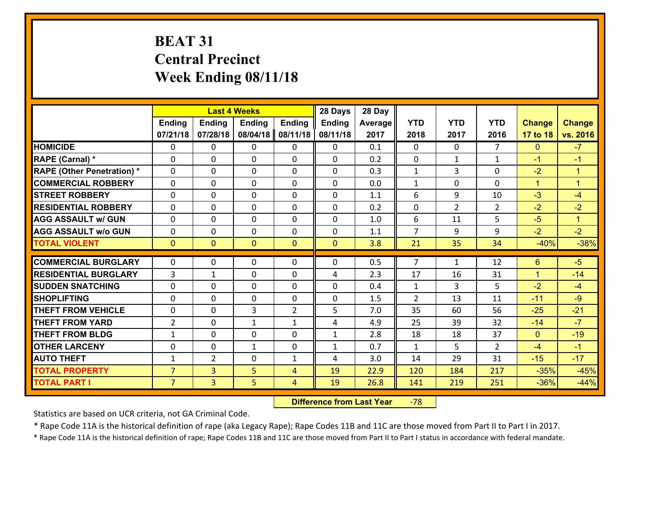## **BEAT 31 Central Precinct Week Ending 08/11/18**

|                                   | <b>Last 4 Weeks</b><br><b>Ending</b><br><b>Ending</b><br><b>Ending</b><br><b>Ending</b> |                |              |                | 28 Days       | 28 Day  |                |                |                |               |                      |
|-----------------------------------|-----------------------------------------------------------------------------------------|----------------|--------------|----------------|---------------|---------|----------------|----------------|----------------|---------------|----------------------|
|                                   |                                                                                         |                |              |                | <b>Ending</b> | Average | <b>YTD</b>     | <b>YTD</b>     | <b>YTD</b>     | <b>Change</b> | <b>Change</b>        |
|                                   | 07/21/18                                                                                | 07/28/18       | 08/04/18     | 08/11/18       | 08/11/18      | 2017    | 2018           | 2017           | 2016           | 17 to 18      | vs. 2016             |
| <b>HOMICIDE</b>                   | $\Omega$                                                                                | 0              | $\mathbf{0}$ | 0              | 0             | 0.1     | 0              | $\Omega$       | $\overline{7}$ | $\mathbf{0}$  | $-7$                 |
| RAPE (Carnal) *                   | $\Omega$                                                                                | 0              | $\mathbf{0}$ | $\Omega$       | $\Omega$      | 0.2     | $\mathbf{0}$   | $\mathbf{1}$   | $\mathbf{1}$   | $-1$          | $-1$                 |
| <b>RAPE (Other Penetration) *</b> | 0                                                                                       | 0              | $\mathbf 0$  | $\Omega$       | 0             | 0.3     | $\mathbf{1}$   | 3              | 0              | $-2$          | $\blacktriangleleft$ |
| <b>COMMERCIAL ROBBERY</b>         | 0                                                                                       | 0              | $\mathbf 0$  | 0              | 0             | 0.0     | $\mathbf{1}$   | $\Omega$       | 0              | $\mathbf{1}$  | $\blacktriangleleft$ |
| <b>STREET ROBBERY</b>             | 0                                                                                       | 0              | $\mathbf 0$  | 0              | 0             | 1.1     | 6              | 9              | 10             | $-3$          | $-4$                 |
| <b>RESIDENTIAL ROBBERY</b>        | 0                                                                                       | 0              | $\mathbf 0$  | $\mathbf 0$    | 0             | 0.2     | 0              | $\overline{2}$ | $\overline{2}$ | $-2$          | $-2$                 |
| <b>AGG ASSAULT w/ GUN</b>         | 0                                                                                       | 0              | $\mathbf 0$  | 0              | 0             | 1.0     | 6              | 11             | 5              | $-5$          | $\mathbf{1}$         |
| <b>AGG ASSAULT w/o GUN</b>        | 0                                                                                       | 0              | $\mathbf 0$  | $\Omega$       | 0             | 1.1     | $\overline{7}$ | 9              | 9              | $-2$          | $-2$                 |
| <b>TOTAL VIOLENT</b>              | $\mathbf{0}$                                                                            | $\overline{0}$ | $\mathbf{0}$ | $\mathbf{0}$   | $\mathbf{0}$  | 3.8     | 21             | 35             | 34             | $-40%$        | $-38%$               |
| <b>COMMERCIAL BURGLARY</b>        | $\Omega$                                                                                | 0              | 0            | $\Omega$       | 0             | 0.5     | $\overline{7}$ | $\mathbf{1}$   | 12             | 6             | $-5$                 |
|                                   |                                                                                         |                |              |                |               |         |                |                |                |               |                      |
| <b>RESIDENTIAL BURGLARY</b>       | 3                                                                                       | 1              | 0            | 0              | 4             | 2.3     | 17             | 16             | 31             | $\mathbf{1}$  | $-14$                |
| <b>SUDDEN SNATCHING</b>           | $\Omega$                                                                                | $\Omega$       | $\mathbf 0$  | $\Omega$       | 0             | 0.4     | $\mathbf{1}$   | 3              | 5              | $-2$          | $-4$<br>$-9$         |
| <b>SHOPLIFTING</b>                | 0                                                                                       | 0              | $\mathbf 0$  | 0              | 0             | 1.5     | 2              | 13             | 11             | $-11$         |                      |
| <b>THEFT FROM VEHICLE</b>         | 0                                                                                       | 0              | 3            | $\overline{2}$ | 5             | 7.0     | 35             | 60             | 56             | $-25$         | $-21$                |
| <b>THEFT FROM YARD</b>            | $\overline{2}$                                                                          | 0              | 1            | $\mathbf{1}$   | 4             | 4.9     | 25             | 39             | 32             | $-14$         | $-7$                 |
| <b>THEFT FROM BLDG</b>            | $\mathbf{1}$                                                                            | 0              | $\mathbf 0$  | $\Omega$       | $\mathbf{1}$  | 2.8     | 18             | 18             | 37             | $\mathbf{0}$  | $-19$                |
| <b>OTHER LARCENY</b>              | $\mathbf 0$                                                                             | 0              | $\mathbf{1}$ | $\Omega$       | $\mathbf{1}$  | 0.7     | $\mathbf{1}$   | 5              | $\overline{2}$ | $-4$          | $-1$                 |
| <b>AUTO THEFT</b>                 | $\mathbf{1}$                                                                            | $\overline{2}$ | $\mathbf 0$  | $\mathbf{1}$   | 4             | 3.0     | 14             | 29             | 31             | $-15$         | $-17$                |
| <b>TOTAL PROPERTY</b>             | $\overline{7}$                                                                          | 3              | 5            | $\overline{4}$ | 19            | 22.9    | 120            | 184            | 217            | $-35%$        | $-45%$               |
| <b>TOTAL PART I</b>               | $\overline{7}$                                                                          | $\overline{3}$ | 5            | 4              | 19            | 26.8    | 141            | 219            | 251            | $-36%$        | $-44%$               |

 **Difference from Last Year**r -78

Statistics are based on UCR criteria, not GA Criminal Code.

\* Rape Code 11A is the historical definition of rape (aka Legacy Rape); Rape Codes 11B and 11C are those moved from Part II to Part I in 2017.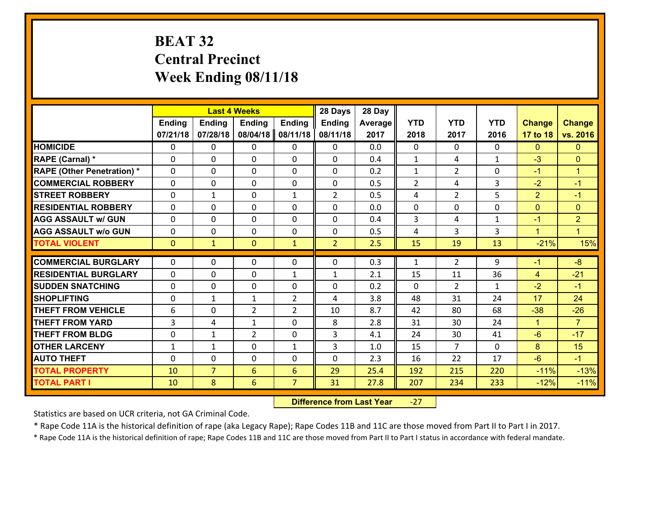## **BEAT 32 Central Precinct Week Ending 08/11/18**

|                                   |               |                | <b>Last 4 Weeks</b> |                | 28 Days        | 28 Day  |                |                |              |                |                      |
|-----------------------------------|---------------|----------------|---------------------|----------------|----------------|---------|----------------|----------------|--------------|----------------|----------------------|
|                                   | <b>Ending</b> | <b>Ending</b>  | <b>Ending</b>       | <b>Ending</b>  | <b>Ending</b>  | Average | <b>YTD</b>     | <b>YTD</b>     | <b>YTD</b>   | <b>Change</b>  | <b>Change</b>        |
|                                   | 07/21/18      | 07/28/18       | 08/04/18            | 08/11/18       | 08/11/18       | 2017    | 2018           | 2017           | 2016         | 17 to 18       | vs. 2016             |
| <b>HOMICIDE</b>                   | 0             | 0              | 0                   | 0              | 0              | 0.0     | $\mathbf 0$    | $\Omega$       | $\Omega$     | $\mathbf{0}$   | $\mathbf{0}$         |
| <b>RAPE (Carnal) *</b>            | 0             | 0              | $\mathbf{0}$        | 0              | $\Omega$       | 0.4     | 1              | 4              | $\mathbf{1}$ | $-3$           | $\mathbf{0}$         |
| <b>RAPE (Other Penetration) *</b> | $\Omega$      | 0              | $\Omega$            | $\Omega$       | $\Omega$       | 0.2     | $\mathbf{1}$   | $\overline{2}$ | $\Omega$     | $-1$           | $\blacktriangleleft$ |
| <b>COMMERCIAL ROBBERY</b>         | $\Omega$      | $\Omega$       | $\mathbf 0$         | $\Omega$       | 0              | 0.5     | $\overline{2}$ | 4              | 3            | $-2$           | $-1$                 |
| <b>STREET ROBBERY</b>             | 0             | $\mathbf{1}$   | $\mathbf 0$         | $\mathbf{1}$   | $\overline{2}$ | 0.5     | 4              | $\overline{2}$ | 5            | $\overline{2}$ | $-1$                 |
| <b>RESIDENTIAL ROBBERY</b>        | $\Omega$      | 0              | $\mathbf 0$         | 0              | 0              | 0.0     | $\mathbf 0$    | 0              | 0            | $\overline{0}$ | $\mathbf{0}$         |
| <b>AGG ASSAULT w/ GUN</b>         | 0             | 0              | $\mathbf 0$         | 0              | 0              | 0.4     | $\overline{3}$ | 4              | $\mathbf{1}$ | $-1$           | $\overline{2}$       |
| <b>AGG ASSAULT w/o GUN</b>        | 0             | 0              | $\mathbf 0$         | 0              | 0              | 0.5     | 4              | $\overline{3}$ | 3            | $\mathbf{1}$   | $\blacktriangleleft$ |
| <b>TOTAL VIOLENT</b>              | $\mathbf{0}$  | $\mathbf{1}$   | $\mathbf{0}$        | $\mathbf{1}$   | $\overline{2}$ | 2.5     | 15             | 19             | 13           | $-21%$         | 15%                  |
| <b>COMMERCIAL BURGLARY</b>        |               |                |                     |                |                |         |                |                |              |                | $-8$                 |
|                                   | $\Omega$      | 0              | $\mathbf{0}$        | 0              | $\Omega$       | 0.3     | 1              | $\overline{2}$ | 9            | $-1$           |                      |
| <b>RESIDENTIAL BURGLARY</b>       | $\Omega$      | 0              | $\mathbf{0}$        | $\mathbf{1}$   | 1              | 2.1     | 15             | 11             | 36           | $\overline{4}$ | $-21$                |
| <b>SUDDEN SNATCHING</b>           | $\Omega$      | $\Omega$       | $\mathbf 0$         | $\Omega$       | $\Omega$       | 0.2     | $\Omega$       | $\overline{2}$ | $\mathbf{1}$ | $-2$           | $-1$                 |
| <b>SHOPLIFTING</b>                | 0             | 1              | 1                   | $\overline{2}$ | 4              | 3.8     | 48             | 31             | 24           | 17             | 24                   |
| <b>THEFT FROM VEHICLE</b>         | 6             | 0              | $\overline{2}$      | $\overline{2}$ | 10             | 8.7     | 42             | 80             | 68           | $-38$          | $-26$                |
| <b>THEFT FROM YARD</b>            | 3             | 4              | $\mathbf{1}$        | 0              | 8              | 2.8     | 31             | 30             | 24           | $\mathbf{1}$   | $\overline{7}$       |
| <b>THEFT FROM BLDG</b>            | 0             | 1              | $\overline{2}$      | 0              | 3              | 4.1     | 24             | 30             | 41           | $-6$           | $-17$                |
| <b>OTHER LARCENY</b>              | $\mathbf{1}$  | 1              | $\mathbf 0$         | $\mathbf{1}$   | 3              | 1.0     | 15             | $\overline{7}$ | 0            | 8              | 15                   |
| <b>AUTO THEFT</b>                 | 0             | 0              | $\mathbf{0}$        | 0              | 0              | 2.3     | 16             | 22             | 17           | $-6$           | $-1$                 |
| <b>TOTAL PROPERTY</b>             | 10            | $\overline{7}$ | 6                   | 6              | 29             | 25.4    | 192            | 215            | 220          | $-11%$         | $-13%$               |
| <b>TOTAL PART I</b>               | 10            | 8              | 6                   | $\overline{7}$ | 31             | 27.8    | 207            | 234            | 233          | $-12%$         | $-11%$               |

 **Difference from Last Year**‐27

Statistics are based on UCR criteria, not GA Criminal Code.

\* Rape Code 11A is the historical definition of rape (aka Legacy Rape); Rape Codes 11B and 11C are those moved from Part II to Part I in 2017.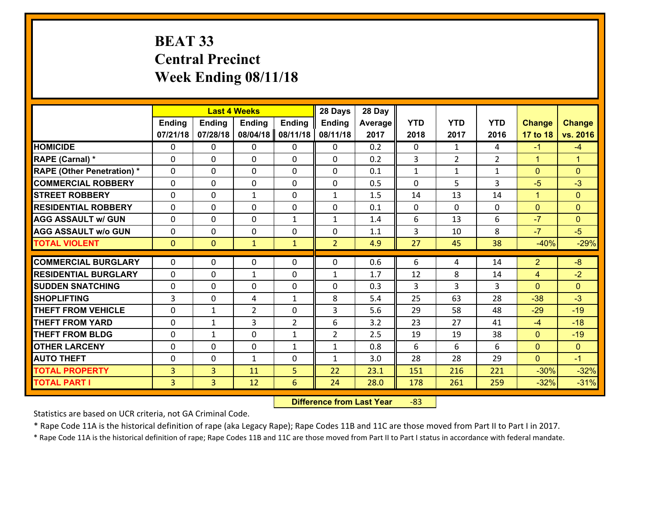## **BEAT 33 Central Precinct Week Ending 08/11/18**

|                                   |                |                | <b>Last 4 Weeks</b> |                | 28 Days        | 28 Day  |              |                |                |                |                      |
|-----------------------------------|----------------|----------------|---------------------|----------------|----------------|---------|--------------|----------------|----------------|----------------|----------------------|
|                                   | <b>Ending</b>  | <b>Ending</b>  | <b>Ending</b>       | <b>Ending</b>  | <b>Ending</b>  | Average | <b>YTD</b>   | <b>YTD</b>     | <b>YTD</b>     | <b>Change</b>  | <b>Change</b>        |
|                                   | 07/21/18       | 07/28/18       | 08/04/18            | 08/11/18       | 08/11/18       | 2017    | 2018         | 2017           | 2016           | 17 to 18       | vs. 2016             |
| <b>HOMICIDE</b>                   | 0              | 0              | 0                   | 0              | 0              | 0.2     | 0            | $\mathbf{1}$   | 4              | $-1$           | $-4$                 |
| <b>RAPE (Carnal) *</b>            | $\Omega$       | 0              | $\mathbf{0}$        | 0              | $\Omega$       | 0.2     | 3            | $\overline{2}$ | $\overline{2}$ | $\mathbf{1}$   | $\blacktriangleleft$ |
| <b>RAPE (Other Penetration) *</b> | $\Omega$       | 0              | $\Omega$            | $\Omega$       | $\Omega$       | 0.1     | $\mathbf{1}$ | $\mathbf{1}$   | $\mathbf{1}$   | $\mathbf{0}$   | $\Omega$             |
| <b>COMMERCIAL ROBBERY</b>         | $\Omega$       | 0              | $\mathbf 0$         | $\Omega$       | 0              | 0.5     | $\Omega$     | 5              | 3              | $-5$           | $-3$                 |
| <b>STREET ROBBERY</b>             | 0              | 0              | 1                   | 0              | $\mathbf{1}$   | 1.5     | 14           | 13             | 14             | $\mathbf{1}$   | $\mathbf{0}$         |
| <b>RESIDENTIAL ROBBERY</b>        | $\Omega$       | 0              | $\mathbf 0$         | 0              | 0              | 0.1     | $\mathbf{0}$ | $\mathbf{0}$   | $\Omega$       | $\overline{0}$ | $\mathbf{0}$         |
| <b>AGG ASSAULT w/ GUN</b>         | 0              | 0              | $\mathbf 0$         | $\mathbf{1}$   | $\mathbf{1}$   | 1.4     | 6            | 13             | 6              | $-7$           | $\mathbf{0}$         |
| <b>AGG ASSAULT w/o GUN</b>        | 0              | 0              | $\mathbf 0$         | 0              | $\mathbf 0$    | 1.1     | 3            | 10             | 8              | $-7$           | $-5$                 |
| <b>TOTAL VIOLENT</b>              | $\mathbf{0}$   | $\overline{0}$ | $\mathbf{1}$        | $\mathbf{1}$   | $\overline{2}$ | 4.9     | 27           | 45             | 38             | $-40%$         | $-29%$               |
| <b>COMMERCIAL BURGLARY</b>        | $\Omega$       | 0              | 0                   | 0              | $\Omega$       | 0.6     | 6            | 4              | 14             | $\overline{2}$ | $-8$                 |
| <b>RESIDENTIAL BURGLARY</b>       | $\Omega$       | 0              | 1                   | 0              | 1              | 1.7     | 12           | 8              | 14             | 4              | $-2$                 |
| <b>SUDDEN SNATCHING</b>           | 0              | 0              | $\mathbf 0$         | $\Omega$       | $\Omega$       | 0.3     | 3            | 3              | 3              | $\Omega$       | $\Omega$             |
| <b>SHOPLIFTING</b>                | 3              | 0              | 4                   | $\mathbf{1}$   | 8              | 5.4     | 25           | 63             | 28             | $-38$          | $-3$                 |
| <b>THEFT FROM VEHICLE</b>         | $\mathbf{0}$   | 1              | $\overline{2}$      | 0              | 3              | 5.6     | 29           | 58             | 48             | $-29$          | $-19$                |
| <b>THEFT FROM YARD</b>            | 0              | $\mathbf{1}$   | 3                   | $\overline{2}$ | 6              | 3.2     | 23           | 27             | 41             | $-4$           | $-18$                |
| <b>THEFT FROM BLDG</b>            | 0              | 1              | $\mathbf 0$         | $\mathbf{1}$   | $\overline{2}$ | 2.5     | 19           | 19             | 38             | $\overline{0}$ | $-19$                |
| <b>OTHER LARCENY</b>              | 0              | 0              | $\mathbf 0$         | $\mathbf{1}$   | $\mathbf{1}$   | 0.8     | 6            | 6              | 6              | $\overline{0}$ | $\overline{0}$       |
| <b>AUTO THEFT</b>                 | 0              | 0              | 1                   | 0              | $\mathbf{1}$   | 3.0     | 28           | 28             | 29             | $\mathbf{0}$   | $-1$                 |
| <b>TOTAL PROPERTY</b>             | 3              | 3              | 11                  | 5              | 22             | 23.1    | 151          | 216            | 221            | $-30%$         | $-32%$               |
|                                   |                |                |                     |                |                |         |              |                |                |                |                      |
| <b>TOTAL PART I</b>               | $\overline{3}$ | $\overline{3}$ | 12                  | $6\phantom{1}$ | 24             | 28.0    | 178          | 261            | 259            | $-32%$         | $-31%$               |

 **Difference from Last Year**r -83

Statistics are based on UCR criteria, not GA Criminal Code.

\* Rape Code 11A is the historical definition of rape (aka Legacy Rape); Rape Codes 11B and 11C are those moved from Part II to Part I in 2017.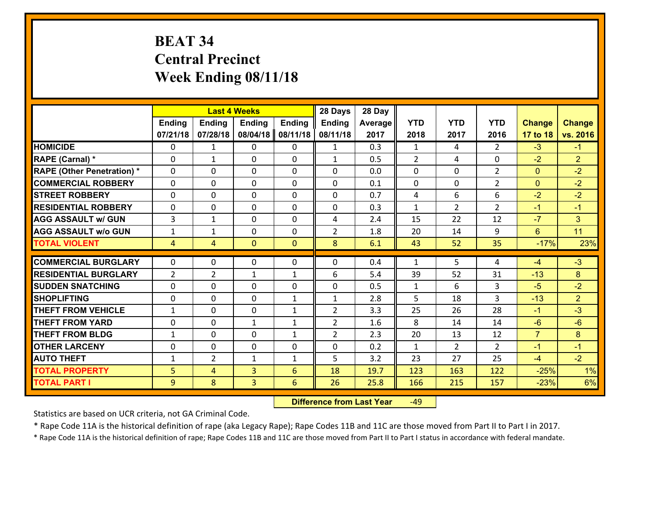## **BEAT 34 Central Precinct Week Ending 08/11/18**

|                                   |                |                | <b>Last 4 Weeks</b> |               | 28 Days        | 28 Day  |              |                |                |                |                |
|-----------------------------------|----------------|----------------|---------------------|---------------|----------------|---------|--------------|----------------|----------------|----------------|----------------|
|                                   | Ending         | <b>Ending</b>  | <b>Ending</b>       | <b>Ending</b> | <b>Ending</b>  | Average | <b>YTD</b>   | <b>YTD</b>     | <b>YTD</b>     | <b>Change</b>  | <b>Change</b>  |
|                                   | 07/21/18       | 07/28/18       | 08/04/18            | 08/11/18      | 08/11/18       | 2017    | 2018         | 2017           | 2016           | 17 to 18       | vs. 2016       |
| <b>HOMICIDE</b>                   | $\Omega$       | $\mathbf{1}$   | 0                   | $\Omega$      | $\mathbf{1}$   | 0.3     | 1            | 4              | $\mathcal{L}$  | $-3$           | $-1$           |
| RAPE (Carnal) *                   | $\mathbf{0}$   | $\mathbf{1}$   | $\mathbf{0}$        | 0             | $\mathbf{1}$   | 0.5     | 2            | 4              | 0              | $-2$           | $\overline{2}$ |
| <b>RAPE (Other Penetration) *</b> | $\Omega$       | 0              | $\mathbf{0}$        | $\Omega$      | $\Omega$       | 0.0     | $\Omega$     | 0              | $\overline{2}$ | $\mathbf{0}$   | $-2$           |
| <b>COMMERCIAL ROBBERY</b>         | $\mathbf{0}$   | 0              | 0                   | 0             | 0              | 0.1     | $\mathbf{0}$ | 0              | $\overline{2}$ | $\mathbf{0}$   | $-2$           |
| <b>STREET ROBBERY</b>             | 0              | 0              | $\mathbf 0$         | 0             | 0              | 0.7     | 4            | 6              | 6              | $-2$           | $-2$           |
| <b>RESIDENTIAL ROBBERY</b>        | $\Omega$       | 0              | $\mathbf 0$         | $\Omega$      | 0              | 0.3     | $\mathbf{1}$ | $\overline{2}$ | $\overline{2}$ | $-1$           | $-1$           |
| <b>AGG ASSAULT w/ GUN</b>         | $\overline{3}$ | $\mathbf{1}$   | $\mathbf 0$         | 0             | 4              | 2.4     | 15           | 22             | 12             | $-7$           | 3 <sup>1</sup> |
| <b>AGG ASSAULT w/o GUN</b>        | $\mathbf{1}$   | $\mathbf{1}$   | $\mathbf 0$         | $\mathbf 0$   | $\overline{2}$ | 1.8     | 20           | 14             | 9              | 6              | 11             |
| <b>TOTAL VIOLENT</b>              | 4              | $\overline{4}$ | $\mathbf{0}$        | $\mathbf{0}$  | 8              | 6.1     | 43           | 52             | 35             | $-17%$         | 23%            |
| <b>COMMERCIAL BURGLARY</b>        | $\Omega$       | 0              | $\mathbf{0}$        | $\Omega$      | $\Omega$       | 0.4     | $\mathbf{1}$ | 5              | 4              | $-4$           | $-3$           |
| <b>RESIDENTIAL BURGLARY</b>       | $\overline{2}$ | $\overline{2}$ | $\mathbf{1}$        | $\mathbf{1}$  | 6              | 5.4     | 39           | 52             | 31             | $-13$          | 8              |
| <b>SUDDEN SNATCHING</b>           | 0              | 0              | $\mathbf 0$         | 0             | 0              | 0.5     | $\mathbf{1}$ | 6              | 3              | $-5$           | $-2$           |
| <b>SHOPLIFTING</b>                | 0              | 0              | $\mathbf 0$         | $\mathbf{1}$  | $\mathbf{1}$   | 2.8     | 5            | 18             | $\overline{3}$ | $-13$          | $\overline{2}$ |
| <b>THEFT FROM VEHICLE</b>         | $\mathbf{1}$   | 0              | $\mathbf 0$         | $\mathbf{1}$  | $\overline{2}$ | 3.3     | 25           | 26             | 28             | $-1$           | $-3$           |
| <b>THEFT FROM YARD</b>            | 0              | 0              | 1                   | $\mathbf{1}$  | $\overline{2}$ | 1.6     | 8            | 14             | 14             | $-6$           | $-6$           |
| <b>THEFT FROM BLDG</b>            | $\mathbf{1}$   | 0              | $\mathbf 0$         | $\mathbf{1}$  | $\overline{2}$ | 2.3     | 20           | 13             | 12             | $\overline{7}$ | 8              |
| <b>OTHER LARCENY</b>              | 0              | 0              | $\mathbf 0$         | 0             | 0              | 0.2     | $\mathbf{1}$ | $\overline{2}$ | $\overline{2}$ | $-1$           | $-1$           |
| <b>AUTO THEFT</b>                 | $\mathbf{1}$   | $\overline{2}$ | $\mathbf{1}$        | $\mathbf{1}$  | 5              | 3.2     | 23           | 27             | 25             | $-4$           | $-2$           |
| <b>TOTAL PROPERTY</b>             | 5              | 4              | 3                   | 6             | 18             | 19.7    | 123          | 163            | 122            | $-25%$         | 1%             |
| <b>TOTAL PART I</b>               | 9              | 8              | 3                   | 6             | 26             | 25.8    | 166          | 215            | 157            | $-23%$         | 6%             |

 **Difference from Last Year**r -49

Statistics are based on UCR criteria, not GA Criminal Code.

\* Rape Code 11A is the historical definition of rape (aka Legacy Rape); Rape Codes 11B and 11C are those moved from Part II to Part I in 2017.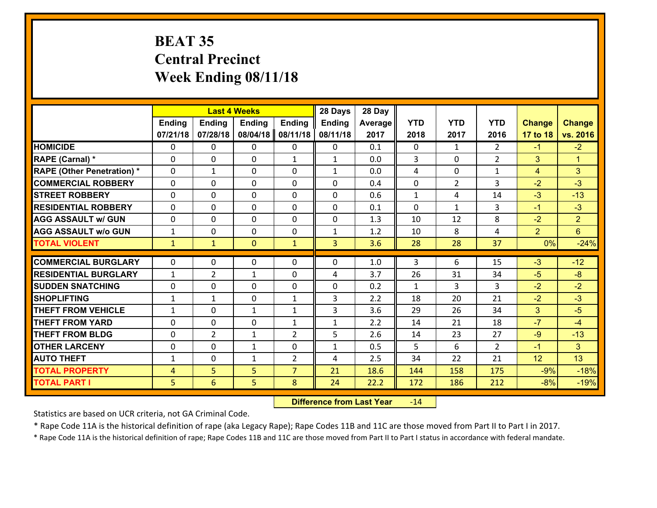## **BEAT 35 Central Precinct Week Ending 08/11/18**

|                                   |              |                | <b>Last 4 Weeks</b> |                | 28 Days       | 28 Day  |              |                |                |                |                |
|-----------------------------------|--------------|----------------|---------------------|----------------|---------------|---------|--------------|----------------|----------------|----------------|----------------|
|                                   | Ending       | <b>Ending</b>  | <b>Ending</b>       | <b>Ending</b>  | <b>Ending</b> | Average | <b>YTD</b>   | <b>YTD</b>     | <b>YTD</b>     | <b>Change</b>  | <b>Change</b>  |
|                                   | 07/21/18     | 07/28/18       | 08/04/18            | 08/11/18       | 08/11/18      | 2017    | 2018         | 2017           | 2016           | 17 to 18       | vs. 2016       |
| <b>HOMICIDE</b>                   | $\Omega$     | 0              | 0                   | $\Omega$       | 0             | 0.1     | 0            | $\mathbf{1}$   | $\mathfrak{D}$ | $-1$           | $-2$           |
| RAPE (Carnal) *                   | $\mathbf{0}$ | 0              | $\mathbf{0}$        | $\mathbf{1}$   | $\mathbf{1}$  | 0.0     | 3            | $\mathbf{0}$   | $\overline{2}$ | 3              | $\mathbf{1}$   |
| <b>RAPE (Other Penetration) *</b> | $\Omega$     | $\mathbf{1}$   | $\mathbf{0}$        | $\Omega$       | $\mathbf{1}$  | 0.0     | 4            | 0              | $\mathbf{1}$   | 4              | 3              |
| <b>COMMERCIAL ROBBERY</b>         | $\mathbf{0}$ | 0              | 0                   | 0              | $\Omega$      | 0.4     | $\mathbf{0}$ | $\overline{2}$ | 3              | $-2$           | $-3$           |
| <b>STREET ROBBERY</b>             | 0            | 0              | $\mathbf 0$         | $\Omega$       | 0             | 0.6     | $\mathbf{1}$ | 4              | 14             | $-3$           | $-13$          |
| <b>RESIDENTIAL ROBBERY</b>        | $\Omega$     | $\Omega$       | $\mathbf 0$         | $\Omega$       | 0             | 0.1     | $\Omega$     | $\mathbf{1}$   | 3              | $-1$           | $-3$           |
| <b>AGG ASSAULT w/ GUN</b>         | 0            | 0              | $\mathbf 0$         | $\Omega$       | 0             | 1.3     | 10           | 12             | 8              | $-2$           | 2 <sup>1</sup> |
| <b>AGG ASSAULT w/o GUN</b>        | $\mathbf{1}$ | 0              | $\mathbf 0$         | $\mathbf 0$    | $\mathbf{1}$  | 1.2     | 10           | 8              | 4              | $\overline{2}$ | $6^{\circ}$    |
| <b>TOTAL VIOLENT</b>              | $\mathbf{1}$ | $\mathbf{1}$   | $\mathbf{0}$        | $\mathbf{1}$   | 3             | 3.6     | 28           | 28             | 37             | 0%             | $-24%$         |
| <b>COMMERCIAL BURGLARY</b>        | $\Omega$     | 0              | $\mathbf{0}$        | $\Omega$       | $\Omega$      | 1.0     | 3            | 6              | 15             | $-3$           | $-12$          |
| <b>RESIDENTIAL BURGLARY</b>       | $\mathbf{1}$ | $\overline{2}$ | $\mathbf{1}$        | 0              | 4             | 3.7     | 26           | 31             | 34             | $-5$           | $-8$           |
| <b>SUDDEN SNATCHING</b>           | 0            | 0              | $\mathbf 0$         | 0              | 0             | 0.2     | $\mathbf{1}$ | 3              | 3              | $-2$           | $-2$           |
| <b>SHOPLIFTING</b>                | $\mathbf{1}$ | $\mathbf{1}$   | $\mathbf 0$         | $\mathbf{1}$   | 3             | 2.2     | 18           | 20             | 21             | $-2$           | $-3$           |
| <b>THEFT FROM VEHICLE</b>         | $\mathbf{1}$ | 0              | $\mathbf{1}$        | $\mathbf{1}$   | 3             | 3.6     | 29           | 26             | 34             | 3              | $-5$           |
| <b>THEFT FROM YARD</b>            | 0            | 0              | $\mathbf 0$         | $\mathbf{1}$   | $\mathbf{1}$  | 2.2     | 14           | 21             | 18             | $-7$           | $-4$           |
| <b>THEFT FROM BLDG</b>            | 0            | $\overline{2}$ | 1                   | $\overline{2}$ | 5             | 2.6     | 14           | 23             | 27             | $-9$           | $-13$          |
| <b>OTHER LARCENY</b>              | 0            | 0              | $\mathbf{1}$        | 0              | $\mathbf{1}$  | 0.5     | 5            | 6              | $\overline{2}$ | $-1$           | 3 <sup>1</sup> |
| <b>AUTO THEFT</b>                 | $\mathbf{1}$ | 0              | $\mathbf{1}$        | 2              | 4             | 2.5     | 34           | 22             | 21             | 12             | 13             |
| <b>TOTAL PROPERTY</b>             | 4            | 5              | 5                   | $\overline{7}$ | 21            | 18.6    | 144          | 158            | 175            | $-9%$          | $-18%$         |
| <b>TOTAL PART I</b>               | 5            | 6              | 5                   | 8              | 24            | 22.2    | 172          | 186            | 212            | $-8%$          | $-19%$         |

 **Difference from Last Year**r -14

Statistics are based on UCR criteria, not GA Criminal Code.

\* Rape Code 11A is the historical definition of rape (aka Legacy Rape); Rape Codes 11B and 11C are those moved from Part II to Part I in 2017.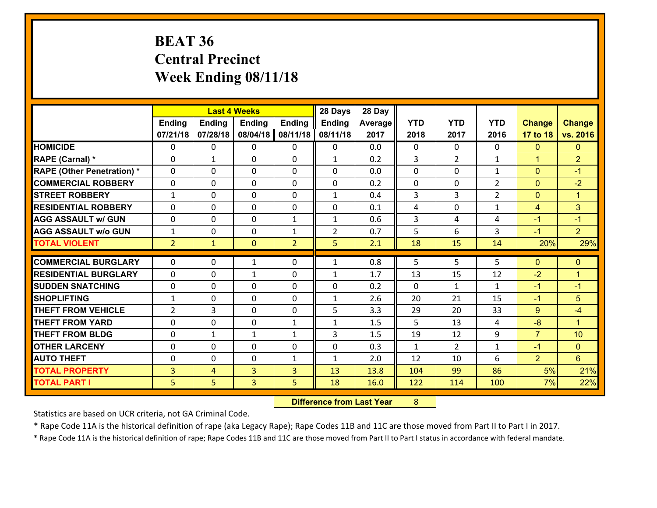## **BEAT 36 Central Precinct Week Ending 08/11/18**

|                                   |                |              | <b>Last 4 Weeks</b> |                | 28 Days        | 28 Day  |              |                |                |                      |                      |
|-----------------------------------|----------------|--------------|---------------------|----------------|----------------|---------|--------------|----------------|----------------|----------------------|----------------------|
|                                   | Ending         | Ending       | <b>Ending</b>       | <b>Ending</b>  | <b>Ending</b>  | Average | <b>YTD</b>   | <b>YTD</b>     | <b>YTD</b>     | <b>Change</b>        | <b>Change</b>        |
|                                   | 07/21/18       | 07/28/18     | 08/04/18            | 08/11/18       | 08/11/18       | 2017    | 2018         | 2017           | 2016           | 17 to 18             | vs. 2016             |
| <b>HOMICIDE</b>                   | $\mathbf{0}$   | 0            | $\mathbf{0}$        | 0              | $\mathbf{0}$   | 0.0     | $\mathbf{0}$ | $\Omega$       | $\Omega$       | $\mathbf{0}$         | $\mathbf{0}$         |
| RAPE (Carnal) *                   | 0              | $\mathbf{1}$ | $\mathbf{0}$        | 0              | $\mathbf{1}$   | 0.2     | 3            | $\overline{2}$ | $\mathbf{1}$   | $\blacktriangleleft$ | $\overline{2}$       |
| <b>RAPE (Other Penetration) *</b> | $\Omega$       | $\Omega$     | $\Omega$            | $\Omega$       | $\Omega$       | 0.0     | $\Omega$     | 0              | $\mathbf{1}$   | $\Omega$             | $-1$                 |
| <b>COMMERCIAL ROBBERY</b>         | 0              | 0            | $\mathbf 0$         | 0              | 0              | 0.2     | 0            | $\mathbf{0}$   | $\overline{2}$ | $\mathbf{0}$         | $-2$                 |
| <b>STREET ROBBERY</b>             | $\mathbf{1}$   | 0            | $\mathbf{0}$        | $\Omega$       | $\mathbf{1}$   | 0.4     | 3            | 3              | $\overline{2}$ | $\mathbf{0}$         | $\blacktriangleleft$ |
| <b>RESIDENTIAL ROBBERY</b>        | $\Omega$       | $\Omega$     | $\mathbf 0$         | $\Omega$       | 0              | 0.1     | 4            | $\Omega$       | $\mathbf{1}$   | $\overline{4}$       | 3                    |
| <b>AGG ASSAULT w/ GUN</b>         | $\Omega$       | $\Omega$     | $\mathbf 0$         | $\mathbf{1}$   | $\mathbf{1}$   | 0.6     | 3            | 4              | 4              | $-1$                 | $-1$                 |
| <b>AGG ASSAULT W/o GUN</b>        | $\mathbf{1}$   | 0            | $\mathbf 0$         | $\mathbf{1}$   | $\overline{2}$ | 0.7     | 5            | 6              | 3              | $-1$                 | $\overline{2}$       |
| <b>TOTAL VIOLENT</b>              | $\overline{2}$ | $\mathbf{1}$ | $\mathbf{0}$        | $\overline{2}$ | 5              | 2.1     | 18           | 15             | 14             | 20%                  | 29%                  |
| <b>COMMERCIAL BURGLARY</b>        | $\mathbf{0}$   | 0            | 1                   | 0              | $\mathbf{1}$   | 0.8     | 5            | 5              | 5              | $\mathbf{0}$         | $\mathbf{0}$         |
| <b>RESIDENTIAL BURGLARY</b>       | $\mathbf{0}$   | 0            | 1                   | 0              | 1              | 1.7     | 13           | 15             | 12             | $-2$                 | $\blacktriangleleft$ |
| <b>ISUDDEN SNATCHING</b>          | $\mathbf{0}$   | 0            | $\mathbf{0}$        | $\Omega$       | $\Omega$       | 0.2     | $\Omega$     | $\mathbf{1}$   | $\mathbf{1}$   | $-1$                 | $-1$                 |
| <b>SHOPLIFTING</b>                | $\mathbf{1}$   | 0            | $\mathbf 0$         | $\Omega$       | $\mathbf{1}$   | 2.6     | 20           | 21             | 15             | $-1$                 | 5                    |
| <b>THEFT FROM VEHICLE</b>         | 2              | 3            | $\mathbf{0}$        | $\Omega$       | 5              | 3.3     | 29           | 20             | 33             | 9                    | $-4$                 |
| <b>THEFT FROM YARD</b>            | 0              | 0            | $\mathbf 0$         | $\mathbf{1}$   | $\mathbf{1}$   | 1.5     | 5            | 13             | 4              | $-8$                 | $\blacktriangleleft$ |
| <b>THEFT FROM BLDG</b>            | 0              | $\mathbf{1}$ | $\mathbf{1}$        | $\mathbf{1}$   | 3              | 1.5     | 19           | 12             | 9              | $\overline{7}$       | 10                   |
| <b>OTHER LARCENY</b>              | 0              | 0            | $\mathbf 0$         | 0              | 0              | 0.3     | $\mathbf{1}$ | $\overline{2}$ | $\mathbf{1}$   | $-1$                 | $\overline{0}$       |
| <b>AUTO THEFT</b>                 | $\mathbf{0}$   | 0            | $\mathbf 0$         | $\mathbf{1}$   | $\mathbf{1}$   | 2.0     | 12           | 10             | 6              | $\overline{2}$       | $6^{\circ}$          |
| <b>TOTAL PROPERTY</b>             | 3              | 4            | $\overline{3}$      | 3              | 13             | 13.8    | 104          | 99             | 86             | 5%                   | 21%                  |
| <b>TOTAL PART I</b>               | 5              | 5            | 3                   | 5              | 18             | 16.0    | 122          | 114            | 100            | 7%                   | 22%                  |

 **Difference from Last Year**r 8

Statistics are based on UCR criteria, not GA Criminal Code.

\* Rape Code 11A is the historical definition of rape (aka Legacy Rape); Rape Codes 11B and 11C are those moved from Part II to Part I in 2017.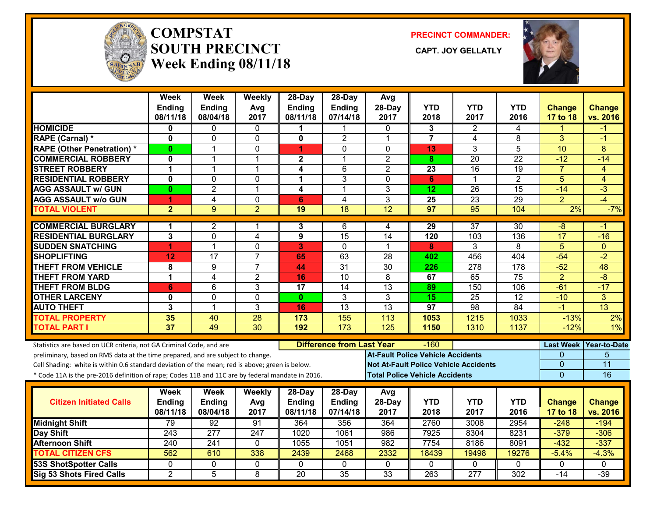

#### **COMPSTATSOUTH PRECINCT** CAPT. JOY GELLATLY **Week Ending 08/11/18**

**PRECINCT COMMANDER:**



|                                                                                                  | Week<br>Ending<br>08/11/18 | Week<br><b>Ending</b><br>08/04/18 | Weekly<br>Avg<br>2017   | 28-Day<br>Ending<br>08/11/18 | 28-Day<br>Ending<br>07/14/18     | Avg<br>28-Day<br>2017                    | <b>YTD</b><br>2018 | <b>YTD</b><br>2017                           | <b>YTD</b><br>2016 | <b>Change</b><br>17 to 18 | <b>Change</b><br>vs. 2016 |
|--------------------------------------------------------------------------------------------------|----------------------------|-----------------------------------|-------------------------|------------------------------|----------------------------------|------------------------------------------|--------------------|----------------------------------------------|--------------------|---------------------------|---------------------------|
| <b>HOMICIDE</b>                                                                                  | 0                          | 0                                 | 0                       |                              | 1                                | 0                                        | 3                  | 2                                            | 4                  | 1                         | -1                        |
| <b>RAPE (Carnal) *</b>                                                                           | $\mathbf 0$                | 0                                 | $\mathbf 0$             | 0                            | $\overline{2}$                   | $\mathbf{1}$                             | $\overline{7}$     | $\overline{4}$                               | 8                  | 3                         | $-1$                      |
| <b>RAPE (Other Penetration) *</b>                                                                | $\mathbf{0}$               | $\mathbf{1}$                      | 0                       | 1                            | $\Omega$                         | $\Omega$                                 | 13                 | 3                                            | 5                  | 10                        | 8                         |
| <b>COMMERCIAL ROBBERY</b>                                                                        | 0                          | 1                                 | $\overline{1}$          | $\mathbf 2$                  | 1                                | $\overline{2}$                           | 8                  | $\overline{20}$                              | $\overline{22}$    | $-12$                     | $-14$                     |
| <b>STREET ROBBERY</b>                                                                            | $\mathbf{1}$               | 1                                 | $\overline{1}$          | 4                            | 6                                | $\overline{2}$                           | 23                 | 16                                           | 19                 | $\overline{7}$            | 4                         |
| <b>RESIDENTIAL ROBBERY</b>                                                                       | $\mathbf 0$                | 0                                 | $\mathbf 0$             | 1                            | 3                                | $\Omega$                                 | 6                  | $\mathbf 1$                                  | $\overline{2}$     | 5                         | $\overline{4}$            |
| <b>AGG ASSAULT w/ GUN</b>                                                                        | 0                          | $\overline{2}$                    | $\mathbf{1}$            | 4                            | 1                                | 3                                        | 12                 | 26                                           | 15                 | $-14$                     | $-3$                      |
| <b>AGG ASSAULT w/o GUN</b>                                                                       | 1                          | $\overline{4}$                    | $\mathbf 0$             | 6                            | $\overline{4}$                   | 3                                        | 25                 | $\overline{23}$                              | $\overline{29}$    | $\overline{2}$            | $-4$                      |
| <b>TOTAL VIOLENT</b>                                                                             | $\overline{2}$             | 9 <sup>°</sup>                    | $\overline{2}$          | 19                           | 18                               | $\overline{12}$                          | 97                 | $\overline{95}$                              | 104                | 2%                        | $-7%$                     |
| <b>COMMERCIAL BURGLARY</b>                                                                       | 1                          | 2                                 | -1                      | 3                            | 6                                | 4                                        | 29                 | $\overline{37}$                              | 30                 | -8                        | -1                        |
| <b>RESIDENTIAL BURGLARY</b>                                                                      | 3                          | $\mathbf 0$                       | $\overline{\mathbf{4}}$ | 9                            | 15                               | $\overline{14}$                          | 120                | 103                                          | 136                | $\overline{17}$           | $-16$                     |
| <b>SUDDEN SNATCHING</b>                                                                          | 4                          | $\mathbf{1}$                      | $\overline{0}$          | 3                            | $\mathbf 0$                      | $\mathbf 1$                              | 8                  | 3                                            | 8                  | $\overline{5}$            | $\overline{0}$            |
| <b>SHOPLIFTING</b>                                                                               | 12                         | 17                                | $\overline{7}$          | 65                           | 63                               | 28                                       | 402                | 456                                          | 404                | $-54$                     | $-2$                      |
| <b>THEFT FROM VEHICLE</b>                                                                        | 8                          | 9                                 | $\overline{7}$          | 44                           | $\overline{31}$                  | $\overline{30}$                          | 226                | $\overline{278}$                             | $\overline{178}$   | $-52$                     | 48                        |
| <b>THEFT FROM YARD</b>                                                                           | $\mathbf 1$                | 4                                 | $\overline{2}$          | 16                           | 10                               | 8                                        | 67                 | 65                                           | $\overline{75}$    | $\overline{2}$            | $-\sqrt{8}$               |
| <b>THEFT FROM BLDG</b>                                                                           | $6\phantom{1}6$            | 6                                 | 3                       | 17                           | 14                               | 13                                       | 89                 | 150                                          | 106                | $-61$                     | $-17$                     |
| <b>OTHER LARCENY</b>                                                                             | $\bf{0}$                   | 0                                 | $\overline{0}$          | $\mathbf{0}$                 | 3                                | 3                                        | $\overline{15}$    | $\overline{25}$                              | $\overline{12}$    | $-10$                     | $\overline{3}$            |
| <b>AUTO THEFT</b>                                                                                | 3                          | $\mathbf{1}$                      | $\overline{3}$          | 16                           | $\overline{13}$                  | $\overline{13}$                          | $\overline{97}$    | 98                                           | 84                 | $-1$                      | 13                        |
| <b>TOTAL PROPERTY</b>                                                                            | 35                         | 40                                | 28                      | 173                          | 155                              | 113                                      | 1053               | 1215                                         | 1033               | $-13%$                    | 2%                        |
| <b>TOTAL PART I</b>                                                                              | $\overline{37}$            | 49                                | 30                      | 192                          | 173                              | 125                                      | 1150               | 1310                                         | 1137               | $-12%$                    | 1%                        |
| Statistics are based on UCR criteria, not GA Criminal Code, and are                              |                            |                                   |                         |                              | <b>Difference from Last Year</b> |                                          | $-160$             |                                              |                    |                           | Last Week Year-to-Date    |
| preliminary, based on RMS data at the time prepared, and are subject to change.                  |                            |                                   |                         |                              |                                  | <b>At-Fault Police Vehicle Accidents</b> |                    |                                              |                    | $\Omega$                  | 5                         |
| Cell Shading: white is within 0.6 standard deviation of the mean; red is above; green is below.  |                            |                                   |                         |                              |                                  |                                          |                    | <b>Not At-Fault Police Vehicle Accidents</b> |                    | 0                         | 11                        |
| * Code 11A is the pre-2016 definition of rape; Codes 11B and 11C are by federal mandate in 2016. |                            |                                   |                         |                              |                                  | <b>Total Police Vehicle Accidents</b>    |                    |                                              |                    | $\Omega$                  | 16                        |
|                                                                                                  | Week                       | Week                              | Weekly                  | 28-Day                       | 28-Day                           | Avg                                      |                    |                                              |                    |                           |                           |
| <b>Citizen Initiated Calls</b>                                                                   | Ending                     | Ending                            | Avg                     | <b>Ending</b>                | <b>Ending</b>                    | 28-Day                                   | <b>YTD</b>         | <b>YTD</b>                                   | <b>YTD</b>         | <b>Change</b>             | <b>Change</b>             |
|                                                                                                  | 08/11/18                   | 08/04/18                          | 2017                    | 08/11/18                     | 07/14/18                         | 2017                                     | 2018               | 2017                                         | 2016               | 17 to 18                  | vs. 2016                  |
| <b>Midnight Shift</b>                                                                            | 79                         | 92                                | $\overline{91}$         | 364                          | 356                              | 364                                      | 2760               | 3008                                         | 2954               | $-248$                    | $-194$                    |
| <b>Day Shift</b>                                                                                 | 243                        | $\overline{277}$                  | 247                     | 1020                         | 1061                             | 986                                      | 7925               | 8304                                         | 8231               | $-379$                    | $-306$                    |
| <b>Afternoon Shift</b><br><b>TOTAL CITIZEN CFS</b>                                               | 240<br>562                 | 241<br>610                        | 0                       | 1055<br>2439                 | 1051                             | 982                                      | 7754               | 8186                                         | 8091<br>19276      | $-432$                    | $-337$<br>$-4.3%$         |
|                                                                                                  |                            |                                   | 338                     |                              | 2468                             | 2332                                     | 18439              | 19498                                        |                    | $-5.4%$                   |                           |
| <b>53S ShotSpotter Calls</b>                                                                     | $\mathbf{0}$               | 0                                 | 0                       | $\Omega$                     | $\mathbf{0}$                     | $\mathbf{0}$                             | $\mathbf{0}$       | $\mathbf{0}$                                 | 0                  | 0                         | $\mathbf{0}$              |
| Sig 53 Shots Fired Calls                                                                         | $\overline{2}$             | $\overline{5}$                    | 8                       | $\overline{20}$              | $\overline{35}$                  | $\overline{33}$                          | 263                | $\overline{277}$                             | $\overline{302}$   | $-14$                     | $-39$                     |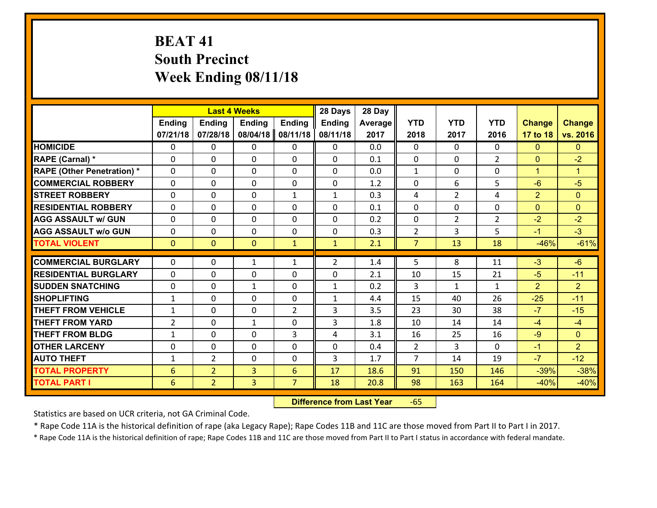# **BEAT 41 South Precinct Week Ending 08/11/18**

|                                   |                 |                | <b>Last 4 Weeks</b> |                | 28 Days        | 28 Day  |                |                |                |                |                      |
|-----------------------------------|-----------------|----------------|---------------------|----------------|----------------|---------|----------------|----------------|----------------|----------------|----------------------|
|                                   | <b>Ending</b>   | <b>Ending</b>  | <b>Ending</b>       | <b>Ending</b>  | <b>Ending</b>  | Average | <b>YTD</b>     | <b>YTD</b>     | <b>YTD</b>     | <b>Change</b>  | <b>Change</b>        |
|                                   | 07/21/18        | 07/28/18       | 08/04/18            | 08/11/18       | 08/11/18       | 2017    | 2018           | 2017           | 2016           | 17 to 18       | vs. 2016             |
| <b>HOMICIDE</b>                   | $\Omega$        | 0              | $\Omega$            | $\Omega$       | $\Omega$       | 0.0     | $\Omega$       | $\Omega$       | 0              | $\mathbf{0}$   | $\mathbf{0}$         |
| RAPE (Carnal) *                   | 0               | 0              | $\mathbf{0}$        | 0              | $\Omega$       | 0.1     | $\mathbf{0}$   | 0              | $\overline{2}$ | $\mathbf{0}$   | $-2$                 |
| <b>RAPE (Other Penetration) *</b> | $\Omega$        | 0              | $\mathbf{0}$        | $\Omega$       | $\Omega$       | 0.0     | $\mathbf{1}$   | $\Omega$       | $\Omega$       | $\mathbf{1}$   | $\blacktriangleleft$ |
| <b>COMMERCIAL ROBBERY</b>         | 0               | 0              | 0                   | 0              | $\Omega$       | 1.2     | $\mathbf{0}$   | 6              | 5              | $-6$           | $-5$                 |
| <b>STREET ROBBERY</b>             | $\Omega$        | 0              | $\mathbf 0$         | $\mathbf{1}$   | $\mathbf{1}$   | 0.3     | 4              | $\overline{2}$ | 4              | $\overline{2}$ | $\mathbf{0}$         |
| <b>RESIDENTIAL ROBBERY</b>        | $\Omega$        | $\Omega$       | $\mathbf 0$         | $\Omega$       | 0              | 0.1     | $\Omega$       | $\Omega$       | $\Omega$       | $\overline{0}$ | $\Omega$             |
| <b>AGG ASSAULT w/ GUN</b>         | $\Omega$        | 0              | $\mathbf 0$         | $\Omega$       | 0              | 0.2     | $\mathbf 0$    | $\overline{2}$ | $\overline{2}$ | $-2$           | $-2$                 |
| <b>AGG ASSAULT w/o GUN</b>        | 0               | 0              | $\mathbf 0$         | 0              | 0              | 0.3     | $\overline{2}$ | 3              | 5              | $-1$           | $-3$                 |
| <b>TOTAL VIOLENT</b>              | $\mathbf{0}$    | $\overline{0}$ | $\overline{0}$      | $\mathbf{1}$   | $\mathbf{1}$   | 2.1     | $\overline{7}$ | 13             | 18             | $-46%$         | $-61%$               |
| <b>COMMERCIAL BURGLARY</b>        | $\Omega$        | 0              | 1                   | $\mathbf{1}$   | $\overline{2}$ | 1.4     | 5              | 8              | 11             | $-3$           | $-6$                 |
|                                   |                 |                |                     |                |                |         |                |                |                |                |                      |
| <b>RESIDENTIAL BURGLARY</b>       | 0               | 0              | $\mathbf 0$         | 0              | 0              | 2.1     | 10             | 15             | 21             | $-5$           | $-11$                |
| <b>SUDDEN SNATCHING</b>           | 0               | 0              | $\mathbf{1}$        | 0              | $\mathbf{1}$   | 0.2     | 3              | $\mathbf{1}$   | $\mathbf{1}$   | $\overline{2}$ | $\overline{2}$       |
| <b>SHOPLIFTING</b>                | $\mathbf{1}$    | 0              | $\mathbf 0$         | 0              | $\mathbf{1}$   | 4.4     | 15             | 40             | 26             | $-25$          | $-11$                |
| <b>THEFT FROM VEHICLE</b>         | $\mathbf{1}$    | 0              | $\mathbf 0$         | $\overline{2}$ | 3              | 3.5     | 23             | 30             | 38             | $-7$           | $-15$                |
| <b>THEFT FROM YARD</b>            | $\overline{2}$  | 0              | 1                   | 0              | 3              | 1.8     | 10             | 14             | 14             | $-4$           | $-4$                 |
| <b>THEFT FROM BLDG</b>            | $\mathbf{1}$    | 0              | $\mathbf 0$         | 3              | 4              | 3.1     | 16             | 25             | 16             | $-9$           | $\overline{0}$       |
| <b>OTHER LARCENY</b>              | 0               | 0              | $\mathbf 0$         | 0              | 0              | 0.4     | 2              | 3              | $\Omega$       | $-1$           | $\overline{2}$       |
| <b>AUTO THEFT</b>                 | $\mathbf{1}$    | $\overline{2}$ | $\mathbf{0}$        | 0              | 3              | 1.7     | $\overline{7}$ | 14             | 19             | $-7$           | $-12$                |
| <b>TOTAL PROPERTY</b>             | $6\phantom{1}6$ | $\overline{2}$ | $\overline{3}$      | 6              | 17             | 18.6    | 91             | 150            | 146            | $-39%$         | $-38%$               |
| <b>TOTAL PART I</b>               | 6               | $\overline{2}$ | 3                   | $\overline{7}$ | 18             | 20.8    | 98             | 163            | 164            | $-40%$         | $-40%$               |

 **Difference from Last Year**r -65

Statistics are based on UCR criteria, not GA Criminal Code.

\* Rape Code 11A is the historical definition of rape (aka Legacy Rape); Rape Codes 11B and 11C are those moved from Part II to Part I in 2017.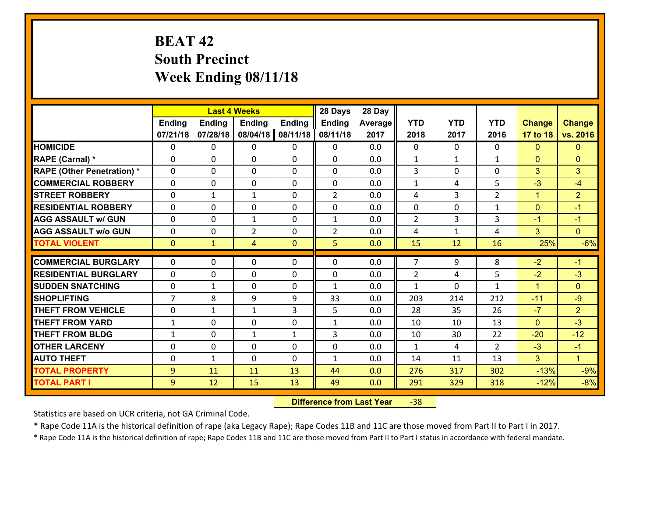## **BEAT 42 South Precinct Week Ending 08/11/18**

|                                   |                | <b>Last 4 Weeks</b> |                |              | 28 Days        | 28 Day  |                |              |                |                |                |
|-----------------------------------|----------------|---------------------|----------------|--------------|----------------|---------|----------------|--------------|----------------|----------------|----------------|
|                                   | <b>Ending</b>  | <b>Ending</b>       | <b>Ending</b>  | Ending       | <b>Ending</b>  | Average | <b>YTD</b>     | <b>YTD</b>   | <b>YTD</b>     | <b>Change</b>  | <b>Change</b>  |
|                                   | 07/21/18       | 07/28/18            | 08/04/18       | 08/11/18     | 08/11/18       | 2017    | 2018           | 2017         | 2016           | 17 to 18       | vs. 2016       |
| <b>HOMICIDE</b>                   | 0              | 0                   | 0              | 0            | 0              | 0.0     | $\Omega$       | $\Omega$     | 0              | $\mathbf{0}$   | $\mathbf{0}$   |
| RAPE (Carnal) *                   | 0              | 0                   | $\mathbf{0}$   | 0            | $\Omega$       | 0.0     | 1              | $\mathbf{1}$ | $\mathbf{1}$   | $\mathbf{0}$   | $\mathbf{0}$   |
| <b>RAPE (Other Penetration) *</b> | $\Omega$       | 0                   | $\mathbf{0}$   | $\Omega$     | $\Omega$       | 0.0     | 3              | $\Omega$     | $\Omega$       | 3              | 3              |
| <b>COMMERCIAL ROBBERY</b>         | $\Omega$       | 0                   | $\mathbf{0}$   | 0            | $\Omega$       | 0.0     | $\mathbf{1}$   | 4            | 5              | $-3$           | $-4$           |
| <b>STREET ROBBERY</b>             | 0              | $\mathbf{1}$        | $\mathbf{1}$   | 0            | $\overline{2}$ | 0.0     | 4              | 3            | $\overline{2}$ | $\mathbf{1}$   | $\overline{2}$ |
| <b>RESIDENTIAL ROBBERY</b>        | $\Omega$       | 0                   | $\mathbf{0}$   | $\Omega$     | 0              | 0.0     | $\mathbf{0}$   | 0            | $\mathbf{1}$   | $\mathbf{0}$   | $-1$           |
| <b>AGG ASSAULT w/ GUN</b>         | $\Omega$       | 0                   | 1              | 0            | $\mathbf{1}$   | 0.0     | $\overline{2}$ | 3            | 3              | $-1$           | $-1$           |
| <b>AGG ASSAULT w/o GUN</b>        | 0              | 0                   | $\overline{2}$ | 0            | $\overline{2}$ | 0.0     | 4              | $\mathbf{1}$ | 4              | 3              | $\overline{0}$ |
| <b>TOTAL VIOLENT</b>              | $\mathbf{0}$   | $\mathbf{1}$        | 4              | $\mathbf{0}$ | 5              | 0.0     | 15             | 12           | 16             | 25%            | $-6%$          |
| <b>COMMERCIAL BURGLARY</b>        | 0              | 0                   | $\mathbf{0}$   | 0            | $\Omega$       | 0.0     | $\overline{7}$ | 9            | 8              | $-2$           | $-1$           |
|                                   | $\Omega$       |                     |                |              |                |         |                |              |                |                |                |
| <b>RESIDENTIAL BURGLARY</b>       |                | 0                   | $\mathbf{0}$   | 0            | $\Omega$       | 0.0     | 2              | 4            | 5              | $-2$           | $-3$           |
| <b>SUDDEN SNATCHING</b>           | 0              | 1                   | $\mathbf{0}$   | 0            | $\mathbf{1}$   | 0.0     | $\mathbf{1}$   | 0            | $\mathbf{1}$   | $\mathbf{1}$   | $\mathbf{0}$   |
| <b>SHOPLIFTING</b>                | $\overline{7}$ | 8                   | 9              | 9            | 33             | 0.0     | 203            | 214          | 212            | $-11$          | $-9$           |
|                                   |                |                     |                |              |                |         |                |              |                |                |                |
| <b>THEFT FROM VEHICLE</b>         | 0              | 1                   | 1              | 3            | 5              | 0.0     | 28             | 35           | 26             | $-7$           | $\overline{2}$ |
| <b>THEFT FROM YARD</b>            | 1              | 0                   | $\mathbf{0}$   | $\Omega$     | $\mathbf{1}$   | 0.0     | 10             | 10           | 13             | $\mathbf{0}$   | $-3$           |
| <b>THEFT FROM BLDG</b>            | $\mathbf{1}$   | 0                   | $\mathbf{1}$   | $\mathbf{1}$ | 3              | 0.0     | 10             | 30           | 22             | $-20$          | $-12$          |
| <b>OTHER LARCENY</b>              | $\mathbf{0}$   | 0                   | $\mathbf{0}$   | $\Omega$     | 0              | 0.0     | $\mathbf{1}$   | 4            | $\mathcal{L}$  | $-3$           | $-1$           |
| <b>AUTO THEFT</b>                 | $\mathbf{0}$   | 1                   | $\mathbf{0}$   | $\Omega$     | $\mathbf{1}$   | 0.0     | 14             | 11           | 13             | 3 <sup>5</sup> | $\mathbf{1}$   |
| <b>TOTAL PROPERTY</b>             | 9              | 11                  | 11             | 13           | 44             | 0.0     | 276            | 317          | 302            | $-13%$         | $-9%$          |

 **Difference from Last Year**‐38

Statistics are based on UCR criteria, not GA Criminal Code.

\* Rape Code 11A is the historical definition of rape (aka Legacy Rape); Rape Codes 11B and 11C are those moved from Part II to Part I in 2017.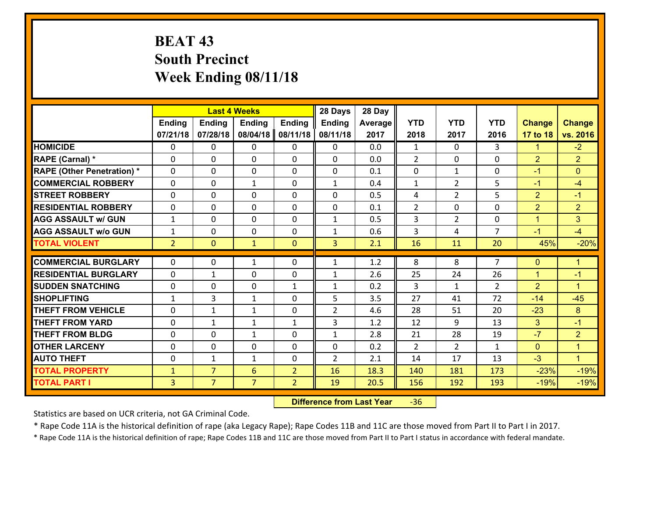## **BEAT 43 South Precinct Week Ending 08/11/18**

|                                   |                |                | <b>Last 4 Weeks</b> |                | 28 Days        | 28 Day  |                |                |                |                |                      |
|-----------------------------------|----------------|----------------|---------------------|----------------|----------------|---------|----------------|----------------|----------------|----------------|----------------------|
|                                   | <b>Ending</b>  | <b>Ending</b>  | <b>Ending</b>       | <b>Ending</b>  | <b>Ending</b>  | Average | <b>YTD</b>     | <b>YTD</b>     | <b>YTD</b>     | <b>Change</b>  | <b>Change</b>        |
|                                   | 07/21/18       | 07/28/18       | 08/04/18            | 08/11/18       | 08/11/18       | 2017    | 2018           | 2017           | 2016           | 17 to 18       | vs. 2016             |
| <b>HOMICIDE</b>                   | 0              | 0              | 0                   | 0              | 0              | 0.0     | $\mathbf{1}$   | $\Omega$       | 3              | $\mathbf{1}$   | $-2$                 |
| RAPE (Carnal) *                   | 0              | 0              | $\mathbf{0}$        | 0              | $\Omega$       | 0.0     | 2              | 0              | $\Omega$       | $\overline{2}$ | $\overline{2}$       |
| <b>RAPE (Other Penetration) *</b> | $\Omega$       | 0              | $\mathbf 0$         | $\Omega$       | $\Omega$       | 0.1     | $\Omega$       | $\mathbf{1}$   | $\Omega$       | $-1$           | $\Omega$             |
| <b>COMMERCIAL ROBBERY</b>         | $\Omega$       | 0              | $\mathbf{1}$        | $\Omega$       | $\mathbf{1}$   | 0.4     | $\mathbf{1}$   | $\overline{2}$ | 5              | $-1$           | $-4$                 |
| <b>STREET ROBBERY</b>             | 0              | 0              | $\mathbf 0$         | 0              | 0              | 0.5     | 4              | $\overline{2}$ | 5              | $\overline{2}$ | $-1$                 |
| <b>RESIDENTIAL ROBBERY</b>        | 0              | 0              | $\mathbf 0$         | 0              | 0              | 0.1     | $\overline{2}$ | 0              | 0              | $\overline{2}$ | $\overline{2}$       |
| <b>AGG ASSAULT w/ GUN</b>         | $\mathbf{1}$   | 0              | $\mathbf 0$         | 0              | $\mathbf{1}$   | 0.5     | $\overline{3}$ | $\overline{2}$ | 0              | $\mathbf{1}$   | 3                    |
| <b>AGG ASSAULT w/o GUN</b>        | $\mathbf{1}$   | 0              | $\mathbf 0$         | 0              | $\mathbf{1}$   | 0.6     | $\mathbf{3}$   | 4              | $\overline{7}$ | $-1$           | $-4$                 |
| <b>TOTAL VIOLENT</b>              | 2 <sup>1</sup> | $\overline{0}$ | $\mathbf{1}$        | $\mathbf{0}$   | 3              | 2.1     | 16             | 11             | 20             | 45%            | $-20%$               |
| <b>COMMERCIAL BURGLARY</b>        | $\Omega$       | 0              |                     | 0              |                | 1.2     | 8              | 8              | $\overline{7}$ | $\mathbf{0}$   | $\mathbf{1}$         |
|                                   |                |                | 1                   |                | $\mathbf{1}$   |         |                |                |                |                |                      |
| <b>RESIDENTIAL BURGLARY</b>       | $\Omega$       | 1              | $\mathbf{0}$        | $\Omega$       | 1              | 2.6     | 25             | 24             | 26             | $\mathbf{1}$   | $-1$                 |
| <b>SUDDEN SNATCHING</b>           | $\Omega$       | 0              | $\mathbf 0$         | $\mathbf{1}$   | $\mathbf{1}$   | 0.2     | 3              | $\mathbf{1}$   | $\mathcal{L}$  | 2              | $\blacktriangleleft$ |
| <b>SHOPLIFTING</b>                | $\mathbf{1}$   | 3              | 1                   | 0              | 5              | 3.5     | 27             | 41             | 72             | $-14$          | $-45$                |
| <b>THEFT FROM VEHICLE</b>         | $\mathbf{0}$   | 1              | 1                   | 0              | $\overline{2}$ | 4.6     | 28             | 51             | 20             | $-23$          | 8                    |
| <b>THEFT FROM YARD</b>            | 0              | $\mathbf{1}$   | 1                   | $\mathbf{1}$   | 3              | 1.2     | 12             | 9              | 13             | 3              | $-1$                 |
| <b>THEFT FROM BLDG</b>            | 0              | 0              | $\mathbf{1}$        | 0              | $\mathbf{1}$   | 2.8     | 21             | 28             | 19             | $-7$           | $\overline{2}$       |
| <b>OTHER LARCENY</b>              | 0              | 0              | $\mathbf 0$         | 0              | 0              | 0.2     | 2              | $\overline{2}$ | $\mathbf{1}$   | $\mathbf{0}$   | $\mathbf{1}$         |
| <b>AUTO THEFT</b>                 | 0              | 1              | 1                   | 0              | $\overline{2}$ | 2.1     | 14             | 17             | 13             | $-3$           | $\blacktriangleleft$ |
| <b>TOTAL PROPERTY</b>             | $\mathbf{1}$   | $\overline{7}$ | 6                   | $\overline{2}$ | 16             | 18.3    | 140            | 181            | 173            | $-23%$         | $-19%$               |
| <b>TOTAL PART I</b>               | $\overline{3}$ | $\overline{7}$ | $\overline{7}$      | $\overline{2}$ | 19             | 20.5    | 156            | 192            | 193            | $-19%$         | $-19%$               |

 **Difference from Last Year**r -36

Statistics are based on UCR criteria, not GA Criminal Code.

\* Rape Code 11A is the historical definition of rape (aka Legacy Rape); Rape Codes 11B and 11C are those moved from Part II to Part I in 2017.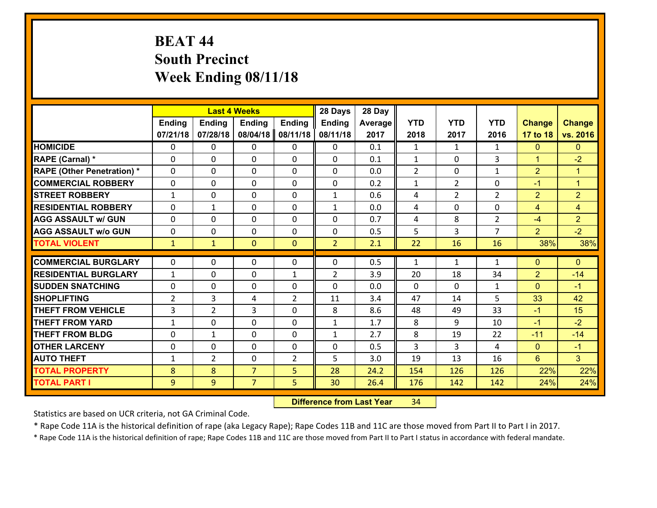# **BEAT 44 South Precinct Week Ending 08/11/18**

|                                   |                | <b>Last 4 Weeks</b> |                |                | 28 Days        | 28 Day  |              |                |                |                |                      |
|-----------------------------------|----------------|---------------------|----------------|----------------|----------------|---------|--------------|----------------|----------------|----------------|----------------------|
|                                   | <b>Ending</b>  | <b>Ending</b>       | <b>Ending</b>  | <b>Ending</b>  | Ending         | Average | <b>YTD</b>   | <b>YTD</b>     | <b>YTD</b>     | <b>Change</b>  | <b>Change</b>        |
|                                   | 07/21/18       | 07/28/18            | 08/04/18       | 08/11/18       | 08/11/18       | 2017    | 2018         | 2017           | 2016           | 17 to 18       | vs. 2016             |
| <b>HOMICIDE</b>                   | $\Omega$       | 0                   | $\mathbf{0}$   | 0              | $\mathbf{0}$   | 0.1     | 1            | $\mathbf{1}$   | $\mathbf{1}$   | $\mathbf{0}$   | $\mathbf{0}$         |
| RAPE (Carnal) *                   | $\Omega$       | 0                   | $\mathbf{0}$   | 0              | $\Omega$       | 0.1     | $\mathbf{1}$ | $\Omega$       | 3              | $\mathbf{1}$   | $-2$                 |
| <b>RAPE (Other Penetration) *</b> | $\Omega$       | $\Omega$            | $\mathbf 0$    | $\Omega$       | $\Omega$       | 0.0     | 2            | $\Omega$       | $\mathbf{1}$   | $\overline{2}$ | $\blacktriangleleft$ |
| <b>COMMERCIAL ROBBERY</b>         | $\Omega$       | $\Omega$            | $\mathbf 0$    | $\Omega$       | 0              | 0.2     | $\mathbf{1}$ | $\overline{2}$ | $\Omega$       | $-1$           | $\blacktriangleleft$ |
| <b>STREET ROBBERY</b>             | $\mathbf{1}$   | 0                   | $\mathbf 0$    | 0              | $\mathbf{1}$   | 0.6     | 4            | $\overline{2}$ | $\overline{2}$ | $\overline{2}$ | $\overline{2}$       |
| <b>RESIDENTIAL ROBBERY</b>        | $\Omega$       | 1                   | $\mathbf 0$    | 0              | $\mathbf{1}$   | 0.0     | 4            | $\mathbf 0$    | 0              | $\overline{4}$ | $\overline{4}$       |
| <b>AGG ASSAULT w/ GUN</b>         | 0              | 0                   | $\mathbf 0$    | 0              | 0              | 0.7     | 4            | 8              | $\overline{2}$ | $-4$           | $\overline{2}$       |
| <b>AGG ASSAULT w/o GUN</b>        | $\Omega$       | 0                   | $\mathbf 0$    | $\Omega$       | 0              | 0.5     | 5            | $\overline{3}$ | $\overline{7}$ | $\overline{2}$ | $-2$                 |
| <b>TOTAL VIOLENT</b>              | $\mathbf{1}$   | $\mathbf{1}$        | $\mathbf{O}$   | $\mathbf{0}$   | $\overline{2}$ | 2.1     | 22           | 16             | 16             | 38%            | 38%                  |
| <b>COMMERCIAL BURGLARY</b>        | 0              | 0                   | $\mathbf{0}$   | 0              | $\Omega$       | 0.5     | $\mathbf{1}$ | $\mathbf{1}$   | $\mathbf{1}$   | $\mathbf{0}$   | $\mathbf{0}$         |
| <b>RESIDENTIAL BURGLARY</b>       | $\mathbf{1}$   | 0                   | $\mathbf{0}$   | $\mathbf{1}$   | $\overline{2}$ | 3.9     | 20           | 18             | 34             | $\overline{2}$ | $-14$                |
| <b>SUDDEN SNATCHING</b>           | $\mathbf{0}$   | 0                   | 0              | 0              | $\Omega$       | 0.0     | $\Omega$     | $\Omega$       | $\mathbf{1}$   | $\mathbf{0}$   | $-1$                 |
| <b>SHOPLIFTING</b>                | $\overline{2}$ | 3                   | 4              | $\mathcal{L}$  | 11             | 3.4     | 47           | 14             | 5              | 33             | 42                   |
| <b>THEFT FROM VEHICLE</b>         | 3              | $\overline{2}$      | 3              | 0              | 8              | 8.6     | 48           | 49             | 33             | $-1$           | 15                   |
| <b>THEFT FROM YARD</b>            | $\mathbf{1}$   | 0                   | $\mathbf 0$    | 0              | $\mathbf{1}$   | 1.7     | 8            | 9              | 10             | $-1$           | $-2$                 |
| <b>THEFT FROM BLDG</b>            | $\Omega$       | $\mathbf{1}$        | $\mathbf 0$    | $\Omega$       | $\mathbf{1}$   | 2.7     | 8            | 19             | 22             | $-11$          | $-14$                |
| <b>OTHER LARCENY</b>              | $\mathbf 0$    | 0                   | $\mathbf 0$    | $\Omega$       | 0              | 0.5     | 3            | $\overline{3}$ | 4              | $\Omega$       | $-1$                 |
| <b>AUTO THEFT</b>                 | $\mathbf{1}$   | $\overline{2}$      | $\mathbf 0$    | $\overline{2}$ | 5              | 3.0     | 19           | 13             | 16             | $6^{\circ}$    | 3 <sup>1</sup>       |
| <b>TOTAL PROPERTY</b>             | 8              | 8                   | $\overline{7}$ | 5              | 28             | 24.2    | 154          | 126            | 126            | 22%            | 22%                  |
| <b>TOTAL PART I</b>               | 9              | 9                   | $\overline{7}$ | 5              | 30             | 26.4    | 176          | 142            | 142            | 24%            | 24%                  |
|                                   |                |                     |                |                |                |         |              |                |                |                |                      |

 **Difference from Last Year**r 34

Statistics are based on UCR criteria, not GA Criminal Code.

\* Rape Code 11A is the historical definition of rape (aka Legacy Rape); Rape Codes 11B and 11C are those moved from Part II to Part I in 2017.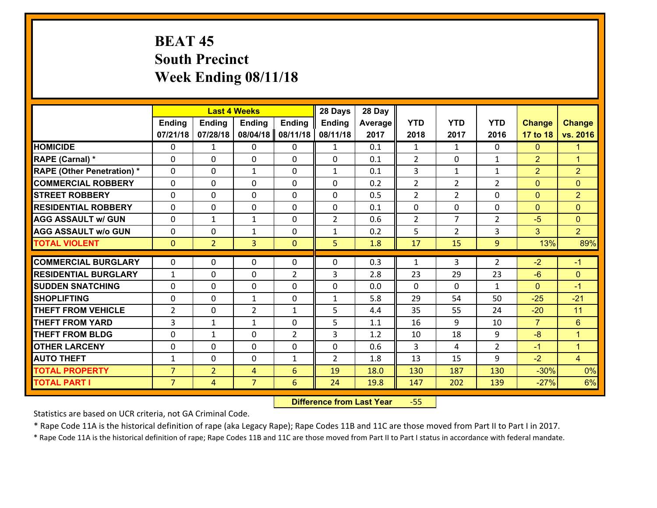## **BEAT 45 South Precinct Week Ending 08/11/18**

|                                   |                |                | <b>Last 4 Weeks</b> |                | 28 Days        | 28 Day  |                |                |                    |                |                      |
|-----------------------------------|----------------|----------------|---------------------|----------------|----------------|---------|----------------|----------------|--------------------|----------------|----------------------|
|                                   | <b>Ending</b>  | <b>Ending</b>  | <b>Ending</b>       | <b>Ending</b>  | <b>Ending</b>  | Average | <b>YTD</b>     | <b>YTD</b>     | <b>YTD</b>         | <b>Change</b>  | <b>Change</b>        |
|                                   | 07/21/18       | 07/28/18       | 08/04/18            | 08/11/18       | 08/11/18       | 2017    | 2018           | 2017           | 2016               | 17 to 18       | vs. 2016             |
| <b>HOMICIDE</b>                   | $\Omega$       | $\mathbf{1}$   | 0                   | 0              | $\mathbf{1}$   | 0.1     | 1              | $\mathbf{1}$   | 0                  | $\mathbf{0}$   | 1                    |
| RAPE (Carnal) *                   | 0              | 0              | $\mathbf{0}$        | 0              | $\Omega$       | 0.1     | 2              | 0              | $\mathbf{1}$       | $\overline{2}$ | $\blacktriangleleft$ |
| <b>RAPE (Other Penetration) *</b> | $\Omega$       | 0              | $\mathbf{1}$        | $\Omega$       | $\mathbf{1}$   | 0.1     | 3              | $\mathbf{1}$   | $\mathbf{1}$       | $\overline{2}$ | $\overline{2}$       |
| <b>COMMERCIAL ROBBERY</b>         | 0              | 0              | 0                   | 0              | $\Omega$       | 0.2     | $\overline{2}$ | $\overline{2}$ | $\overline{2}$     | $\mathbf{0}$   | $\mathbf{0}$         |
| <b>STREET ROBBERY</b>             | $\Omega$       | 0              | $\mathbf 0$         | 0              | 0              | 0.5     | $\overline{2}$ | $\overline{2}$ | 0                  | $\mathbf{0}$   | $\overline{2}$       |
| <b>RESIDENTIAL ROBBERY</b>        | $\Omega$       | 0              | $\mathbf 0$         | $\Omega$       | 0              | 0.1     | $\mathbf 0$    | 0              | 0                  | $\mathbf{0}$   | $\overline{0}$       |
| <b>AGG ASSAULT w/ GUN</b>         | 0              | 1              | $\mathbf{1}$        | 0              | $\overline{2}$ | 0.6     | $\overline{2}$ | $\overline{7}$ | $\overline{2}$     | $-5$           | $\overline{0}$       |
| <b>AGG ASSAULT w/o GUN</b>        | 0              | 0              | $\mathbf{1}$        | 0              | $\mathbf{1}$   | 0.2     | 5              | $\overline{2}$ | 3                  | 3              | 2 <sup>1</sup>       |
| <b>TOTAL VIOLENT</b>              | $\mathbf{0}$   | $\overline{2}$ | $\overline{3}$      | $\mathbf{0}$   | 5              | 1.8     | 17             | 15             | 9                  | 13%            | 89%                  |
| <b>COMMERCIAL BURGLARY</b>        | $\Omega$       | 0              | $\mathbf{0}$        | $\Omega$       | $\Omega$       | 0.3     | $\mathbf{1}$   | 3              | $\overline{2}$     | $-2$           | $-1$                 |
|                                   |                |                |                     |                |                |         |                |                |                    |                |                      |
| <b>RESIDENTIAL BURGLARY</b>       | $\mathbf{1}$   | 0              | $\mathbf 0$         | $\overline{2}$ | 3              | 2.8     | 23             | 29             | 23                 | $-6$           | $\mathbf{0}$         |
| <b>SUDDEN SNATCHING</b>           | 0              | 0              | $\mathbf 0$         | 0              | 0              | 0.0     | $\mathbf 0$    | 0              | $\mathbf{1}$<br>50 | $\mathbf{0}$   | $-1$                 |
| <b>SHOPLIFTING</b>                | 0              | 0              | 1                   | 0              | $\mathbf{1}$   | 5.8     | 29             | 54             |                    | $-25$          | $-21$                |
| <b>THEFT FROM VEHICLE</b>         | $\overline{2}$ | 0              | $\overline{2}$      | $\mathbf{1}$   | 5              | 4.4     | 35             | 55             | 24                 | $-20$          | 11                   |
| <b>THEFT FROM YARD</b>            | 3              | $\mathbf{1}$   | 1                   | 0              | 5              | 1.1     | 16             | 9              | 10                 | $\overline{7}$ | $6\phantom{a}$       |
| <b>THEFT FROM BLDG</b>            | 0              | 1              | $\mathbf 0$         | $\overline{2}$ | 3              | 1.2     | 10             | 18             | 9                  | $-8$           | $\mathbf{1}$         |
| <b>OTHER LARCENY</b>              | 0              | 0              | $\mathbf 0$         | 0              | 0              | 0.6     | 3              | 4              | $\overline{2}$     | $-1$           | $\mathbf{1}$         |
| <b>AUTO THEFT</b>                 | $\mathbf{1}$   | 0              | $\mathbf{0}$        | $\mathbf{1}$   | $\overline{2}$ | 1.8     | 13             | 15             | 9                  | $-2$           | $\overline{4}$       |
| <b>TOTAL PROPERTY</b>             | $\overline{7}$ | $\overline{2}$ | 4                   | 6              | 19             | 18.0    | 130            | 187            | 130                | $-30%$         | 0%                   |
| <b>TOTAL PART I</b>               | $\overline{7}$ | $\overline{4}$ | $\overline{7}$      | 6              | 24             | 19.8    | 147            | 202            | 139                | $-27%$         | 6%                   |

 **Difference from Last Year**‐55

Statistics are based on UCR criteria, not GA Criminal Code.

\* Rape Code 11A is the historical definition of rape (aka Legacy Rape); Rape Codes 11B and 11C are those moved from Part II to Part I in 2017.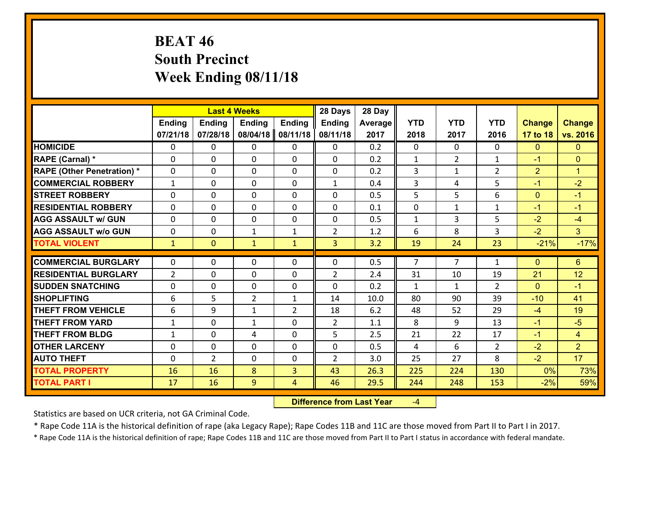## **BEAT 46 South Precinct Week Ending 08/11/18**

|                                              |                   |                | <b>Last 4 Weeks</b> |                | 28 Days        | 28 Day       |                |              |                |                |                |
|----------------------------------------------|-------------------|----------------|---------------------|----------------|----------------|--------------|----------------|--------------|----------------|----------------|----------------|
|                                              | Ending            | <b>Ending</b>  | <b>Ending</b>       | <b>Ending</b>  | <b>Ending</b>  | Average      | <b>YTD</b>     | <b>YTD</b>   | <b>YTD</b>     | <b>Change</b>  | <b>Change</b>  |
|                                              | 07/21/18          | 07/28/18       | 08/04/18            | 08/11/18       | 08/11/18       | 2017         | 2018           | 2017         | 2016           | 17 to 18       | vs. 2016       |
| <b>HOMICIDE</b>                              | 0                 | 0              | 0                   | 0              | 0              | 0.2          | $\mathbf{0}$   | $\Omega$     | 0              | $\mathbf{0}$   | $\mathbf{0}$   |
| RAPE (Carnal) *                              | 0                 | 0              | $\mathbf{0}$        | 0              | $\Omega$       | 0.2          | 1              | 2            | $\mathbf{1}$   | $-1$           | $\mathbf{0}$   |
| <b>RAPE (Other Penetration) *</b>            | $\Omega$          | 0              | $\mathbf{0}$        | $\Omega$       | $\Omega$       | 0.2          | 3              | $\mathbf{1}$ | $\overline{2}$ | $\overline{2}$ | $\mathbf{1}$   |
| <b>COMMERCIAL ROBBERY</b>                    | $\mathbf{1}$      | 0              | $\mathbf 0$         | $\Omega$       | $\mathbf{1}$   | 0.4          | 3              | 4            | 5              | $-1$           | $-2$           |
| <b>ISTREET ROBBERY</b>                       | 0                 | 0              | $\mathbf 0$         | 0              | 0              | 0.5          | 5              | 5            | 6              | $\mathbf{0}$   | $-1$           |
| <b>RESIDENTIAL ROBBERY</b>                   | $\mathbf{0}$      | 0              | $\mathbf 0$         | 0              | 0              | 0.1          | $\mathbf{0}$   | $\mathbf{1}$ | $\mathbf{1}$   | $-1$           | $-1$           |
| <b>AGG ASSAULT w/ GUN</b>                    | 0                 | 0              | $\mathbf 0$         | 0              | 0              | 0.5          | $\mathbf{1}$   | 3            | 5              | $-2$           | $-4$           |
| <b>AGG ASSAULT w/o GUN</b>                   | 0                 | 0              | 1                   | $\mathbf{1}$   | $\overline{2}$ | 1.2          | 6              | 8            | 3              | $-2$           | 3 <sup>1</sup> |
| <b>TOTAL VIOLENT</b>                         | $\mathbf{1}$      | $\overline{0}$ | $\mathbf{1}$        | $\mathbf{1}$   | $\overline{3}$ | 3.2          | 19             | 24           | 23             | $-21%$         | $-17%$         |
| <b>COMMERCIAL BURGLARY</b>                   | $\Omega$          | 0              | $\mathbf{0}$        | 0              | $\Omega$       | 0.5          | $\overline{7}$ | 7            | $\mathbf{1}$   | $\mathbf{0}$   | 6              |
|                                              |                   |                |                     |                |                |              |                |              |                |                |                |
|                                              |                   |                |                     |                |                |              |                |              |                |                |                |
| <b>RESIDENTIAL BURGLARY</b>                  | $\overline{2}$    | 0              | $\mathbf{0}$        | 0              | $\overline{2}$ | 2.4          | 31             | 10           | 19             | 21             | 12             |
| <b>SUDDEN SNATCHING</b>                      | $\Omega$          | 0              | $\mathbf 0$         | $\Omega$       | $\Omega$       | 0.2          | $\mathbf{1}$   | $\mathbf{1}$ | $\overline{2}$ | $\Omega$       | $-1$           |
| <b>SHOPLIFTING</b>                           | 6                 | 5              | $\overline{2}$      | $\mathbf{1}$   | 14             | 10.0         | 80             | 90           | 39             | $-10$          | 41             |
| <b>THEFT FROM VEHICLE</b>                    | 6                 | 9              | 1                   | $\overline{2}$ | 18             | 6.2          | 48             | 52           | 29             | $-4$           | 19             |
| <b>THEFT FROM YARD</b>                       | $\mathbf{1}$      | 0              | $\mathbf{1}$        | 0              | $\overline{2}$ | 1.1          | 8              | 9            | 13             | $-1$           | $-5$           |
| <b>THEFT FROM BLDG</b>                       | $\mathbf{1}$      | 0              | 4                   | 0              | 5              | 2.5          | 21<br>4        | 22<br>6      | 17             | $-1$           | $\overline{4}$ |
| <b>OTHER LARCENY</b>                         | 0<br>$\mathbf{0}$ | 0              | $\mathbf 0$         | 0<br>0         | 0              | 0.5          |                |              | $\overline{2}$ | $-2$           | $\overline{2}$ |
| <b>AUTO THEFT</b>                            |                   | $\overline{2}$ | 0                   |                | $\overline{2}$ | 3.0          | 25             | 27           | 8              | $-2$           | 17             |
| <b>TOTAL PROPERTY</b><br><b>TOTAL PART I</b> | 16<br>17          | 16<br>16       | 8<br>9              | 3<br>4         | 43<br>46       | 26.3<br>29.5 | 225<br>244     | 224<br>248   | 130<br>153     | 0%<br>$-2%$    | 73%<br>59%     |

 **Difference from Last Year**‐4

Statistics are based on UCR criteria, not GA Criminal Code.

\* Rape Code 11A is the historical definition of rape (aka Legacy Rape); Rape Codes 11B and 11C are those moved from Part II to Part I in 2017.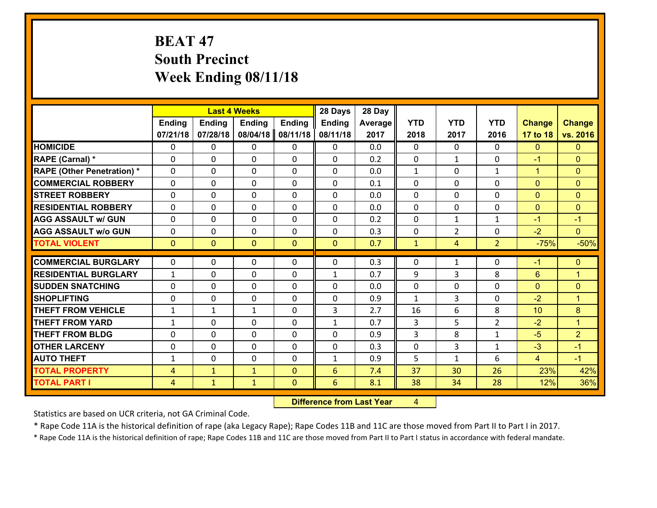## **BEAT 47 South Precinct Week Ending 08/11/18**

|                                   |                |                | <b>Last 4 Weeks</b> |                | 28 Days        | 28 Day  |              |                |                |               |                      |
|-----------------------------------|----------------|----------------|---------------------|----------------|----------------|---------|--------------|----------------|----------------|---------------|----------------------|
|                                   | <b>Ending</b>  | <b>Ending</b>  | <b>Ending</b>       | <b>Ending</b>  | <b>Ending</b>  | Average | <b>YTD</b>   | <b>YTD</b>     | <b>YTD</b>     | <b>Change</b> | <b>Change</b>        |
|                                   | 07/21/18       | 07/28/18       | 08/04/18            | 08/11/18       | 08/11/18       | 2017    | 2018         | 2017           | 2016           | 17 to 18      | vs. 2016             |
| <b>HOMICIDE</b>                   | 0              | 0              | 0                   | 0              | 0              | 0.0     | $\Omega$     | $\Omega$       | 0              | $\mathbf{0}$  | $\mathbf{0}$         |
| RAPE (Carnal) *                   | 0              | 0              | $\mathbf{0}$        | 0              | $\Omega$       | 0.2     | $\mathbf{0}$ | $\mathbf{1}$   | $\Omega$       | $-1$          | $\mathbf{0}$         |
| <b>RAPE (Other Penetration) *</b> | $\Omega$       | 0              | $\mathbf{0}$        | $\Omega$       | $\Omega$       | 0.0     | $\mathbf{1}$ | $\Omega$       | $\mathbf{1}$   | $\mathbf{1}$  | $\mathbf{0}$         |
| <b>COMMERCIAL ROBBERY</b>         | 0              | 0              | $\mathbf{0}$        | 0              | $\Omega$       | 0.1     | $\Omega$     | $\Omega$       | $\Omega$       | $\mathbf{0}$  | $\mathbf{0}$         |
| <b>STREET ROBBERY</b>             | 0              | 0              | $\mathbf 0$         | 0              | 0              | 0.0     | 0            | 0              | $\Omega$       | $\mathbf{0}$  | $\mathbf{0}$         |
| <b>RESIDENTIAL ROBBERY</b>        | $\Omega$       | 0              | $\mathbf{0}$        | $\Omega$       | 0              | 0.0     | $\mathbf{0}$ | $\mathbf{0}$   | $\Omega$       | $\mathbf{0}$  | $\mathbf{0}$         |
| <b>AGG ASSAULT w/ GUN</b>         | $\Omega$       | 0              | $\mathbf 0$         | $\Omega$       | 0              | 0.2     | 0            | $\mathbf{1}$   | $\mathbf{1}$   | $-1$          | $-1$                 |
| <b>AGG ASSAULT w/o GUN</b>        | 0              | 0              | $\mathbf 0$         | 0              | 0              | 0.3     | $\mathbf 0$  | $\overline{2}$ | 0              | $-2$          | $\overline{0}$       |
| <b>TOTAL VIOLENT</b>              | $\mathbf{0}$   | $\overline{0}$ | $\mathbf{0}$        | $\mathbf{0}$   | $\mathbf{0}$   | 0.7     | $\mathbf{1}$ | $\overline{4}$ | $\overline{2}$ | $-75%$        | $-50%$               |
|                                   |                |                |                     |                |                |         |              |                |                |               |                      |
| <b>COMMERCIAL BURGLARY</b>        | 0              | 0              | $\mathbf{0}$        | 0              | 0              | 0.3     | $\mathbf{0}$ | $\mathbf{1}$   | $\Omega$       | $-1$          | $\mathbf{0}$         |
| <b>RESIDENTIAL BURGLARY</b>       | $\mathbf{1}$   | 0              | $\mathbf{0}$        | 0              | $\mathbf{1}$   | 0.7     | 9            | 3              | 8              | 6             | $\overline{1}$       |
| <b>SUDDEN SNATCHING</b>           | 0              | 0              | 0                   | 0              | $\Omega$       | 0.0     | $\mathbf{0}$ | 0              | $\Omega$       | $\mathbf{0}$  | $\mathbf{0}$         |
| <b>SHOPLIFTING</b>                | 0              | 0              | $\mathbf 0$         | 0              | 0              | 0.9     | $\mathbf{1}$ | 3              | $\Omega$       | $-2$          | $\blacktriangleleft$ |
| <b>THEFT FROM VEHICLE</b>         | $\mathbf{1}$   | 1              | 1                   | 0              | 3              | 2.7     | 16           | 6              | 8              | 10            | 8                    |
| <b>THEFT FROM YARD</b>            | 1              | 0              | $\mathbf{0}$        | $\Omega$       | $\mathbf{1}$   | 0.7     | 3            | 5              | $\overline{2}$ | $-2$          | $\blacktriangleleft$ |
| <b>THEFT FROM BLDG</b>            | 0              | 0              | $\mathbf{0}$        | 0              | $\Omega$       | 0.9     | 3            | 8              | $\mathbf{1}$   | $-5$          | $\overline{2}$       |
| <b>OTHER LARCENY</b>              | 0              | 0              | $\mathbf{0}$        | $\Omega$       | $\Omega$       | 0.3     | 0            | 3              | $\mathbf{1}$   | $-3$          | $-1$                 |
| <b>AUTO THEFT</b>                 | $\mathbf{1}$   | 0              | 0                   | 0              | $\mathbf{1}$   | 0.9     | 5            | $\mathbf{1}$   | 6              | 4             | $-1$                 |
| <b>TOTAL PROPERTY</b>             | $\overline{4}$ | $\mathbf{1}$   | $\mathbf{1}$        | $\overline{0}$ | $6\phantom{1}$ | 7.4     | 37           | 30             | 26             | 23%           | 42%                  |
| <b>TOTAL PART I</b>               | $\overline{4}$ | $\mathbf{1}$   | $\mathbf{1}$        | $\mathbf{0}$   | 6              | 8.1     | 38           | 34             | 28             | 12%           | 36%                  |

 **Difference from Last Year**r 4

Statistics are based on UCR criteria, not GA Criminal Code.

\* Rape Code 11A is the historical definition of rape (aka Legacy Rape); Rape Codes 11B and 11C are those moved from Part II to Part I in 2017.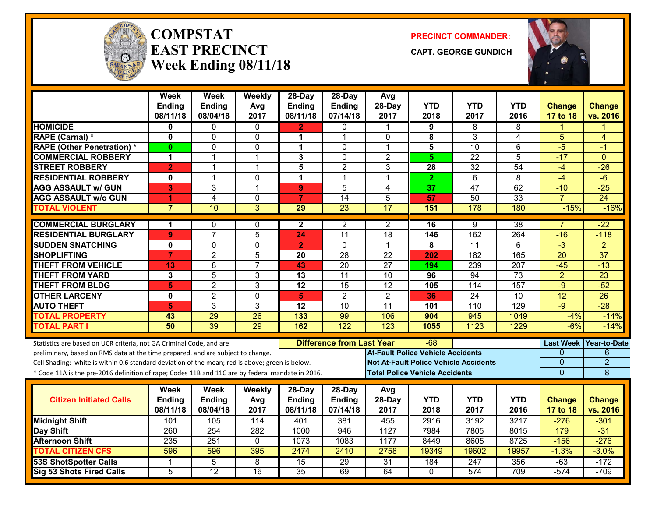

#### **COMPSTATEAST PRECINCTWeek Ending 08/11/18**

**PRECINCT COMMANDER:**

**CAPT. GEORGE GUNDICH**



|                                                                                                  | <b>Week</b><br><b>Ending</b> | <b>Week</b><br>Ending | Weekly<br>Avg   | 28-Day<br>Ending                        | 28-Day<br>Ending | Avg<br>28-Day                                | <b>YTD</b>      | <b>YTD</b>       | <b>YTD</b>       | <b>Change</b>    | <b>Change</b>   |
|--------------------------------------------------------------------------------------------------|------------------------------|-----------------------|-----------------|-----------------------------------------|------------------|----------------------------------------------|-----------------|------------------|------------------|------------------|-----------------|
|                                                                                                  | 08/11/18                     | 08/04/18              | 2017            | 08/11/18                                | 07/14/18         | 2017                                         | 2018            | 2017             | 2016             | <b>17 to 18</b>  | vs. 2016        |
| <b>HOMICIDE</b>                                                                                  | 0                            | 0                     | $\mathbf{0}$    | $\overline{2}$                          | $\mathbf{0}$     | $\mathbf 1$                                  | 9               | 8                | 8                | 1                |                 |
| RAPE (Carnal) *                                                                                  | 0                            | 0                     | $\mathbf{0}$    | 1                                       | 1                | 0                                            | 8               | 3                | $\overline{4}$   | 5                | 4               |
| <b>RAPE (Other Penetration) *</b>                                                                | $\mathbf{0}$                 | $\Omega$              | $\Omega$        | $\mathbf 1$                             | $\mathbf 0$      | $\mathbf{1}$                                 | $\overline{5}$  | $\overline{10}$  | 6                | $-5$             | $-1$            |
| <b>COMMERCIAL ROBBERY</b>                                                                        | 1                            | $\mathbf{1}$          | $\mathbf{1}$    | 3                                       | $\mathbf 0$      | $\overline{2}$                               | $5\phantom{.0}$ | $\overline{22}$  | 5                | $-17$            | $\Omega$        |
| <b>STREET ROBBERY</b>                                                                            | $\overline{2}$               | $\mathbf 1$           | $\mathbf{1}$    | 5                                       | $\overline{2}$   | 3                                            | 28              | 32               | $\overline{54}$  | $-4$             | $-26$           |
| <b>RESIDENTIAL ROBBERY</b>                                                                       | $\mathbf 0$                  | $\mathbf{1}$          | $\mathbf 0$     | $\mathbf{1}$                            | $\mathbf{1}$     | $\mathbf{1}$                                 | $\overline{2}$  | $\overline{6}$   | 8                | $-4$             | $-6$            |
| <b>AGG ASSAULT w/ GUN</b>                                                                        | 3                            | 3                     | $\overline{1}$  | $\overline{9}$                          | 5                | 4                                            | 37              | $\overline{47}$  | 62               | $-10$            | $-25$           |
| <b>AGG ASSAULT w/o GUN</b>                                                                       | 1                            | $\overline{4}$        | $\mathbf 0$     | $\overline{7}$                          | $\overline{14}$  | 5                                            | 57              | 50               | $\overline{33}$  | $\overline{7}$   | $\overline{24}$ |
| <b>TOTAL VIOLENT</b>                                                                             | $\overline{7}$               | 10                    | $\overline{3}$  | $\overline{29}$                         | $\overline{23}$  | $\overline{17}$                              | 151             | 178              | 180              | $-15%$           | $-16%$          |
| <b>COMMERCIAL BURGLARY</b>                                                                       | 1                            | 0                     | 0               | $\mathbf{2}$                            | 2                | 2                                            | 16              | 9                | 38               | 7                | $-22$           |
| <b>RESIDENTIAL BURGLARY</b>                                                                      | 9                            | $\overline{7}$        | $\overline{5}$  | 24                                      | $\overline{11}$  | $\overline{18}$                              | 146             | 162              | 264              | $-16$            | $-118$          |
| <b>SUDDEN SNATCHING</b>                                                                          | $\mathbf 0$                  | 0                     | $\Omega$        | $\overline{2}$                          | $\mathbf{0}$     | $\mathbf{1}$                                 | 8               | 11               | 6                | $\overline{3}$   | $\overline{2}$  |
| <b>SHOPLIFTING</b>                                                                               | $\overline{7}$               | $\overline{2}$        | $\overline{5}$  | 20                                      | $\overline{28}$  | $\overline{22}$                              | 202             | 182              | 165              | $\overline{20}$  | $\overline{37}$ |
| <b>THEFT FROM VEHICLE</b>                                                                        | 13                           | 8                     | $\overline{7}$  | 43                                      | $\overline{20}$  | $\overline{27}$                              | 194             | 239              | $\overline{207}$ | $-45$            | $-13$           |
| <b>THEFT FROM YARD</b>                                                                           | 3                            | $\overline{5}$        | $\mathbf{3}$    | $\overline{13}$                         | $\overline{11}$  | $\overline{10}$                              | 96              | 94               | $\overline{73}$  | $\overline{2}$   | $\overline{23}$ |
| <b>THEFT FROM BLDG</b>                                                                           | 5                            | $\overline{2}$        | 3               | $\overline{12}$                         | 15               | $\overline{12}$                              | 105             | 114              | 157              | $-9$             | $-52$           |
| <b>OTHER LARCENY</b>                                                                             | $\mathbf 0$                  | $\overline{2}$        | $\mathbf 0$     | 5                                       | $\overline{2}$   | $\overline{2}$                               | 36              | $\overline{24}$  | $\overline{10}$  | 12               | $\overline{26}$ |
| <b>AUTO THEFT</b>                                                                                | 5                            | 3                     | 3               | 12                                      | 10               | 11                                           | 101             | 110              | 129              | $-9$             | $-28$           |
| <b>TOTAL PROPERTY</b>                                                                            | 43                           | 29                    | 26              | 133                                     | 99               | 106                                          | 904             | 945              | 1049             | $-4%$            | $-14%$          |
| <b>TOTAL PART I</b>                                                                              | 50                           | 39                    | 29              | 162                                     | 122              | 123                                          | 1055            | 1123             | 1229             | $-6%$            | $-14%$          |
| Statistics are based on UCR criteria, not GA Criminal Code, and are                              |                              |                       |                 | <b>Difference from Last Year</b><br>-68 |                  |                                              |                 |                  |                  | <b>Last Week</b> | Year-to-Date    |
| preliminary, based on RMS data at the time prepared, and are subject to change.                  |                              |                       |                 |                                         |                  | <b>At-Fault Police Vehicle Accidents</b>     |                 |                  |                  | 0                | 6               |
| Cell Shading: white is within 0.6 standard deviation of the mean; red is above; green is below.  |                              |                       |                 |                                         |                  | <b>Not At-Fault Police Vehicle Accidents</b> |                 |                  |                  | $\Omega$         | $\overline{2}$  |
| * Code 11A is the pre-2016 definition of rape; Codes 11B and 11C are by federal mandate in 2016. |                              |                       |                 |                                         |                  | <b>Total Police Vehicle Accidents</b>        |                 |                  |                  | $\overline{0}$   | 8               |
|                                                                                                  | Week                         | <b>Week</b>           | Weekly          | 28-Day                                  | 28-Day           | Avg                                          |                 |                  |                  |                  |                 |
| <b>Citizen Initiated Calls</b>                                                                   | <b>Ending</b>                | <b>Ending</b>         | Avg             | <b>Ending</b>                           | <b>Ending</b>    | 28-Day                                       | <b>YTD</b>      | <b>YTD</b>       | <b>YTD</b>       | <b>Change</b>    | <b>Change</b>   |
|                                                                                                  | 08/11/18                     | 08/04/18              | 2017            | 08/11/18                                | 07/14/18         | 2017                                         | 2018            | 2017             | 2016             | 17 to 18         | vs. 2016        |
| <b>Midnight Shift</b>                                                                            | 101                          | 105                   | 114             | 401                                     | 381              | 455                                          | 2916            | 3192             | 3217             | $-276$           | $-301$          |
| Day Shift                                                                                        | 260                          | 254                   | 282             | 1000                                    | 946              | 1127                                         | 7984            | 7805             | 8015             | 179              | $-31$           |
| <b>Afternoon Shift</b>                                                                           | 235                          | 251                   | $\mathbf{0}$    | 1073                                    | 1083             | 1177                                         | 8449            | 8605             | 8725             | $-156$           | $-276$          |
| <b>TOTAL CITIZEN CFS</b>                                                                         | 596                          | 596                   | 395             | 2474                                    | 2410             | 2758                                         | 19349           | 19602            | 19957            | $-1.3%$          | $-3.0%$         |
| <b>53S ShotSpotter Calls</b>                                                                     | 1                            | 5                     | 8               | 15                                      | $\overline{29}$  | $\overline{31}$                              | 184             | $\overline{247}$ | 356              | $-63$            | $-172$          |
| <b>Sig 53 Shots Fired Calls</b>                                                                  | 5                            | $\overline{12}$       | $\overline{16}$ | $\overline{35}$                         | 69               | 64                                           | $\Omega$        | 574              | 709              | $-574$           | $-709$          |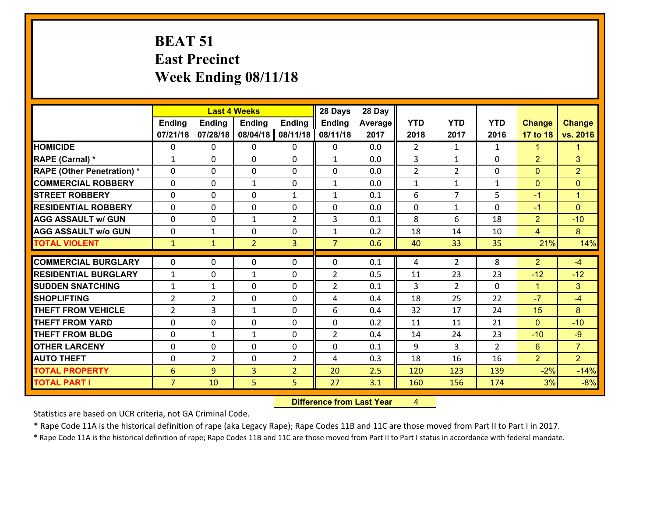## **BEAT 51 East Precinct Week Ending 08/11/18**

|                                   | <b>Last 4 Weeks</b> |                |                |                | 28 Days        | 28 Day  |                |                |                |                |                |
|-----------------------------------|---------------------|----------------|----------------|----------------|----------------|---------|----------------|----------------|----------------|----------------|----------------|
|                                   | Ending              | <b>Ending</b>  | <b>Ending</b>  | Ending         | <b>Ending</b>  | Average | <b>YTD</b>     | <b>YTD</b>     | <b>YTD</b>     | <b>Change</b>  | <b>Change</b>  |
|                                   | 07/21/18            | 07/28/18       | 08/04/18       | 08/11/18       | 08/11/18       | 2017    | 2018           | 2017           | 2016           | 17 to 18       | vs. 2016       |
| <b>HOMICIDE</b>                   | $\Omega$            | 0              | 0              | $\Omega$       | 0              | 0.0     | $\overline{2}$ | $\mathbf{1}$   | $\mathbf{1}$   | 1              | 1.             |
| RAPE (Carnal) *                   | $\mathbf{1}$        | 0              | $\mathbf{0}$   | 0              | $\mathbf{1}$   | 0.0     | 3              | $\mathbf{1}$   | 0              | $\overline{2}$ | 3              |
| <b>RAPE (Other Penetration) *</b> | $\Omega$            | 0              | $\mathbf{0}$   | $\Omega$       | $\Omega$       | 0.0     | $\overline{2}$ | $\overline{2}$ | 0              | $\mathbf{0}$   | $\overline{2}$ |
| <b>COMMERCIAL ROBBERY</b>         | 0                   | 0              | $\mathbf{1}$   | 0              | $\mathbf{1}$   | 0.0     | $\mathbf{1}$   | $\mathbf{1}$   | $\mathbf{1}$   | $\mathbf{0}$   | $\overline{0}$ |
| <b>STREET ROBBERY</b>             | $\Omega$            | 0              | 0              | $\mathbf{1}$   | $\mathbf{1}$   | 0.1     | 6              | $\overline{7}$ | 5              | $-1$           | $\mathbf{1}$   |
| <b>RESIDENTIAL ROBBERY</b>        | $\Omega$            | 0              | 0              | 0              | 0              | 0.0     | $\mathbf 0$    | $\mathbf{1}$   | $\Omega$       | $-1$           | $\Omega$       |
| <b>AGG ASSAULT w/ GUN</b>         | $\Omega$            | 0              | $\mathbf{1}$   | $\overline{2}$ | 3              | 0.1     | 8              | 6              | 18             | $\overline{2}$ | $-10$          |
| <b>AGG ASSAULT w/o GUN</b>        | 0                   | $\mathbf{1}$   | 0              | 0              | $\mathbf{1}$   | 0.2     | 18             | 14             | 10             | $\overline{4}$ | 8 <sup>°</sup> |
| <b>TOTAL VIOLENT</b>              | $\mathbf{1}$        | $\mathbf{1}$   | $\overline{2}$ | $\overline{3}$ | $\overline{7}$ | 0.6     | 40             | 33             | 35             | 21%            | 14%            |
| <b>COMMERCIAL BURGLARY</b>        | $\Omega$            | 0              | $\mathbf{0}$   | $\Omega$       | $\Omega$       | 0.1     | 4              | $\overline{2}$ | 8              | $\overline{2}$ | $-4$           |
| <b>RESIDENTIAL BURGLARY</b>       | $\mathbf{1}$        | 0              | $\mathbf{1}$   | 0              | $\overline{2}$ | 0.5     | 11             | 23             | 23             | $-12$          | $-12$          |
| <b>SUDDEN SNATCHING</b>           | $\mathbf{1}$        | $\mathbf{1}$   | 0              | 0              | $\overline{2}$ | 0.1     | 3              | $\overline{2}$ | 0              | $\mathbf{1}$   | 3 <sup>1</sup> |
| <b>SHOPLIFTING</b>                | $\overline{2}$      | $\overline{2}$ | 0              | 0              | 4              | 0.4     | 18             | 25             | 22             | $-7$           | $-4$           |
| <b>THEFT FROM VEHICLE</b>         | $\overline{2}$      | 3              | $\mathbf{1}$   | 0              | 6              | 0.4     | 32             | 17             | 24             | 15             | 8              |
| <b>THEFT FROM YARD</b>            | $\mathbf 0$         | 0              | 0              | 0              | 0              | 0.2     | 11             | 11             | 21             | $\mathbf{0}$   | $-10$          |
| <b>THEFT FROM BLDG</b>            | 0                   | $\mathbf{1}$   | $\mathbf{1}$   | 0              | $\overline{2}$ | 0.4     | 14             | 24             | 23             | $-10$          | $-9$           |
| <b>OTHER LARCENY</b>              | 0                   | 0              | 0              | 0              | 0              | 0.1     | 9              | 3              | $\overline{2}$ | $6^{\circ}$    | $\overline{7}$ |
| <b>AUTO THEFT</b>                 | 0                   | $\overline{2}$ | $\mathbf{0}$   | $\overline{2}$ | 4              | 0.3     | 18             | 16             | 16             | $\overline{2}$ | $\overline{2}$ |
| <b>TOTAL PROPERTY</b>             | 6                   | 9              | 3              | $\overline{2}$ | 20             | 2.5     | 120            | 123            | 139            | $-2%$          | $-14%$         |
| <b>TOTAL PART I</b>               | $\overline{7}$      | 10             | 5              | 5              | 27             | 3.1     | 160            | 156            | 174            | 3%             | $-8%$          |
|                                   |                     |                |                |                |                |         |                |                |                |                |                |

 **Difference from Last Year**r 4

Statistics are based on UCR criteria, not GA Criminal Code.

\* Rape Code 11A is the historical definition of rape (aka Legacy Rape); Rape Codes 11B and 11C are those moved from Part II to Part I in 2017.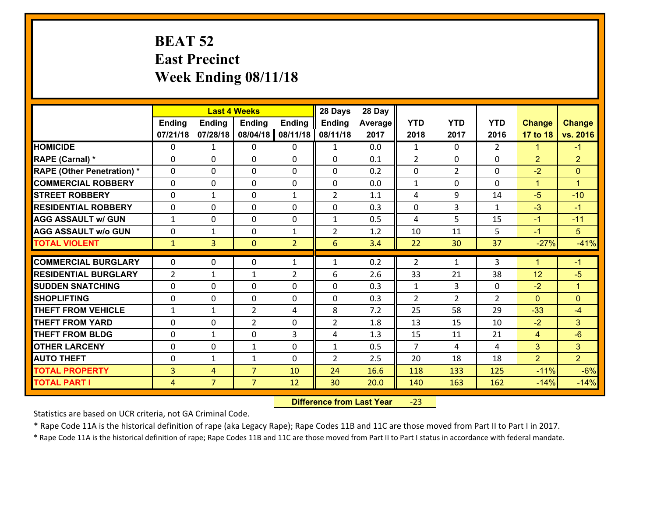## **BEAT 52 East Precinct Week Ending 08/11/18**

|                                              |                                  |                     | <b>Last 4 Weeks</b>              |                | 28 Days        | 28 Day       |                |                |                |                      |                 |
|----------------------------------------------|----------------------------------|---------------------|----------------------------------|----------------|----------------|--------------|----------------|----------------|----------------|----------------------|-----------------|
|                                              | <b>Ending</b>                    | <b>Ending</b>       | <b>Ending</b>                    | <b>Ending</b>  | <b>Ending</b>  | Average      | <b>YTD</b>     | <b>YTD</b>     | <b>YTD</b>     | <b>Change</b>        | <b>Change</b>   |
|                                              | 07/21/18                         | 07/28/18            | 08/04/18                         | 08/11/18       | 08/11/18       | 2017         | 2018           | 2017           | 2016           | 17 to 18             | vs. 2016        |
| <b>HOMICIDE</b>                              | $\Omega$                         | 1                   | $\Omega$                         | 0              | $\mathbf{1}$   | 0.0          | $\mathbf{1}$   | $\Omega$       | $\overline{2}$ | 1                    | $-1$            |
| RAPE (Carnal) *                              | $\Omega$                         | 0                   | $\mathbf{0}$                     | $\Omega$       | 0              | 0.1          | 2              | 0              | $\Omega$       | 2                    | $\overline{2}$  |
| <b>RAPE (Other Penetration) *</b>            | $\Omega$                         | 0                   | $\Omega$                         | $\Omega$       | 0              | 0.2          | $\Omega$       | $\overline{2}$ | $\Omega$       | $-2$                 | $\Omega$        |
| <b>COMMERCIAL ROBBERY</b>                    | $\mathbf 0$                      | 0                   | $\mathbf{0}$                     | 0              | 0              | 0.0          | $\mathbf{1}$   | $\Omega$       | 0              | $\blacktriangleleft$ | $\mathbf{1}$    |
| <b>STREET ROBBERY</b>                        | $\mathbf 0$                      | 1                   | $\mathbf 0$                      | $\mathbf{1}$   | $\overline{2}$ | 1.1          | 4              | 9              | 14             | $-5$                 | $-10$           |
| <b>RESIDENTIAL ROBBERY</b>                   | $\Omega$                         | 0                   | $\Omega$                         | 0              | $\Omega$       | 0.3          | $\Omega$       | 3              | $\mathbf{1}$   | $-3$                 | $-1$            |
| <b>AGG ASSAULT w/ GUN</b>                    | $\mathbf{1}$                     | 0                   | $\mathbf 0$                      | 0              | $\mathbf{1}$   | 0.5          | 4              | 5              | 15             | $-1$                 | $-11$           |
| <b>AGG ASSAULT w/o GUN</b>                   | $\mathbf 0$                      | $\mathbf{1}$        | $\mathbf 0$                      | $\mathbf{1}$   | $\overline{2}$ | 1.2          | 10             | 11             | 5              | $-1$                 | 5               |
| <b>TOTAL VIOLENT</b>                         | $\mathbf{1}$                     | 3                   | $\overline{0}$                   | $\overline{2}$ | 6              | 3.4          | 22             | 30             | 37             | $-27%$               | $-41%$          |
| <b>COMMERCIAL BURGLARY</b>                   | $\Omega$                         | 0                   | $\Omega$                         | $\mathbf{1}$   | $\mathbf{1}$   | 0.2          | $\mathcal{L}$  | $\mathbf{1}$   | 3              | 1                    | $-1$            |
| <b>RESIDENTIAL BURGLARY</b>                  | $\overline{2}$                   | 1                   | $\mathbf{1}$                     | $\overline{2}$ | 6              | 2.6          | 33             | 21             | 38             | 12                   | $-5$            |
| <b>SUDDEN SNATCHING</b>                      | $\mathbf 0$                      | 0                   | $\mathbf 0$                      | 0              | 0              | 0.3          | $\mathbf{1}$   | 3              | 0              | $-2$                 | $\mathbf{1}$    |
| <b>SHOPLIFTING</b>                           | $\mathbf 0$                      | 0                   | $\mathbf 0$                      | 0              | $\Omega$       | 0.3          | $\overline{2}$ | $\overline{2}$ | $\overline{2}$ | $\Omega$             | $\overline{0}$  |
| <b>THEFT FROM VEHICLE</b>                    | $\mathbf{1}$                     | $\mathbf{1}$        | $\overline{2}$                   | 4              | 8              | 7.2          | 25             | 58             | 29             | $-33$                | $-4$            |
| <b>THEFT FROM YARD</b>                       | $\mathbf 0$                      | 0                   | $\overline{2}$                   | $\mathbf 0$    | $\overline{2}$ | 1.8          | 13             | 15             | 10             | $-2$                 | 3 <sup>1</sup>  |
| <b>THEFT FROM BLDG</b>                       | $\mathbf 0$                      | $\mathbf{1}$        | $\mathbf 0$                      | 3              | 4              | 1.3          | 15             | 11             | 21             | $\overline{4}$       | $-6$            |
| <b>OTHER LARCENY</b>                         | $\mathbf 0$                      | 0                   | $\mathbf{1}$                     | 0              | $\mathbf{1}$   | 0.5          | $\overline{7}$ | 4              | 4              | $\overline{3}$       | 3 <sup>1</sup>  |
|                                              | $\mathbf{0}$                     | $\mathbf{1}$        | 1                                | $\Omega$       | $\overline{2}$ | 2.5          | 20             | 18             | 18             | $\overline{2}$       | $\overline{2}$  |
|                                              |                                  |                     |                                  |                |                |              |                |                |                |                      |                 |
| <b>AUTO THEFT</b>                            |                                  |                     |                                  |                |                |              |                |                |                |                      |                 |
| <b>TOTAL PROPERTY</b><br><b>TOTAL PART I</b> | $\overline{3}$<br>$\overline{4}$ | 4<br>$\overline{7}$ | $\overline{7}$<br>$\overline{7}$ | 10<br>12       | 24<br>30       | 16.6<br>20.0 | 118<br>140     | 133<br>163     | 125<br>162     | $-11%$<br>$-14%$     | $-6%$<br>$-14%$ |

 **Difference from Last Year**‐23

Statistics are based on UCR criteria, not GA Criminal Code.

\* Rape Code 11A is the historical definition of rape (aka Legacy Rape); Rape Codes 11B and 11C are those moved from Part II to Part I in 2017.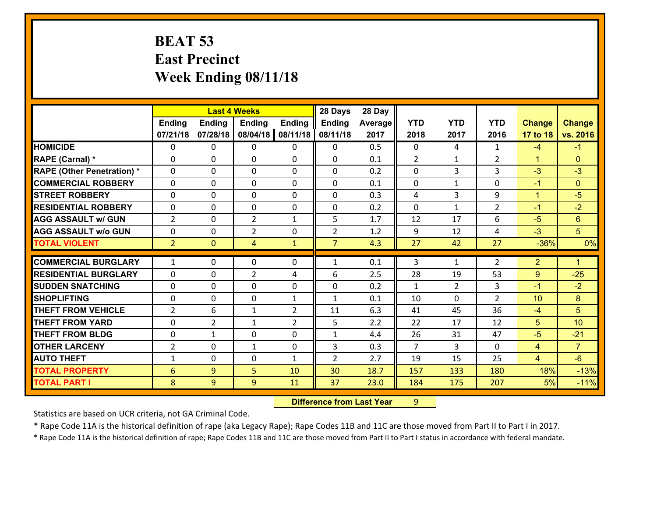## **BEAT 53 East Precinct Week Ending 08/11/18**

|                                   |                |                | <b>Last 4 Weeks</b> |                |                |         |                |                |                |                |                 |
|-----------------------------------|----------------|----------------|---------------------|----------------|----------------|---------|----------------|----------------|----------------|----------------|-----------------|
|                                   | <b>Ending</b>  | <b>Ending</b>  | <b>Ending</b>       | <b>Ending</b>  | Ending         | Average | <b>YTD</b>     | <b>YTD</b>     | <b>YTD</b>     | <b>Change</b>  | <b>Change</b>   |
|                                   | 07/21/18       | 07/28/18       | 08/04/18            | 08/11/18       | 08/11/18       | 2017    | 2018           | 2017           | 2016           | 17 to 18       | vs. 2016        |
| <b>HOMICIDE</b>                   | $\Omega$       | 0              | $\Omega$            | $\mathbf{0}$   | 0              | 0.5     | $\Omega$       | 4              | $\mathbf{1}$   | $-4$           | $-1$            |
| RAPE (Carnal) *                   | $\Omega$       | 0              | $\mathbf{0}$        | $\mathbf{0}$   | 0              | 0.1     | $\overline{2}$ | $\mathbf{1}$   | $\overline{2}$ | $\mathbf{1}$   | $\mathbf{0}$    |
| <b>RAPE (Other Penetration) *</b> | $\Omega$       | 0              | $\mathbf{0}$        | $\Omega$       | 0              | 0.2     | $\Omega$       | 3              | 3              | $-3$           | $-3$            |
| <b>COMMERCIAL ROBBERY</b>         | $\Omega$       | 0              | $\mathbf{0}$        | $\Omega$       | $\Omega$       | 0.1     | $\Omega$       | $\mathbf{1}$   | 0              | $-1$           | $\Omega$        |
| <b>STREET ROBBERY</b>             | $\Omega$       | 0              | $\Omega$            | $\Omega$       | $\Omega$       | 0.3     | 4              | 3              | 9              | $\mathbf{1}$   | $-5$            |
| <b>RESIDENTIAL ROBBERY</b>        | $\Omega$       | 0              | $\mathbf{0}$        | $\Omega$       | $\Omega$       | 0.2     | $\Omega$       | $\mathbf{1}$   | $\overline{2}$ | $-1$           | $-2$            |
| <b>AGG ASSAULT w/ GUN</b>         | $\overline{2}$ | 0              | $\overline{2}$      | $\mathbf{1}$   | 5              | 1.7     | 12             | 17             | 6              | $-5$           | 6               |
| <b>AGG ASSAULT w/o GUN</b>        | 0              | 0              | $\overline{2}$      | 0              | $\overline{2}$ | 1.2     | 9              | 12             | 4              | $-3$           | 5 <sup>5</sup>  |
| <b>TOTAL VIOLENT</b>              | 2 <sup>1</sup> | $\overline{0}$ | 4                   | $\mathbf{1}$   | $\overline{7}$ | 4.3     | 27             | 42             | 27             | $-36%$         | 0%              |
|                                   |                |                |                     |                |                |         |                |                |                |                |                 |
|                                   |                |                |                     |                |                |         |                |                |                |                |                 |
| <b>COMMERCIAL BURGLARY</b>        | $\mathbf{1}$   | 0              | 0                   | 0              | $\mathbf{1}$   | 0.1     | 3              | $\mathbf{1}$   | 2              | $\overline{2}$ | $\mathbf{1}$    |
| <b>RESIDENTIAL BURGLARY</b>       | $\Omega$       | 0              | $\overline{2}$      | 4              | 6              | 2.5     | 28             | 19             | 53             | 9              | $-25$           |
| <b>SUDDEN SNATCHING</b>           | $\mathbf{0}$   | 0              | $\mathbf{0}$        | 0              | $\Omega$       | 0.2     | $\mathbf{1}$   | $\overline{2}$ | 3              | $-1$           | $-2$            |
| <b>SHOPLIFTING</b>                | $\Omega$       | 0              | $\mathbf{0}$        | $\mathbf{1}$   | $\mathbf{1}$   | 0.1     | 10             | $\Omega$       | $\mathcal{P}$  | 10             | 8               |
| <b>THEFT FROM VEHICLE</b>         | $\overline{2}$ | 6              | $\mathbf{1}$        | $\overline{2}$ | 11             | 6.3     | 41             | 45             | 36             | $-4$           | 5 <sup>5</sup>  |
| <b>THEFT FROM YARD</b>            | 0              | $\overline{2}$ | $\mathbf{1}$        | 2              | 5              | 2.2     | 22             | 17             | 12             | 5              | 10 <sup>1</sup> |
| <b>THEFT FROM BLDG</b>            | $\Omega$       | $\mathbf{1}$   | $\mathbf{0}$        | $\Omega$       | $\mathbf{1}$   | 4.4     | 26             | 31             | 47             | $-5$           | $-21$           |
| <b>OTHER LARCENY</b>              | $\overline{2}$ | 0              | $\mathbf{1}$        | 0              | 3              | 0.3     | $\overline{7}$ | 3              | 0              | $\overline{4}$ | $\overline{7}$  |
| <b>AUTO THEFT</b>                 | 1              | 0              | $\mathbf{0}$        | $\mathbf{1}$   | $\overline{2}$ | 2.7     | 19             | 15             | 25             | $\overline{4}$ | $-6$            |
| <b>TOTAL PROPERTY</b>             | 6              | 9              | 5                   | 10             | 30             | 18.7    | 157            | 133            | 180            | 18%            | $-13%$          |
| <b>TOTAL PART I</b>               | 8              | 9              | 9                   | 11             | 37             | 23.0    | 184            | 175            | 207            | 5%             | $-11%$          |

 **Difference from Last Year**r 9

Statistics are based on UCR criteria, not GA Criminal Code.

\* Rape Code 11A is the historical definition of rape (aka Legacy Rape); Rape Codes 11B and 11C are those moved from Part II to Part I in 2017.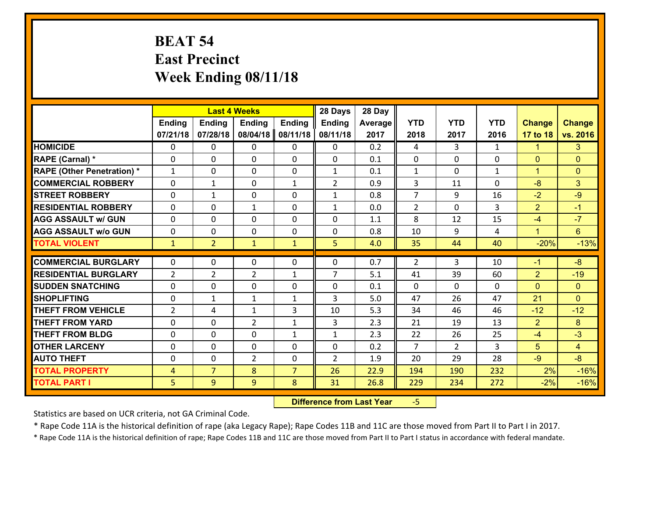## **BEAT 54 East Precinct Week Ending 08/11/18**

|                                   |                | <b>Last 4 Weeks</b> |                |                | 28 Days        | 28 Day  |                |                |              |                      |                |
|-----------------------------------|----------------|---------------------|----------------|----------------|----------------|---------|----------------|----------------|--------------|----------------------|----------------|
|                                   | Ending         | <b>Ending</b>       | <b>Ending</b>  | <b>Ending</b>  | <b>Ending</b>  | Average | <b>YTD</b>     | <b>YTD</b>     | <b>YTD</b>   | <b>Change</b>        | <b>Change</b>  |
|                                   | 07/21/18       | 07/28/18            | 08/04/18       | 08/11/18       | 08/11/18       | 2017    | 2018           | 2017           | 2016         | 17 to 18             | vs. 2016       |
| <b>HOMICIDE</b>                   | $\Omega$       | 0                   | 0              | $\Omega$       | 0              | 0.2     | 4              | 3              | $\mathbf{1}$ | $\mathbf{1}$         | 3              |
| RAPE (Carnal) *                   | $\mathbf{0}$   | 0                   | $\mathbf{0}$   | 0              | $\Omega$       | 0.1     | $\mathbf{0}$   | $\Omega$       | 0            | $\mathbf{0}$         | $\mathbf{0}$   |
| <b>RAPE (Other Penetration) *</b> | $\mathbf{1}$   | 0                   | $\mathbf{0}$   | $\Omega$       | $\mathbf{1}$   | 0.1     | $\mathbf{1}$   | $\Omega$       | $\mathbf{1}$ | $\blacktriangleleft$ | $\mathbf{0}$   |
| <b>COMMERCIAL ROBBERY</b>         | 0              | $\mathbf{1}$        | 0              | $\mathbf{1}$   | $\overline{2}$ | 0.9     | 3              | 11             | 0            | $-8$                 | 3 <sup>1</sup> |
| <b>STREET ROBBERY</b>             | $\Omega$       | $\mathbf{1}$        | 0              | 0              | $\mathbf{1}$   | 0.8     | $\overline{7}$ | 9              | 16           | $-2$                 | $-9$           |
| <b>RESIDENTIAL ROBBERY</b>        | $\Omega$       | 0                   | $\mathbf{1}$   | 0              | $\mathbf{1}$   | 0.0     | $\overline{2}$ | $\Omega$       | 3            | $\overline{2}$       | $-1$           |
| <b>AGG ASSAULT w/ GUN</b>         | $\Omega$       | 0                   | 0              | 0              | 0              | 1.1     | 8              | 12             | 15           | $-4$                 | $-7$           |
| <b>AGG ASSAULT w/o GUN</b>        | 0              | 0                   | 0              | 0              | 0              | 0.8     | 10             | 9              | 4            | $\mathbf{1}$         | $6^{\circ}$    |
| <b>TOTAL VIOLENT</b>              | $\mathbf{1}$   | $\overline{2}$      | $\mathbf{1}$   | $\mathbf{1}$   | 5              | 4.0     | 35             | 44             | 40           | $-20%$               | $-13%$         |
| <b>COMMERCIAL BURGLARY</b>        | $\Omega$       | 0                   | $\mathbf{0}$   | $\Omega$       | $\Omega$       | 0.7     | $\overline{2}$ | 3              | 10           | $-1$                 | $-8$           |
| <b>RESIDENTIAL BURGLARY</b>       | $\overline{2}$ | $\overline{2}$      | $\overline{2}$ | $\mathbf{1}$   | $\overline{7}$ | 5.1     | 41             | 39             | 60           | $\overline{2}$       | $-19$          |
| <b>SUDDEN SNATCHING</b>           | 0              | 0                   | 0              | 0              | 0              | 0.1     | $\mathbf 0$    | $\Omega$       | 0            | $\mathbf{0}$         | $\overline{0}$ |
| <b>SHOPLIFTING</b>                | 0              | $\mathbf{1}$        | $\mathbf{1}$   | $\mathbf{1}$   | 3              | 5.0     | 47             | 26             | 47           | 21                   | $\Omega$       |
| <b>THEFT FROM VEHICLE</b>         | $\overline{2}$ | 4                   | $\mathbf{1}$   | 3              | 10             | 5.3     | 34             | 46             | 46           | $-12$                | $-12$          |
| <b>THEFT FROM YARD</b>            | $\mathbf 0$    | 0                   | $\overline{2}$ | $\mathbf{1}$   | 3              | 2.3     | 21             | 19             | 13           | $\overline{2}$       | 8              |
| <b>THEFT FROM BLDG</b>            | 0              | 0                   | 0              | $\mathbf{1}$   | 1              | 2.3     | 22             | 26             | 25           | $-4$                 | $-3$           |
| <b>OTHER LARCENY</b>              | 0              | 0                   | 0              | 0              | 0              | 0.2     | $\overline{7}$ | $\overline{2}$ | 3            | 5                    | $\overline{4}$ |
| <b>AUTO THEFT</b>                 | 0              | 0                   | $\overline{2}$ | 0              | $\overline{2}$ | 1.9     | 20             | 29             | 28           | $-9$                 | $-8$           |
| <b>TOTAL PROPERTY</b>             | $\overline{4}$ | $\overline{7}$      | 8              | $\overline{7}$ | 26             | 22.9    | 194            | 190            | 232          | 2%                   | $-16%$         |
| <b>TOTAL PART I</b>               | 5              | 9                   | 9              | 8              | 31             | 26.8    | 229            | 234            | 272          | $-2%$                | $-16%$         |
|                                   |                |                     |                |                |                |         |                |                |              |                      |                |

 **Difference from Last Year**‐5

Statistics are based on UCR criteria, not GA Criminal Code.

\* Rape Code 11A is the historical definition of rape (aka Legacy Rape); Rape Codes 11B and 11C are those moved from Part II to Part I in 2017.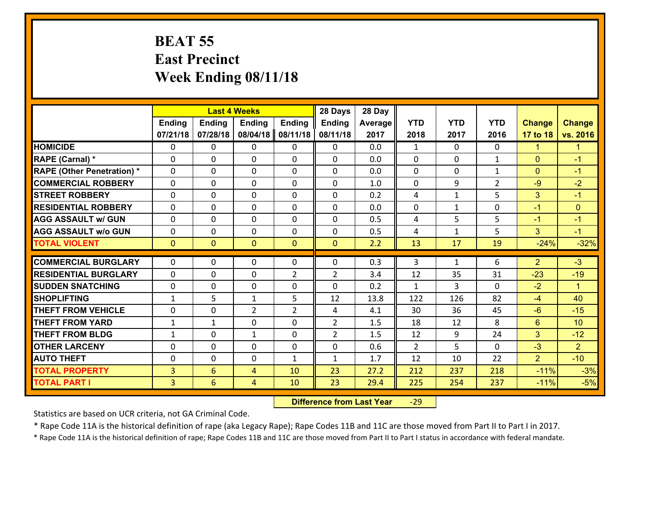## **BEAT 55 East Precinct Week Ending 08/11/18**

|                                   | <b>Last 4 Weeks</b> |                |                |                | 28 Days        | 28 Day  |                |              |                |                |                |
|-----------------------------------|---------------------|----------------|----------------|----------------|----------------|---------|----------------|--------------|----------------|----------------|----------------|
|                                   | <b>Ending</b>       | <b>Ending</b>  | Ending         | <b>Ending</b>  | Ending         | Average | <b>YTD</b>     | <b>YTD</b>   | <b>YTD</b>     | <b>Change</b>  | <b>Change</b>  |
|                                   | 07/21/18            | 07/28/18       | 08/04/18       | 08/11/18       | 08/11/18       | 2017    | 2018           | 2017         | 2016           | 17 to 18       | vs. 2016       |
| <b>HOMICIDE</b>                   | $\Omega$            | 0              | $\mathbf{0}$   | 0              | $\mathbf{0}$   | 0.0     | $\mathbf{1}$   | $\Omega$     | $\Omega$       | 1              | 1              |
| RAPE (Carnal) *                   | $\Omega$            | 0              | $\mathbf{0}$   | $\Omega$       | 0              | 0.0     | 0              | $\mathbf{0}$ | $\mathbf{1}$   | $\mathbf{0}$   | $-1$           |
| <b>RAPE (Other Penetration) *</b> | $\Omega$            | 0              | $\mathbf 0$    | 0              | 0              | 0.0     | $\mathbf{0}$   | 0            | $\mathbf{1}$   | $\mathbf{0}$   | $-1$           |
| <b>COMMERCIAL ROBBERY</b>         | 0                   | 0              | $\mathbf 0$    | 0              | 0              | 1.0     | $\mathbf 0$    | 9            | $\overline{2}$ | $-9$           | $-2$           |
| <b>STREET ROBBERY</b>             | $\Omega$            | 0              | $\mathbf 0$    | 0              | 0              | 0.2     | 4              | $\mathbf{1}$ | 5              | 3              | $-1$           |
| <b>RESIDENTIAL ROBBERY</b>        | 0                   | 0              | $\mathbf 0$    | 0              | 0              | 0.0     | $\mathbf 0$    | $\mathbf{1}$ | 0              | $-1$           | $\mathbf{0}$   |
| <b>AGG ASSAULT w/ GUN</b>         | 0                   | 0              | $\mathbf 0$    | 0              | 0              | 0.5     | 4              | 5            | 5              | $-1$           | $-1$           |
| <b>AGG ASSAULT w/o GUN</b>        | 0                   | 0              | 0              | 0              | $\mathbf 0$    | 0.5     | 4              | $\mathbf{1}$ | 5              | 3              | $-1$           |
| <b>TOTAL VIOLENT</b>              | $\mathbf{0}$        | $\overline{0}$ | $\mathbf{O}$   | $\mathbf{0}$   | $\mathbf{0}$   | 2.2     | 13             | 17           | 19             | $-24%$         | $-32%$         |
| <b>COMMERCIAL BURGLARY</b>        | $\Omega$            | 0              |                |                |                |         |                |              |                |                | $-3$           |
|                                   |                     |                | $\mathbf{0}$   | 0              | $\Omega$       | 0.3     | 3              | $\mathbf{1}$ | 6              | $\overline{2}$ |                |
| <b>RESIDENTIAL BURGLARY</b>       | $\Omega$            | 0              | 0              | $\overline{2}$ | $\overline{2}$ | 3.4     | 12             | 35           | 31             | $-23$          | $-19$          |
| <b>SUDDEN SNATCHING</b>           | 0                   | 0              | $\mathbf 0$    | 0              | 0              | 0.2     | $\mathbf{1}$   | 3            | $\Omega$       | $-2$           | $\mathbf{1}$   |
| <b>SHOPLIFTING</b>                | $\mathbf{1}$        | 5              | $\mathbf{1}$   | 5              | 12             | 13.8    | 122            | 126          | 82             | $-4$           | 40             |
| <b>THEFT FROM VEHICLE</b>         | 0                   | 0              | $\overline{2}$ | $\overline{2}$ | 4              | 4.1     | 30             | 36           | 45             | $-6$           | $-15$          |
| <b>THEFT FROM YARD</b>            | $\mathbf{1}$        | $\mathbf 1$    | $\mathbf 0$    | 0              | $\overline{2}$ | 1.5     | 18             | 12           | 8              | $6\phantom{1}$ | 10             |
| <b>THEFT FROM BLDG</b>            | $\mathbf{1}$        | 0              | 1              | $\Omega$       | $\overline{2}$ | 1.5     | 12             | 9            | 24             | 3              | $-12$          |
| <b>OTHER LARCENY</b>              | $\mathbf 0$         | 0              | $\mathbf 0$    | $\Omega$       | 0              | 0.6     | $\overline{2}$ | 5            | $\Omega$       | $-3$           | $\overline{2}$ |
| <b>AUTO THEFT</b>                 | 0                   | 0              | $\mathbf 0$    | $\mathbf{1}$   | $\mathbf{1}$   | 1.7     | 12             | 10           | 22             | $\overline{2}$ | $-10$          |
| <b>TOTAL PROPERTY</b>             | $\overline{3}$      | 6              | 4              | 10             | 23             | 27.2    | 212            | 237          | 218            | $-11%$         | $-3%$          |
| <b>TOTAL PART I</b>               | $\overline{3}$      | 6              | 4              | 10             | 23             | 29.4    | 225            | 254          | 237            | $-11%$         | $-5%$          |

 **Difference from Last Year**r -29

Statistics are based on UCR criteria, not GA Criminal Code.

\* Rape Code 11A is the historical definition of rape (aka Legacy Rape); Rape Codes 11B and 11C are those moved from Part II to Part I in 2017.